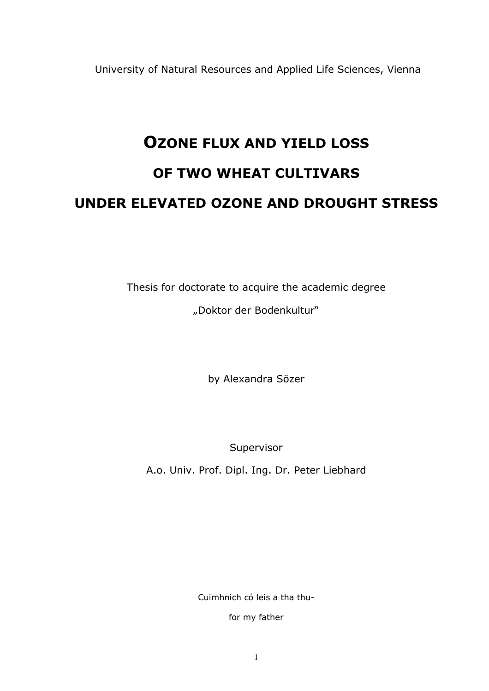University of Natural Resources and Applied Life Sciences, Vienna

# OZONE FLUX AND YIELD LOSS OF TWO WHEAT CULTIVARS UNDER ELEVATED OZONE AND DROUGHT STRESS

Thesis for doctorate to acquire the academic degree "Doktor der Bodenkultur"

by Alexandra Sözer

Supervisor

A.o. Univ. Prof. Dipl. Ing. Dr. Peter Liebhard

Cuimhnich có leis a tha thu-

for my father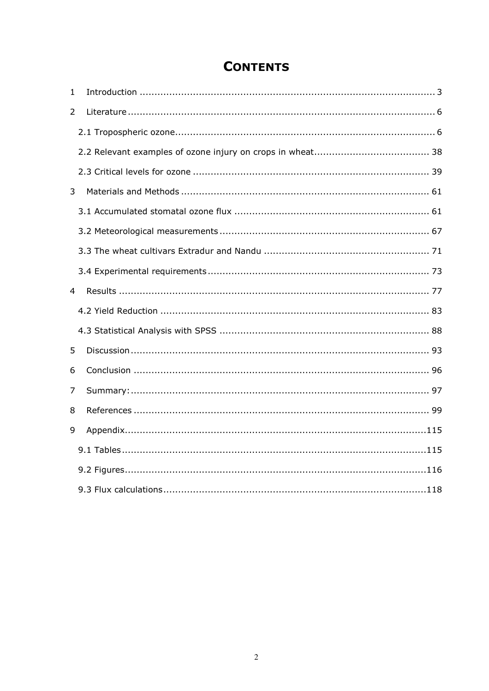# **CONTENTS**

| 1 |  |
|---|--|
| 2 |  |
|   |  |
|   |  |
|   |  |
| 3 |  |
|   |  |
|   |  |
|   |  |
|   |  |
| 4 |  |
|   |  |
|   |  |
| 5 |  |
| 6 |  |
| 7 |  |
| 8 |  |
| 9 |  |
|   |  |
|   |  |
|   |  |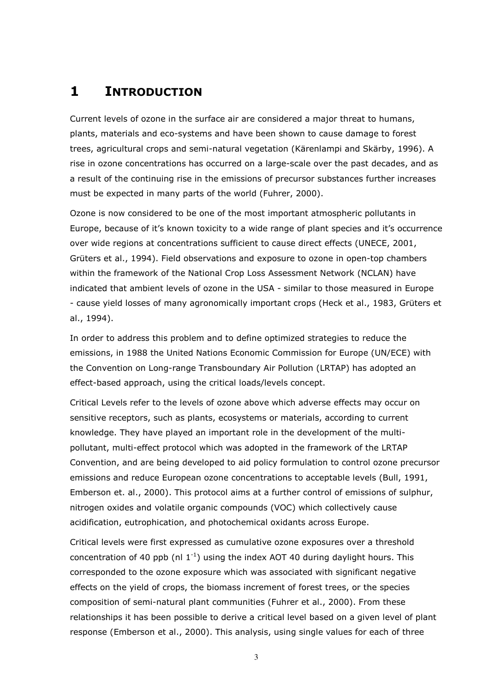# 1 INTRODUCTION

Current levels of ozone in the surface air are considered a major threat to humans, plants, materials and eco-systems and have been shown to cause damage to forest trees, agricultural crops and semi-natural vegetation (Kärenlampi and Skärby, 1996). A rise in ozone concentrations has occurred on a large-scale over the past decades, and as a result of the continuing rise in the emissions of precursor substances further increases must be expected in many parts of the world (Fuhrer, 2000).

Ozone is now considered to be one of the most important atmospheric pollutants in Europe, because of it's known toxicity to a wide range of plant species and it's occurrence over wide regions at concentrations sufficient to cause direct effects (UNECE, 2001, Grüters et al., 1994). Field observations and exposure to ozone in open-top chambers within the framework of the National Crop Loss Assessment Network (NCLAN) have indicated that ambient levels of ozone in the USA - similar to those measured in Europe - cause yield losses of many agronomically important crops (Heck et al., 1983, Grüters et al., 1994).

In order to address this problem and to define optimized strategies to reduce the emissions, in 1988 the United Nations Economic Commission for Europe (UN/ECE) with the Convention on Long-range Transboundary Air Pollution (LRTAP) has adopted an effect-based approach, using the critical loads/levels concept.

Critical Levels refer to the levels of ozone above which adverse effects may occur on sensitive receptors, such as plants, ecosystems or materials, according to current knowledge. They have played an important role in the development of the multipollutant, multi-effect protocol which was adopted in the framework of the LRTAP Convention, and are being developed to aid policy formulation to control ozone precursor emissions and reduce European ozone concentrations to acceptable levels (Bull, 1991, Emberson et. al., 2000). This protocol aims at a further control of emissions of sulphur, nitrogen oxides and volatile organic compounds (VOC) which collectively cause acidification, eutrophication, and photochemical oxidants across Europe.

Critical levels were first expressed as cumulative ozone exposures over a threshold concentration of 40 ppb (nl  $1^{-1}$ ) using the index AOT 40 during daylight hours. This corresponded to the ozone exposure which was associated with significant negative effects on the yield of crops, the biomass increment of forest trees, or the species composition of semi-natural plant communities (Fuhrer et al., 2000). From these relationships it has been possible to derive a critical level based on a given level of plant response (Emberson et al., 2000). This analysis, using single values for each of three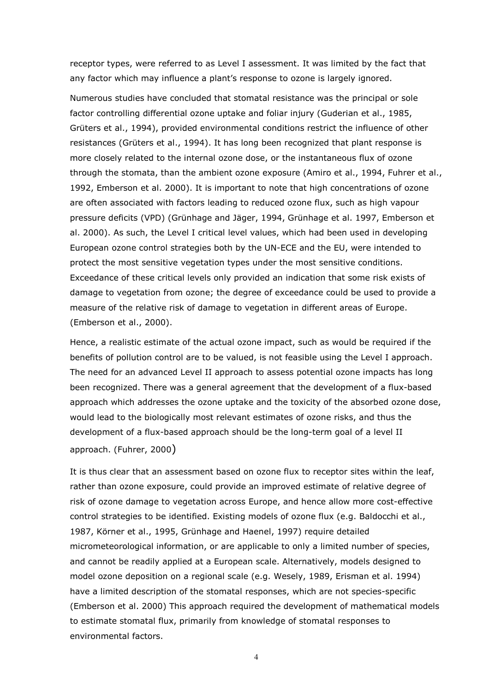receptor types, were referred to as Level I assessment. It was limited by the fact that any factor which may influence a plant's response to ozone is largely ignored.

Numerous studies have concluded that stomatal resistance was the principal or sole factor controlling differential ozone uptake and foliar injury (Guderian et al., 1985, Grüters et al., 1994), provided environmental conditions restrict the influence of other resistances (Grüters et al., 1994). It has long been recognized that plant response is more closely related to the internal ozone dose, or the instantaneous flux of ozone through the stomata, than the ambient ozone exposure (Amiro et al., 1994, Fuhrer et al., 1992, Emberson et al. 2000). It is important to note that high concentrations of ozone are often associated with factors leading to reduced ozone flux, such as high vapour pressure deficits (VPD) (Grünhage and Jäger, 1994, Grünhage et al. 1997, Emberson et al. 2000). As such, the Level I critical level values, which had been used in developing European ozone control strategies both by the UN-ECE and the EU, were intended to protect the most sensitive vegetation types under the most sensitive conditions. Exceedance of these critical levels only provided an indication that some risk exists of damage to vegetation from ozone; the degree of exceedance could be used to provide a measure of the relative risk of damage to vegetation in different areas of Europe. (Emberson et al., 2000).

Hence, a realistic estimate of the actual ozone impact, such as would be required if the benefits of pollution control are to be valued, is not feasible using the Level I approach. The need for an advanced Level II approach to assess potential ozone impacts has long been recognized. There was a general agreement that the development of a flux-based approach which addresses the ozone uptake and the toxicity of the absorbed ozone dose, would lead to the biologically most relevant estimates of ozone risks, and thus the development of a flux-based approach should be the long-term goal of a level II approach. (Fuhrer, 2000)

It is thus clear that an assessment based on ozone flux to receptor sites within the leaf, rather than ozone exposure, could provide an improved estimate of relative degree of risk of ozone damage to vegetation across Europe, and hence allow more cost-effective control strategies to be identified. Existing models of ozone flux (e.g. Baldocchi et al., 1987, Körner et al., 1995, Grünhage and Haenel, 1997) require detailed micrometeorological information, or are applicable to only a limited number of species, and cannot be readily applied at a European scale. Alternatively, models designed to model ozone deposition on a regional scale (e.g. Wesely, 1989, Erisman et al. 1994) have a limited description of the stomatal responses, which are not species-specific (Emberson et al. 2000) This approach required the development of mathematical models to estimate stomatal flux, primarily from knowledge of stomatal responses to environmental factors.

4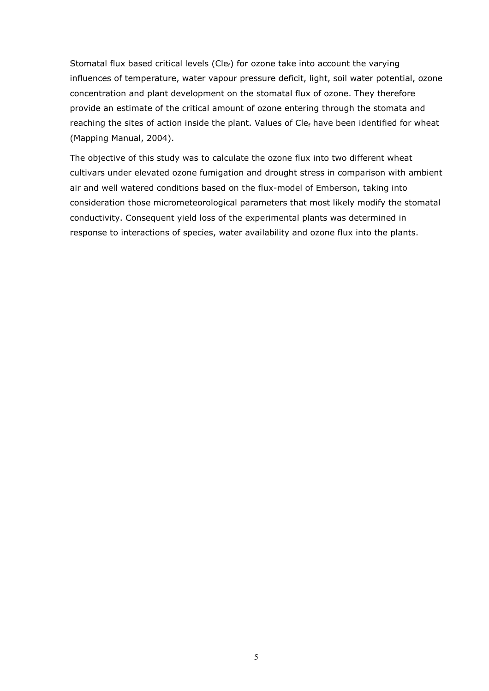Stomatal flux based critical levels (Cle $_f$ ) for ozone take into account the varying influences of temperature, water vapour pressure deficit, light, soil water potential, ozone concentration and plant development on the stomatal flux of ozone. They therefore provide an estimate of the critical amount of ozone entering through the stomata and reaching the sites of action inside the plant. Values of  $Cle<sub>f</sub>$  have been identified for wheat (Mapping Manual, 2004).

The objective of this study was to calculate the ozone flux into two different wheat cultivars under elevated ozone fumigation and drought stress in comparison with ambient air and well watered conditions based on the flux-model of Emberson, taking into consideration those micrometeorological parameters that most likely modify the stomatal conductivity. Consequent yield loss of the experimental plants was determined in response to interactions of species, water availability and ozone flux into the plants.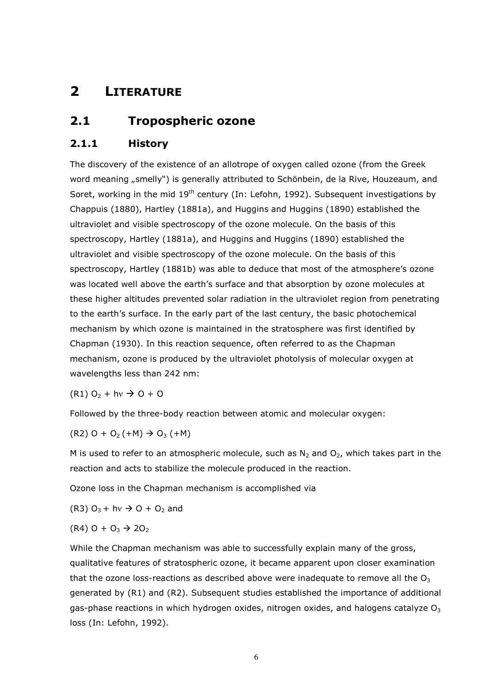# 2 LITERATURE

# 2.1 Tropospheric ozone

# 2.1.1 History

The discovery of the existence of an allotrope of oxygen called ozone (from the Greek word meaning "smelly") is generally attributed to Schönbein, de la Rive, Houzeaum, and Soret, working in the mid 19<sup>th</sup> century (In: Lefohn, 1992). Subsequent investigations by Chappuis (1880), Hartley (1881a), and Huggins and Huggins (1890) established the ultraviolet and visible spectroscopy of the ozone molecule. On the basis of this spectroscopy, Hartley (1881a), and Huggins and Huggins (1890) established the ultraviolet and visible spectroscopy of the ozone molecule. On the basis of this spectroscopy, Hartley (1881b) was able to deduce that most of the atmosphere's ozone was located well above the earth's surface and that absorption by ozone molecules at these higher altitudes prevented solar radiation in the ultraviolet region from penetrating to the earth's surface. In the early part of the last century, the basic photochemical mechanism by which ozone is maintained in the stratosphere was first identified by Chapman (1930). In this reaction sequence, often referred to as the Chapman mechanism, ozone is produced by the ultraviolet photolysis of molecular oxygen at wavelengths less than 242 nm:

 $(R1)$  O<sub>2</sub> + hv  $\rightarrow$  O + O

Followed by the three-body reaction between atomic and molecular oxygen:

$$
(R2)
$$
 0 + O<sub>2</sub> $(+M)$   $\rightarrow$  O<sub>3</sub> $(+M)$ 

M is used to refer to an atmospheric molecule, such as  $N_2$  and  $O_2$ , which takes part in the reaction and acts to stabilize the molecule produced in the reaction.

Ozone loss in the Chapman mechanism is accomplished via

(R3) 
$$
O_3 + hv \rightarrow O + O_2
$$
 and

$$
(R4) \, 0 + O_3 \rightarrow 2O_2
$$

While the Chapman mechanism was able to successfully explain many of the gross, qualitative features of stratospheric ozone, it became apparent upon closer examination that the ozone loss-reactions as described above were inadequate to remove all the  $O<sub>3</sub>$ generated by (R1) and (R2). Subsequent studies established the importance of additional gas-phase reactions in which hydrogen oxides, nitrogen oxides, and halogens catalyze  $O_3$ loss (In: Lefohn, 1992).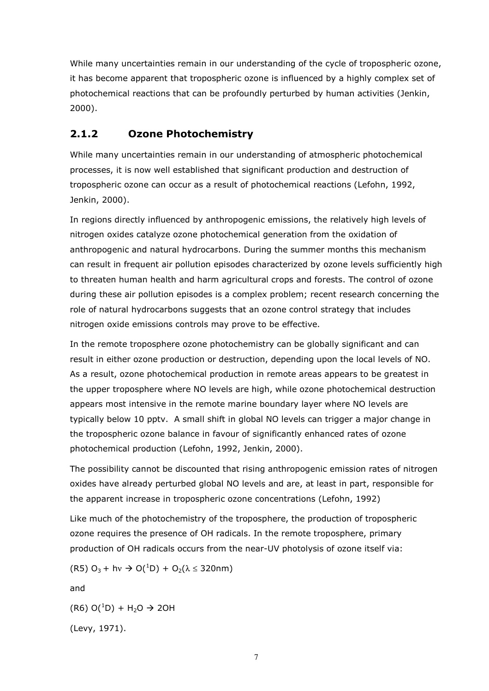While many uncertainties remain in our understanding of the cycle of tropospheric ozone, it has become apparent that tropospheric ozone is influenced by a highly complex set of photochemical reactions that can be profoundly perturbed by human activities (Jenkin, 2000).

# 2.1.2 Ozone Photochemistry

While many uncertainties remain in our understanding of atmospheric photochemical processes, it is now well established that significant production and destruction of tropospheric ozone can occur as a result of photochemical reactions (Lefohn, 1992, Jenkin, 2000).

In regions directly influenced by anthropogenic emissions, the relatively high levels of nitrogen oxides catalyze ozone photochemical generation from the oxidation of anthropogenic and natural hydrocarbons. During the summer months this mechanism can result in frequent air pollution episodes characterized by ozone levels sufficiently high to threaten human health and harm agricultural crops and forests. The control of ozone during these air pollution episodes is a complex problem; recent research concerning the role of natural hydrocarbons suggests that an ozone control strategy that includes nitrogen oxide emissions controls may prove to be effective.

In the remote troposphere ozone photochemistry can be globally significant and can result in either ozone production or destruction, depending upon the local levels of NO. As a result, ozone photochemical production in remote areas appears to be greatest in the upper troposphere where NO levels are high, while ozone photochemical destruction appears most intensive in the remote marine boundary layer where NO levels are typically below 10 pptv. A small shift in global NO levels can trigger a major change in the tropospheric ozone balance in favour of significantly enhanced rates of ozone photochemical production (Lefohn, 1992, Jenkin, 2000).

The possibility cannot be discounted that rising anthropogenic emission rates of nitrogen oxides have already perturbed global NO levels and are, at least in part, responsible for the apparent increase in tropospheric ozone concentrations (Lefohn, 1992)

Like much of the photochemistry of the troposphere, the production of tropospheric ozone requires the presence of OH radicals. In the remote troposphere, primary production of OH radicals occurs from the near-UV photolysis of ozone itself via:

(R5)  $O_3$  + hv  $\rightarrow$  O(<sup>1</sup>D) + O<sub>2</sub>( $\lambda$   $\leq$  320nm)

and

 $(R6)$  O(<sup>1</sup>D) + H<sub>2</sub>O  $\rightarrow$  2OH

(Levy, 1971).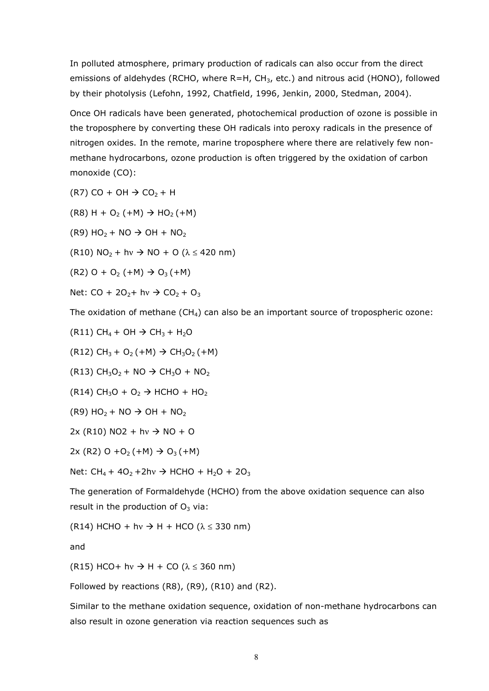In polluted atmosphere, primary production of radicals can also occur from the direct emissions of aldehydes (RCHO, where R=H,  $CH<sub>3</sub>$ , etc.) and nitrous acid (HONO), followed by their photolysis (Lefohn, 1992, Chatfield, 1996, Jenkin, 2000, Stedman, 2004).

Once OH radicals have been generated, photochemical production of ozone is possible in the troposphere by converting these OH radicals into peroxy radicals in the presence of nitrogen oxides. In the remote, marine troposphere where there are relatively few nonmethane hydrocarbons, ozone production is often triggered by the oxidation of carbon monoxide (CO):

 $(R7)$  CO + OH  $\rightarrow$  CO<sub>2</sub> + H

 $(R8) H + O<sub>2</sub> (+M) \rightarrow HO<sub>2</sub> (+M)$ 

 $(R9)$  HO<sub>2</sub> + NO  $\rightarrow$  OH + NO<sub>2</sub>

(R10)  $NO<sub>2</sub> + hv \rightarrow NO + O ( $\lambda \le 420 \text{ nm}$ )$ 

 $(R2)$  O + O<sub>2</sub> (+M)  $\rightarrow$  O<sub>3</sub> (+M)

Net:  $CO + 2O<sub>2</sub> + hv \rightarrow CO<sub>2</sub> + O<sub>3</sub>$ 

The oxidation of methane  $(CH_4)$  can also be an important source of tropospheric ozone:

$$
(R11) CH_4 + OH \rightarrow CH_3 + H_2O
$$

 $(R12)$  CH<sub>3</sub> + O<sub>2</sub> (+M)  $\rightarrow$  CH<sub>3</sub>O<sub>2</sub> (+M)

 $(R13)$  CH<sub>3</sub>O<sub>2</sub> + NO  $\rightarrow$  CH<sub>3</sub>O + NO<sub>2</sub>

 $(R14)$  CH<sub>3</sub>O + O<sub>2</sub>  $\rightarrow$  HCHO + HO<sub>2</sub>

 $(R9)$  HO<sub>2</sub> + NO  $\rightarrow$  OH + NO<sub>2</sub>

$$
2x (R10) NO2 + hv \rightarrow NO + O
$$

 $2x (R2) O + O<sub>2</sub>(+M) \rightarrow O<sub>3</sub>(+M)$ 

Net: CH<sub>4</sub> + 4O<sub>2</sub> + 2hv  $\rightarrow$  HCHO + H<sub>2</sub>O + 2O<sub>3</sub>

The generation of Formaldehyde (HCHO) from the above oxidation sequence can also result in the production of  $O<sub>3</sub>$  via:

(R14) HCHO + hv  $\rightarrow$  H + HCO ( $\lambda \le 330$  nm)

and

(R15) HCO+ hv  $\rightarrow$  H + CO ( $\lambda \le 360$  nm)

Followed by reactions (R8),  $(R9)$ ,  $(R10)$  and  $(R2)$ .

Similar to the methane oxidation sequence, oxidation of non-methane hydrocarbons can also result in ozone generation via reaction sequences such as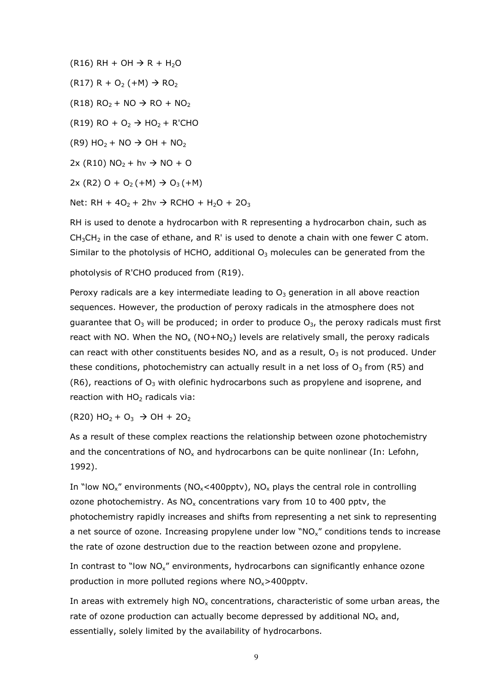$(R16)$  RH + OH  $\rightarrow$  R + H<sub>2</sub>O

 $(R17) R + O_2 (+M) \rightarrow RO_2$ 

 $(R18)$  RO<sub>2</sub> + NO  $\rightarrow$  RO + NO<sub>2</sub>

(R19) RO +  $O<sub>2</sub>$   $\rightarrow$  HO<sub>2</sub> + R'CHO

 $(R9)$  HO<sub>2</sub> + NO  $\rightarrow$  OH + NO<sub>2</sub>

 $2x (R10) NO<sub>2</sub> + hv \rightarrow NO + O$ 

 $2x (R2) O + O_2 (+M) \rightarrow O_3 (+M)$ 

Net: RH +  $40_2$  + 2hv  $\rightarrow$  RCHO + H<sub>2</sub>O + 2O<sub>3</sub>

RH is used to denote a hydrocarbon with R representing a hydrocarbon chain, such as  $CH<sub>3</sub>CH<sub>2</sub>$  in the case of ethane, and R' is used to denote a chain with one fewer C atom. Similar to the photolysis of HCHO, additional  $O_3$  molecules can be generated from the

photolysis of R'CHO produced from (R19).

Peroxy radicals are a key intermediate leading to  $O<sub>3</sub>$  generation in all above reaction sequences. However, the production of peroxy radicals in the atmosphere does not guarantee that  $O_3$  will be produced; in order to produce  $O_3$ , the peroxy radicals must first react with NO. When the NO<sub>x</sub> (NO+NO<sub>2</sub>) levels are relatively small, the peroxy radicals can react with other constituents besides NO, and as a result,  $O<sub>3</sub>$  is not produced. Under these conditions, photochemistry can actually result in a net loss of  $O<sub>3</sub>$  from (R5) and (R6), reactions of  $O_3$  with olefinic hydrocarbons such as propylene and isoprene, and reaction with  $HO<sub>2</sub>$  radicals via:

 $(R20)$  HO<sub>2</sub> + O<sub>3</sub>  $\rightarrow$  OH + 2O<sub>2</sub>

As a result of these complex reactions the relationship between ozone photochemistry and the concentrations of  $NO<sub>x</sub>$  and hydrocarbons can be quite nonlinear (In: Lefohn, 1992).

In "low  $NO_x$ " environments ( $NO_x$ <400pptv),  $NO_x$  plays the central role in controlling ozone photochemistry. As  $NO<sub>x</sub>$  concentrations vary from 10 to 400 pptv, the photochemistry rapidly increases and shifts from representing a net sink to representing a net source of ozone. Increasing propylene under low  $N_{\rm x}$  conditions tends to increase the rate of ozone destruction due to the reaction between ozone and propylene.

In contrast to "low NO<sub>x</sub>" environments, hydrocarbons can significantly enhance ozone production in more polluted regions where  $NO<sub>x</sub>$  > 400pptv.

In areas with extremely high  $NO<sub>x</sub>$  concentrations, characteristic of some urban areas, the rate of ozone production can actually become depressed by additional  $NO<sub>x</sub>$  and, essentially, solely limited by the availability of hydrocarbons.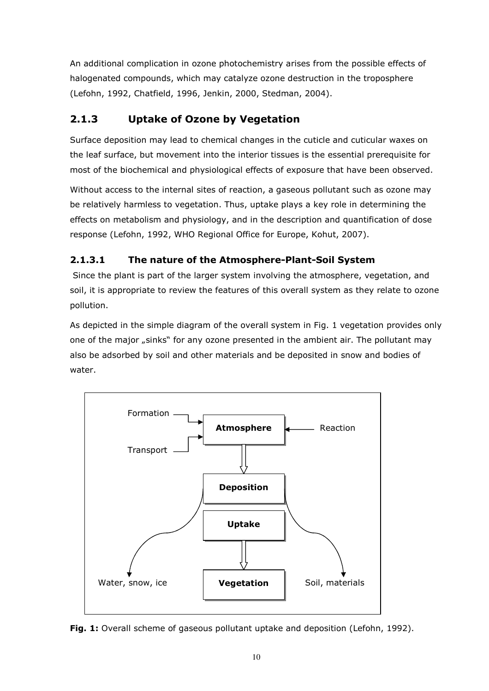An additional complication in ozone photochemistry arises from the possible effects of halogenated compounds, which may catalyze ozone destruction in the troposphere (Lefohn, 1992, Chatfield, 1996, Jenkin, 2000, Stedman, 2004).

# 2.1.3 Uptake of Ozone by Vegetation

Surface deposition may lead to chemical changes in the cuticle and cuticular waxes on the leaf surface, but movement into the interior tissues is the essential prerequisite for most of the biochemical and physiological effects of exposure that have been observed.

Without access to the internal sites of reaction, a gaseous pollutant such as ozone may be relatively harmless to vegetation. Thus, uptake plays a key role in determining the effects on metabolism and physiology, and in the description and quantification of dose response (Lefohn, 1992, WHO Regional Office for Europe, Kohut, 2007).

# 2.1.3.1 The nature of the Atmosphere-Plant-Soil System

 Since the plant is part of the larger system involving the atmosphere, vegetation, and soil, it is appropriate to review the features of this overall system as they relate to ozone pollution.

As depicted in the simple diagram of the overall system in Fig. 1 vegetation provides only one of the major "sinks" for any ozone presented in the ambient air. The pollutant may also be adsorbed by soil and other materials and be deposited in snow and bodies of water.



Fig. 1: Overall scheme of gaseous pollutant uptake and deposition (Lefohn, 1992).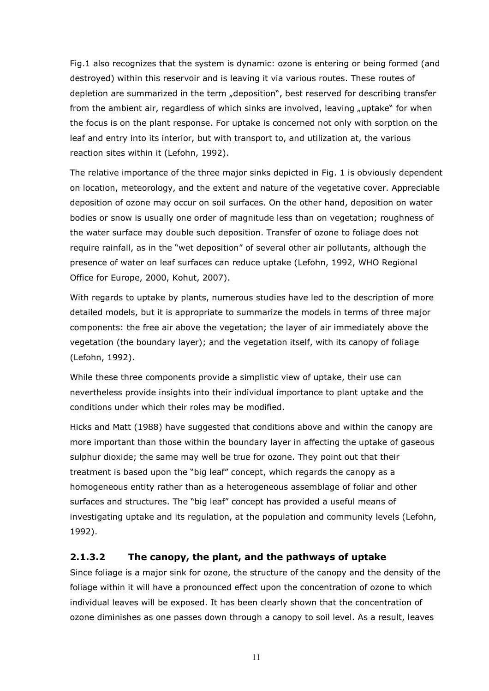Fig.1 also recognizes that the system is dynamic: ozone is entering or being formed (and destroyed) within this reservoir and is leaving it via various routes. These routes of depletion are summarized in the term "deposition", best reserved for describing transfer from the ambient air, regardless of which sinks are involved, leaving "uptake" for when the focus is on the plant response. For uptake is concerned not only with sorption on the leaf and entry into its interior, but with transport to, and utilization at, the various reaction sites within it (Lefohn, 1992).

The relative importance of the three major sinks depicted in Fig. 1 is obviously dependent on location, meteorology, and the extent and nature of the vegetative cover. Appreciable deposition of ozone may occur on soil surfaces. On the other hand, deposition on water bodies or snow is usually one order of magnitude less than on vegetation; roughness of the water surface may double such deposition. Transfer of ozone to foliage does not require rainfall, as in the "wet deposition" of several other air pollutants, although the presence of water on leaf surfaces can reduce uptake (Lefohn, 1992, WHO Regional Office for Europe, 2000, Kohut, 2007).

With regards to uptake by plants, numerous studies have led to the description of more detailed models, but it is appropriate to summarize the models in terms of three major components: the free air above the vegetation; the layer of air immediately above the vegetation (the boundary layer); and the vegetation itself, with its canopy of foliage (Lefohn, 1992).

While these three components provide a simplistic view of uptake, their use can nevertheless provide insights into their individual importance to plant uptake and the conditions under which their roles may be modified.

Hicks and Matt (1988) have suggested that conditions above and within the canopy are more important than those within the boundary layer in affecting the uptake of gaseous sulphur dioxide; the same may well be true for ozone. They point out that their treatment is based upon the "big leaf" concept, which regards the canopy as a homogeneous entity rather than as a heterogeneous assemblage of foliar and other surfaces and structures. The "big leaf" concept has provided a useful means of investigating uptake and its regulation, at the population and community levels (Lefohn, 1992).

#### 2.1.3.2 The canopy, the plant, and the pathways of uptake

Since foliage is a major sink for ozone, the structure of the canopy and the density of the foliage within it will have a pronounced effect upon the concentration of ozone to which individual leaves will be exposed. It has been clearly shown that the concentration of ozone diminishes as one passes down through a canopy to soil level. As a result, leaves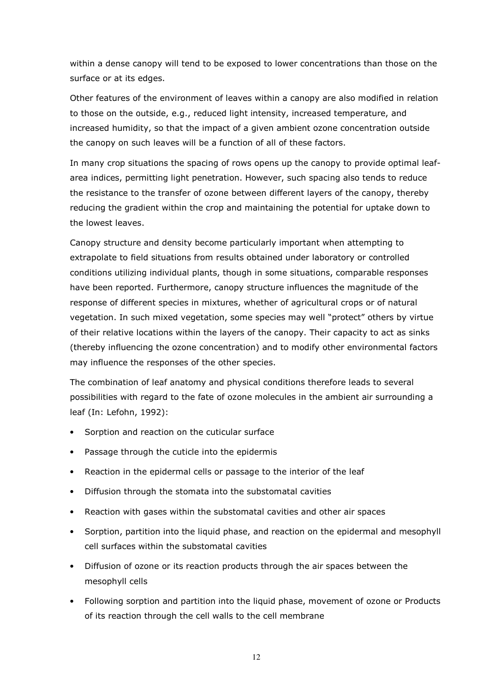within a dense canopy will tend to be exposed to lower concentrations than those on the surface or at its edges.

Other features of the environment of leaves within a canopy are also modified in relation to those on the outside, e.g., reduced light intensity, increased temperature, and increased humidity, so that the impact of a given ambient ozone concentration outside the canopy on such leaves will be a function of all of these factors.

In many crop situations the spacing of rows opens up the canopy to provide optimal leafarea indices, permitting light penetration. However, such spacing also tends to reduce the resistance to the transfer of ozone between different layers of the canopy, thereby reducing the gradient within the crop and maintaining the potential for uptake down to the lowest leaves.

Canopy structure and density become particularly important when attempting to extrapolate to field situations from results obtained under laboratory or controlled conditions utilizing individual plants, though in some situations, comparable responses have been reported. Furthermore, canopy structure influences the magnitude of the response of different species in mixtures, whether of agricultural crops or of natural vegetation. In such mixed vegetation, some species may well "protect" others by virtue of their relative locations within the layers of the canopy. Their capacity to act as sinks (thereby influencing the ozone concentration) and to modify other environmental factors may influence the responses of the other species.

The combination of leaf anatomy and physical conditions therefore leads to several possibilities with regard to the fate of ozone molecules in the ambient air surrounding a leaf (In: Lefohn, 1992):

- Sorption and reaction on the cuticular surface
- Passage through the cuticle into the epidermis
- Reaction in the epidermal cells or passage to the interior of the leaf
- Diffusion through the stomata into the substomatal cavities
- Reaction with gases within the substomatal cavities and other air spaces
- Sorption, partition into the liquid phase, and reaction on the epidermal and mesophyll cell surfaces within the substomatal cavities
- Diffusion of ozone or its reaction products through the air spaces between the mesophyll cells
- Following sorption and partition into the liquid phase, movement of ozone or Products of its reaction through the cell walls to the cell membrane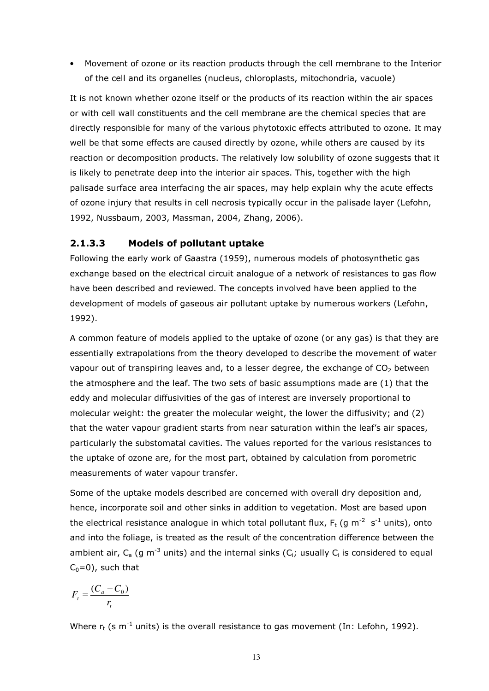• Movement of ozone or its reaction products through the cell membrane to the Interior of the cell and its organelles (nucleus, chloroplasts, mitochondria, vacuole)

It is not known whether ozone itself or the products of its reaction within the air spaces or with cell wall constituents and the cell membrane are the chemical species that are directly responsible for many of the various phytotoxic effects attributed to ozone. It may well be that some effects are caused directly by ozone, while others are caused by its reaction or decomposition products. The relatively low solubility of ozone suggests that it is likely to penetrate deep into the interior air spaces. This, together with the high palisade surface area interfacing the air spaces, may help explain why the acute effects of ozone injury that results in cell necrosis typically occur in the palisade layer (Lefohn, 1992, Nussbaum, 2003, Massman, 2004, Zhang, 2006).

#### 2.1.3.3 Models of pollutant uptake

Following the early work of Gaastra (1959), numerous models of photosynthetic gas exchange based on the electrical circuit analogue of a network of resistances to gas flow have been described and reviewed. The concepts involved have been applied to the development of models of gaseous air pollutant uptake by numerous workers (Lefohn, 1992).

A common feature of models applied to the uptake of ozone (or any gas) is that they are essentially extrapolations from the theory developed to describe the movement of water vapour out of transpiring leaves and, to a lesser degree, the exchange of  $CO<sub>2</sub>$  between the atmosphere and the leaf. The two sets of basic assumptions made are (1) that the eddy and molecular diffusivities of the gas of interest are inversely proportional to molecular weight: the greater the molecular weight, the lower the diffusivity; and (2) that the water vapour gradient starts from near saturation within the leaf's air spaces, particularly the substomatal cavities. The values reported for the various resistances to the uptake of ozone are, for the most part, obtained by calculation from porometric measurements of water vapour transfer.

Some of the uptake models described are concerned with overall dry deposition and, hence, incorporate soil and other sinks in addition to vegetation. Most are based upon the electrical resistance analogue in which total pollutant flux,  $F_t$  (g m<sup>-2</sup> s<sup>-1</sup> units), onto and into the foliage, is treated as the result of the concentration difference between the ambient air,  $C_a$  (g m<sup>-3</sup> units) and the internal sinks ( $C_i$ ; usually  $C_i$  is considered to equal  $C_0=0$ ), such that

$$
F_t = \frac{(C_a - C_0)}{r_t}
$$

Where  $r_t$  (s m<sup>-1</sup> units) is the overall resistance to gas movement (In: Lefohn, 1992).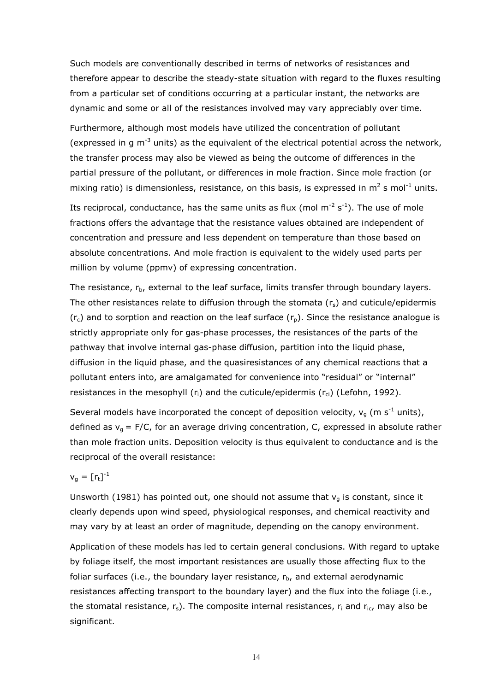Such models are conventionally described in terms of networks of resistances and therefore appear to describe the steady-state situation with regard to the fluxes resulting from a particular set of conditions occurring at a particular instant, the networks are dynamic and some or all of the resistances involved may vary appreciably over time.

Furthermore, although most models have utilized the concentration of pollutant (expressed in g  $m^{-3}$  units) as the equivalent of the electrical potential across the network, the transfer process may also be viewed as being the outcome of differences in the partial pressure of the pollutant, or differences in mole fraction. Since mole fraction (or mixing ratio) is dimensionless, resistance, on this basis, is expressed in  $m^2$  s mol<sup>-1</sup> units.

Its reciprocal, conductance, has the same units as flux (mol  $m^{-2}$  s<sup>-1</sup>). The use of mole fractions offers the advantage that the resistance values obtained are independent of concentration and pressure and less dependent on temperature than those based on absolute concentrations. And mole fraction is equivalent to the widely used parts per million by volume (ppmv) of expressing concentration.

The resistance,  $r_{\rm b}$ , external to the leaf surface, limits transfer through boundary layers. The other resistances relate to diffusion through the stomata  $(r_s)$  and cuticule/epidermis  $(r_c)$  and to sorption and reaction on the leaf surface  $(r_p)$ . Since the resistance analogue is strictly appropriate only for gas-phase processes, the resistances of the parts of the pathway that involve internal gas-phase diffusion, partition into the liquid phase, diffusion in the liquid phase, and the quasiresistances of any chemical reactions that a pollutant enters into, are amalgamated for convenience into "residual" or "internal" resistances in the mesophyll  $(r_i)$  and the cuticule/epidermis  $(r_{ci})$  (Lefohn, 1992).

Several models have incorporated the concept of deposition velocity,  $v_q$  (m s<sup>-1</sup> units), defined as  $v_q = F/C$ , for an average driving concentration, C, expressed in absolute rather than mole fraction units. Deposition velocity is thus equivalent to conductance and is the reciprocal of the overall resistance:

#### $\mathsf{v}_\mathsf{g} = [\mathsf{r}_\mathsf{t}]^\text{-1}$

Unsworth (1981) has pointed out, one should not assume that  $v_q$  is constant, since it clearly depends upon wind speed, physiological responses, and chemical reactivity and may vary by at least an order of magnitude, depending on the canopy environment.

Application of these models has led to certain general conclusions. With regard to uptake by foliage itself, the most important resistances are usually those affecting flux to the foliar surfaces (i.e., the boundary layer resistance,  $r_{b}$ , and external aerodynamic resistances affecting transport to the boundary layer) and the flux into the foliage (i.e., the stomatal resistance,  $r_s$ ). The composite internal resistances,  $r_i$  and  $r_{ic}$ , may also be significant.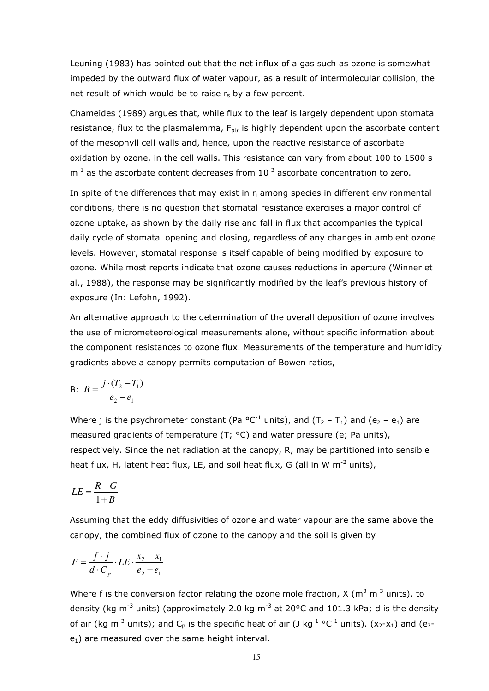Leuning (1983) has pointed out that the net influx of a gas such as ozone is somewhat impeded by the outward flux of water vapour, as a result of intermolecular collision, the net result of which would be to raise  $r_s$  by a few percent.

Chameides (1989) argues that, while flux to the leaf is largely dependent upon stomatal resistance, flux to the plasmalemma,  $F_{pl}$ , is highly dependent upon the ascorbate content of the mesophyll cell walls and, hence, upon the reactive resistance of ascorbate oxidation by ozone, in the cell walls. This resistance can vary from about 100 to 1500 s  $m^{-1}$  as the ascorbate content decreases from  $10^{-3}$  ascorbate concentration to zero.

In spite of the differences that may exist in  $r_i$  among species in different environmental conditions, there is no question that stomatal resistance exercises a major control of ozone uptake, as shown by the daily rise and fall in flux that accompanies the typical daily cycle of stomatal opening and closing, regardless of any changes in ambient ozone levels. However, stomatal response is itself capable of being modified by exposure to ozone. While most reports indicate that ozone causes reductions in aperture (Winner et al., 1988), the response may be significantly modified by the leaf's previous history of exposure (In: Lefohn, 1992).

An alternative approach to the determination of the overall deposition of ozone involves the use of micrometeorological measurements alone, without specific information about the component resistances to ozone flux. Measurements of the temperature and humidity gradients above a canopy permits computation of Bowen ratios,

B: 
$$
B = \frac{j \cdot (T_2 - T_1)}{e_2 - e_1}
$$

Where j is the psychrometer constant (Pa  $^{\circ}$ C<sup>-1</sup> units), and (T<sub>2</sub> – T<sub>1</sub>) and (e<sub>2</sub> – e<sub>1</sub>) are measured gradients of temperature (T; °C) and water pressure (e; Pa units), respectively. Since the net radiation at the canopy, R, may be partitioned into sensible heat flux, H, latent heat flux, LE, and soil heat flux, G (all in W  $m^{-2}$  units),

$$
LE = \frac{R - G}{1 + B}
$$

Assuming that the eddy diffusivities of ozone and water vapour are the same above the canopy, the combined flux of ozone to the canopy and the soil is given by

$$
F = \frac{f \cdot j}{d \cdot C_p} \cdot LE \cdot \frac{x_2 - x_1}{e_2 - e_1}
$$

Where f is the conversion factor relating the ozone mole fraction, X ( $m^3 m^{-3}$  units), to density (kg  $m^{-3}$  units) (approximately 2.0 kg  $m^{-3}$  at 20°C and 101.3 kPa; d is the density of air (kg m<sup>-3</sup> units); and C<sub>p</sub> is the specific heat of air (J kg<sup>-1</sup> °C<sup>-1</sup> units). (x<sub>2</sub>-x<sub>1</sub>) and (e<sub>2</sub> $e_1$ ) are measured over the same height interval.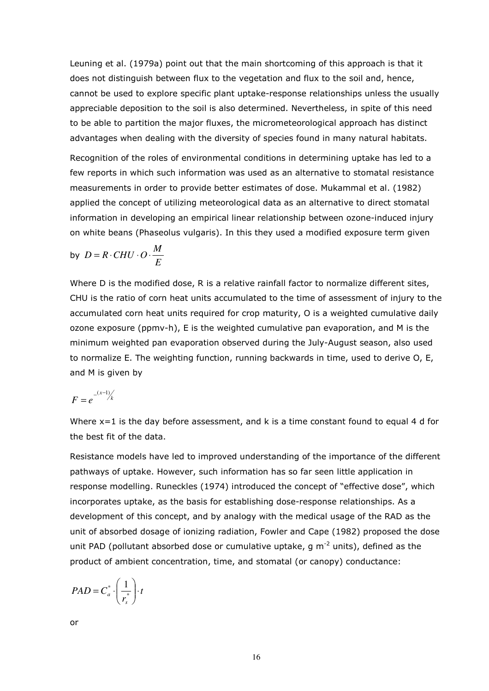Leuning et al. (1979a) point out that the main shortcoming of this approach is that it does not distinguish between flux to the vegetation and flux to the soil and, hence, cannot be used to explore specific plant uptake-response relationships unless the usually appreciable deposition to the soil is also determined. Nevertheless, in spite of this need to be able to partition the major fluxes, the micrometeorological approach has distinct advantages when dealing with the diversity of species found in many natural habitats.

Recognition of the roles of environmental conditions in determining uptake has led to a few reports in which such information was used as an alternative to stomatal resistance measurements in order to provide better estimates of dose. Mukammal et al. (1982) applied the concept of utilizing meteorological data as an alternative to direct stomatal information in developing an empirical linear relationship between ozone-induced injury on white beans (Phaseolus vulgaris). In this they used a modified exposure term given

by 
$$
D = R \cdot CHU \cdot O \cdot \frac{M}{E}
$$

Where D is the modified dose, R is a relative rainfall factor to normalize different sites, CHU is the ratio of corn heat units accumulated to the time of assessment of injury to the accumulated corn heat units required for crop maturity, O is a weighted cumulative daily ozone exposure (ppmv-h), E is the weighted cumulative pan evaporation, and M is the minimum weighted pan evaporation observed during the July-August season, also used to normalize E. The weighting function, running backwards in time, used to derive O, E, and M is given by

$$
F=e^{-\frac{(x-1)}{k}}
$$

Where  $x=1$  is the day before assessment, and k is a time constant found to equal 4 d for the best fit of the data.

Resistance models have led to improved understanding of the importance of the different pathways of uptake. However, such information has so far seen little application in response modelling. Runeckles (1974) introduced the concept of "effective dose", which incorporates uptake, as the basis for establishing dose-response relationships. As a development of this concept, and by analogy with the medical usage of the RAD as the unit of absorbed dosage of ionizing radiation, Fowler and Cape (1982) proposed the dose unit PAD (pollutant absorbed dose or cumulative uptake,  $q m<sup>-2</sup>$  units), defined as the product of ambient concentration, time, and stomatal (or canopy) conductance:

$$
PAD = C_a^* \cdot \left(\frac{1}{r_s^*}\right) \cdot t
$$

or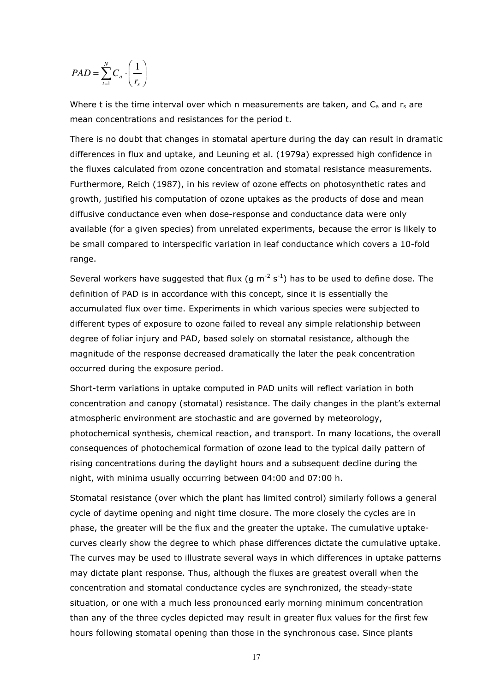$$
PAD = \sum_{t=1}^{N} C_a \cdot \left(\frac{1}{r_s}\right)
$$

Where t is the time interval over which n measurements are taken, and  $C_a$  and  $r_s$  are mean concentrations and resistances for the period t.

There is no doubt that changes in stomatal aperture during the day can result in dramatic differences in flux and uptake, and Leuning et al. (1979a) expressed high confidence in the fluxes calculated from ozone concentration and stomatal resistance measurements. Furthermore, Reich (1987), in his review of ozone effects on photosynthetic rates and growth, justified his computation of ozone uptakes as the products of dose and mean diffusive conductance even when dose-response and conductance data were only available (for a given species) from unrelated experiments, because the error is likely to be small compared to interspecific variation in leaf conductance which covers a 10-fold range.

Several workers have suggested that flux (g  $m^{-2}$  s<sup>-1</sup>) has to be used to define dose. The definition of PAD is in accordance with this concept, since it is essentially the accumulated flux over time. Experiments in which various species were subjected to different types of exposure to ozone failed to reveal any simple relationship between degree of foliar injury and PAD, based solely on stomatal resistance, although the magnitude of the response decreased dramatically the later the peak concentration occurred during the exposure period.

Short-term variations in uptake computed in PAD units will reflect variation in both concentration and canopy (stomatal) resistance. The daily changes in the plant's external atmospheric environment are stochastic and are governed by meteorology, photochemical synthesis, chemical reaction, and transport. In many locations, the overall consequences of photochemical formation of ozone lead to the typical daily pattern of rising concentrations during the daylight hours and a subsequent decline during the night, with minima usually occurring between 04:00 and 07:00 h.

Stomatal resistance (over which the plant has limited control) similarly follows a general cycle of daytime opening and night time closure. The more closely the cycles are in phase, the greater will be the flux and the greater the uptake. The cumulative uptakecurves clearly show the degree to which phase differences dictate the cumulative uptake. The curves may be used to illustrate several ways in which differences in uptake patterns may dictate plant response. Thus, although the fluxes are greatest overall when the concentration and stomatal conductance cycles are synchronized, the steady-state situation, or one with a much less pronounced early morning minimum concentration than any of the three cycles depicted may result in greater flux values for the first few hours following stomatal opening than those in the synchronous case. Since plants

17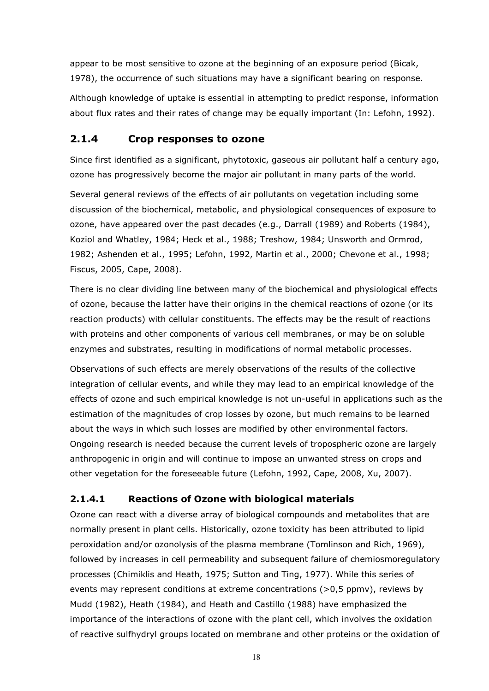appear to be most sensitive to ozone at the beginning of an exposure period (Bicak, 1978), the occurrence of such situations may have a significant bearing on response.

Although knowledge of uptake is essential in attempting to predict response, information about flux rates and their rates of change may be equally important (In: Lefohn, 1992).

# 2.1.4 Crop responses to ozone

Since first identified as a significant, phytotoxic, gaseous air pollutant half a century ago, ozone has progressively become the major air pollutant in many parts of the world.

Several general reviews of the effects of air pollutants on vegetation including some discussion of the biochemical, metabolic, and physiological consequences of exposure to ozone, have appeared over the past decades (e.g., Darrall (1989) and Roberts (1984), Koziol and Whatley, 1984; Heck et al., 1988; Treshow, 1984; Unsworth and Ormrod, 1982; Ashenden et al., 1995; Lefohn, 1992, Martin et al., 2000; Chevone et al., 1998; Fiscus, 2005, Cape, 2008).

There is no clear dividing line between many of the biochemical and physiological effects of ozone, because the latter have their origins in the chemical reactions of ozone (or its reaction products) with cellular constituents. The effects may be the result of reactions with proteins and other components of various cell membranes, or may be on soluble enzymes and substrates, resulting in modifications of normal metabolic processes.

Observations of such effects are merely observations of the results of the collective integration of cellular events, and while they may lead to an empirical knowledge of the effects of ozone and such empirical knowledge is not un-useful in applications such as the estimation of the magnitudes of crop losses by ozone, but much remains to be learned about the ways in which such losses are modified by other environmental factors. Ongoing research is needed because the current levels of tropospheric ozone are largely anthropogenic in origin and will continue to impose an unwanted stress on crops and other vegetation for the foreseeable future (Lefohn, 1992, Cape, 2008, Xu, 2007).

# 2.1.4.1 Reactions of Ozone with biological materials

Ozone can react with a diverse array of biological compounds and metabolites that are normally present in plant cells. Historically, ozone toxicity has been attributed to lipid peroxidation and/or ozonolysis of the plasma membrane (Tomlinson and Rich, 1969), followed by increases in cell permeability and subsequent failure of chemiosmoregulatory processes (Chimiklis and Heath, 1975; Sutton and Ting, 1977). While this series of events may represent conditions at extreme concentrations (>0,5 ppmv), reviews by Mudd (1982), Heath (1984), and Heath and Castillo (1988) have emphasized the importance of the interactions of ozone with the plant cell, which involves the oxidation of reactive sulfhydryl groups located on membrane and other proteins or the oxidation of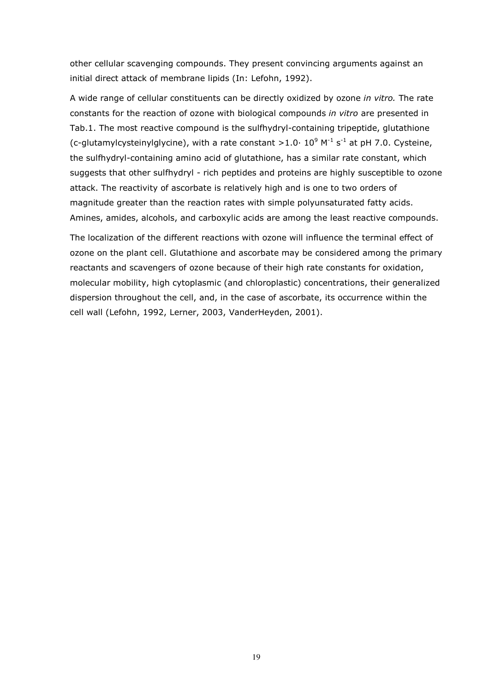other cellular scavenging compounds. They present convincing arguments against an initial direct attack of membrane lipids (In: Lefohn, 1992).

A wide range of cellular constituents can be directly oxidized by ozone in vitro. The rate constants for the reaction of ozone with biological compounds in vitro are presented in Tab.1. The most reactive compound is the sulfhydryl-containing tripeptide, glutathione (c-glutamylcysteinylglycine), with a rate constant >1.0 $\cdot$  10<sup>9</sup> M<sup>-1</sup> s<sup>-1</sup> at pH 7.0. Cysteine, the sulfhydryl-containing amino acid of glutathione, has a similar rate constant, which suggests that other sulfhydryl - rich peptides and proteins are highly susceptible to ozone attack. The reactivity of ascorbate is relatively high and is one to two orders of magnitude greater than the reaction rates with simple polyunsaturated fatty acids. Amines, amides, alcohols, and carboxylic acids are among the least reactive compounds.

The localization of the different reactions with ozone will influence the terminal effect of ozone on the plant cell. Glutathione and ascorbate may be considered among the primary reactants and scavengers of ozone because of their high rate constants for oxidation, molecular mobility, high cytoplasmic (and chloroplastic) concentrations, their generalized dispersion throughout the cell, and, in the case of ascorbate, its occurrence within the cell wall (Lefohn, 1992, Lerner, 2003, VanderHeyden, 2001).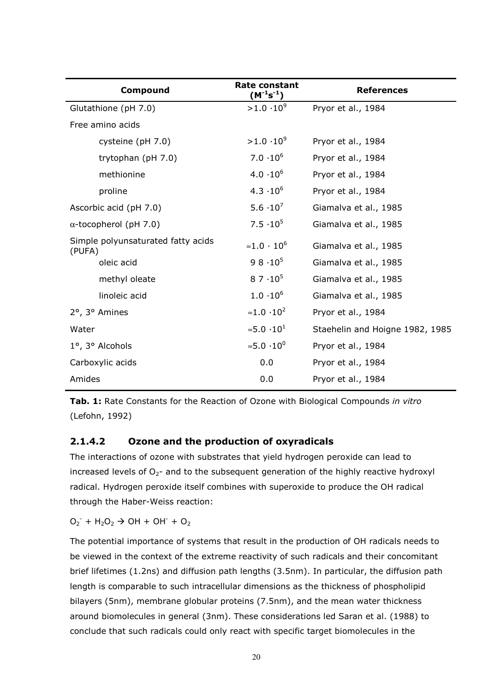| Compound                                     | Rate constant<br>$(M^{-1}s^{-1})$     | <b>References</b>               |
|----------------------------------------------|---------------------------------------|---------------------------------|
| Glutathione (pH 7.0)                         | $>1.0 \cdot 10^{9}$                   | Pryor et al., 1984              |
| Free amino acids                             |                                       |                                 |
| cysteine (pH 7.0)                            | $>1.0.10^{9}$                         | Pryor et al., 1984              |
| trytophan (pH 7.0)                           | $7.0 \cdot 10^{6}$                    | Pryor et al., 1984              |
| methionine                                   | $4.0 \cdot 10^{6}$                    | Pryor et al., 1984              |
| proline                                      | $4.3 \cdot 10^{6}$                    | Pryor et al., 1984              |
| Ascorbic acid (pH 7.0)                       | 5.6 $\cdot 10^{7}$                    | Giamalva et al., 1985           |
| $\alpha$ -tocopherol (pH 7.0)                | $7.5 \cdot 10^5$                      | Giamalva et al., 1985           |
| Simple polyunsaturated fatty acids<br>(PUFA) | $\approx 1.0 \cdot 10^6$              | Giamalva et al., 1985           |
| oleic acid                                   | $98.10^{5}$                           | Giamalva et al., 1985           |
| methyl oleate                                | $87 \cdot 10^{5}$                     | Giamalva et al., 1985           |
| linoleic acid                                | $1.0 \cdot 10^{6}$                    | Giamalva et al., 1985           |
| 2°, 3° Amines                                | $\approx 1.0 \cdot 10^2$              | Pryor et al., 1984              |
| Water                                        | $\approx$ 5.0 $\cdot$ 10 <sup>1</sup> | Staehelin and Hoigne 1982, 1985 |
| 1°, 3° Alcohols                              | ≈5.0 $\cdot$ 10 <sup>0</sup>          | Pryor et al., 1984              |
| Carboxylic acids                             | 0.0                                   | Pryor et al., 1984              |
| Amides                                       | 0.0                                   | Pryor et al., 1984              |

Tab. 1: Rate Constants for the Reaction of Ozone with Biological Compounds in vitro (Lefohn, 1992)

#### 2.1.4.2 Ozone and the production of oxyradicals

The interactions of ozone with substrates that yield hydrogen peroxide can lead to increased levels of  $O<sub>2</sub>$ - and to the subsequent generation of the highly reactive hydroxyl radical. Hydrogen peroxide itself combines with superoxide to produce the OH radical through the Haber-Weiss reaction:

 $O_2$  + H<sub>2</sub>O<sub>2</sub>  $\rightarrow$  OH + OH + O<sub>2</sub>

The potential importance of systems that result in the production of OH radicals needs to be viewed in the context of the extreme reactivity of such radicals and their concomitant brief lifetimes (1.2ns) and diffusion path lengths (3.5nm). In particular, the diffusion path length is comparable to such intracellular dimensions as the thickness of phospholipid bilayers (5nm), membrane globular proteins (7.5nm), and the mean water thickness around biomolecules in general (3nm). These considerations led Saran et al. (1988) to conclude that such radicals could only react with specific target biomolecules in the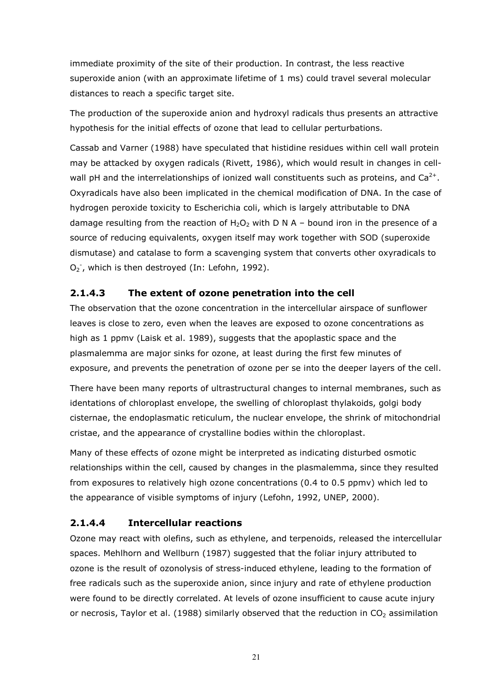immediate proximity of the site of their production. In contrast, the less reactive superoxide anion (with an approximate lifetime of 1 ms) could travel several molecular distances to reach a specific target site.

The production of the superoxide anion and hydroxyl radicals thus presents an attractive hypothesis for the initial effects of ozone that lead to cellular perturbations.

Cassab and Varner (1988) have speculated that histidine residues within cell wall protein may be attacked by oxygen radicals (Rivett, 1986), which would result in changes in cellwall pH and the interrelationships of ionized wall constituents such as proteins, and  $Ca^{2+}$ . Oxyradicals have also been implicated in the chemical modification of DNA. In the case of hydrogen peroxide toxicity to Escherichia coli, which is largely attributable to DNA damage resulting from the reaction of  $H_2O_2$  with D N A – bound iron in the presence of a source of reducing equivalents, oxygen itself may work together with SOD (superoxide dismutase) and catalase to form a scavenging system that converts other oxyradicals to O<sub>2</sub><sup>-</sup>, which is then destroyed (In: Lefohn, 1992).

# 2.1.4.3 The extent of ozone penetration into the cell

The observation that the ozone concentration in the intercellular airspace of sunflower leaves is close to zero, even when the leaves are exposed to ozone concentrations as high as 1 ppmv (Laisk et al. 1989), suggests that the apoplastic space and the plasmalemma are major sinks for ozone, at least during the first few minutes of exposure, and prevents the penetration of ozone per se into the deeper layers of the cell.

There have been many reports of ultrastructural changes to internal membranes, such as identations of chloroplast envelope, the swelling of chloroplast thylakoids, golgi body cisternae, the endoplasmatic reticulum, the nuclear envelope, the shrink of mitochondrial cristae, and the appearance of crystalline bodies within the chloroplast.

Many of these effects of ozone might be interpreted as indicating disturbed osmotic relationships within the cell, caused by changes in the plasmalemma, since they resulted from exposures to relatively high ozone concentrations (0.4 to 0.5 ppmv) which led to the appearance of visible symptoms of injury (Lefohn, 1992, UNEP, 2000).

# 2.1.4.4 Intercellular reactions

Ozone may react with olefins, such as ethylene, and terpenoids, released the intercellular spaces. Mehlhorn and Wellburn (1987) suggested that the foliar injury attributed to ozone is the result of ozonolysis of stress-induced ethylene, leading to the formation of free radicals such as the superoxide anion, since injury and rate of ethylene production were found to be directly correlated. At levels of ozone insufficient to cause acute injury or necrosis, Taylor et al. (1988) similarly observed that the reduction in  $CO<sub>2</sub>$  assimilation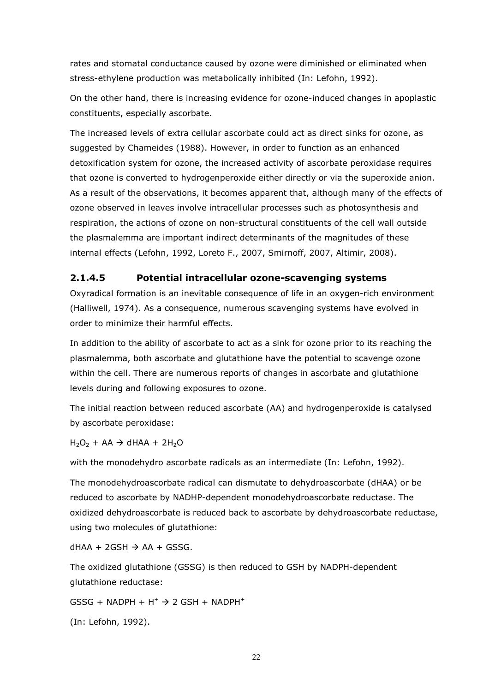rates and stomatal conductance caused by ozone were diminished or eliminated when stress-ethylene production was metabolically inhibited (In: Lefohn, 1992).

On the other hand, there is increasing evidence for ozone-induced changes in apoplastic constituents, especially ascorbate.

The increased levels of extra cellular ascorbate could act as direct sinks for ozone, as suggested by Chameides (1988). However, in order to function as an enhanced detoxification system for ozone, the increased activity of ascorbate peroxidase requires that ozone is converted to hydrogenperoxide either directly or via the superoxide anion. As a result of the observations, it becomes apparent that, although many of the effects of ozone observed in leaves involve intracellular processes such as photosynthesis and respiration, the actions of ozone on non-structural constituents of the cell wall outside the plasmalemma are important indirect determinants of the magnitudes of these internal effects (Lefohn, 1992, Loreto F., 2007, Smirnoff, 2007, Altimir, 2008).

# 2.1.4.5 Potential intracellular ozone-scavenging systems

Oxyradical formation is an inevitable consequence of life in an oxygen-rich environment (Halliwell, 1974). As a consequence, numerous scavenging systems have evolved in order to minimize their harmful effects.

In addition to the ability of ascorbate to act as a sink for ozone prior to its reaching the plasmalemma, both ascorbate and glutathione have the potential to scavenge ozone within the cell. There are numerous reports of changes in ascorbate and glutathione levels during and following exposures to ozone.

The initial reaction between reduced ascorbate (AA) and hydrogenperoxide is catalysed by ascorbate peroxidase:

 $H_2O_2$  + AA  $\rightarrow$  dHAA + 2H<sub>2</sub>O

with the monodehydro ascorbate radicals as an intermediate (In: Lefohn, 1992).

The monodehydroascorbate radical can dismutate to dehydroascorbate (dHAA) or be reduced to ascorbate by NADHP-dependent monodehydroascorbate reductase. The oxidized dehydroascorbate is reduced back to ascorbate by dehydroascorbate reductase, using two molecules of glutathione:

 $dHAA + 2GSH \rightarrow AA + GSSG.$ 

The oxidized glutathione (GSSG) is then reduced to GSH by NADPH-dependent glutathione reductase:

 $GSSG + NADPH + H^+ \rightarrow 2 GSH + NADPH^+$ 

(In: Lefohn, 1992).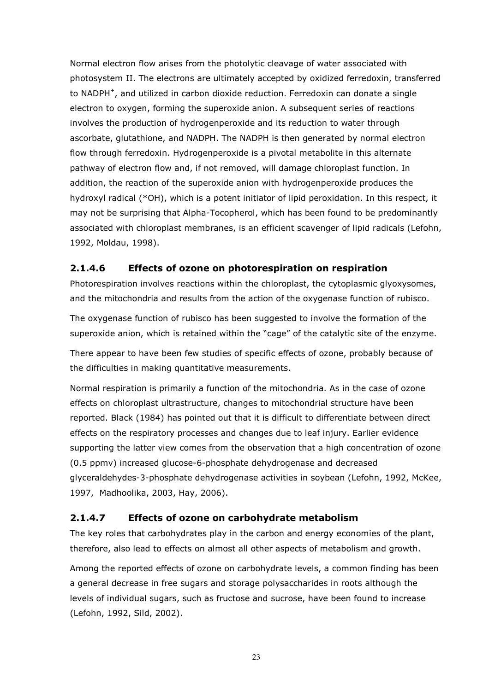Normal electron flow arises from the photolytic cleavage of water associated with photosystem II. The electrons are ultimately accepted by oxidized ferredoxin, transferred to NADPH<sup>+</sup>, and utilized in carbon dioxide reduction. Ferredoxin can donate a single electron to oxygen, forming the superoxide anion. A subsequent series of reactions involves the production of hydrogenperoxide and its reduction to water through ascorbate, glutathione, and NADPH. The NADPH is then generated by normal electron flow through ferredoxin. Hydrogenperoxide is a pivotal metabolite in this alternate pathway of electron flow and, if not removed, will damage chloroplast function. In addition, the reaction of the superoxide anion with hydrogenperoxide produces the hydroxyl radical (\*OH), which is a potent initiator of lipid peroxidation. In this respect, it may not be surprising that Alpha-Tocopherol, which has been found to be predominantly associated with chloroplast membranes, is an efficient scavenger of lipid radicals (Lefohn, 1992, Moldau, 1998).

## 2.1.4.6 Effects of ozone on photorespiration on respiration

Photorespiration involves reactions within the chloroplast, the cytoplasmic glyoxysomes, and the mitochondria and results from the action of the oxygenase function of rubisco.

The oxygenase function of rubisco has been suggested to involve the formation of the superoxide anion, which is retained within the "cage" of the catalytic site of the enzyme.

There appear to have been few studies of specific effects of ozone, probably because of the difficulties in making quantitative measurements.

Normal respiration is primarily a function of the mitochondria. As in the case of ozone effects on chloroplast ultrastructure, changes to mitochondrial structure have been reported. Black (1984) has pointed out that it is difficult to differentiate between direct effects on the respiratory processes and changes due to leaf injury. Earlier evidence supporting the latter view comes from the observation that a high concentration of ozone (0.5 ppmv) increased glucose-6-phosphate dehydrogenase and decreased glyceraldehydes-3-phosphate dehydrogenase activities in soybean (Lefohn, 1992, McKee, 1997, Madhoolika, 2003, Hay, 2006).

#### 2.1.4.7 Effects of ozone on carbohydrate metabolism

The key roles that carbohydrates play in the carbon and energy economies of the plant, therefore, also lead to effects on almost all other aspects of metabolism and growth.

Among the reported effects of ozone on carbohydrate levels, a common finding has been a general decrease in free sugars and storage polysaccharides in roots although the levels of individual sugars, such as fructose and sucrose, have been found to increase (Lefohn, 1992, Sild, 2002).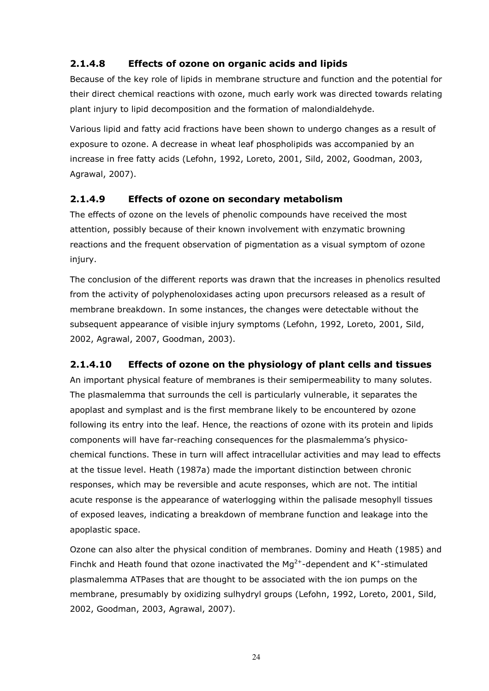# 2.1.4.8 Effects of ozone on organic acids and lipids

Because of the key role of lipids in membrane structure and function and the potential for their direct chemical reactions with ozone, much early work was directed towards relating plant injury to lipid decomposition and the formation of malondialdehyde.

Various lipid and fatty acid fractions have been shown to undergo changes as a result of exposure to ozone. A decrease in wheat leaf phospholipids was accompanied by an increase in free fatty acids (Lefohn, 1992, Loreto, 2001, Sild, 2002, Goodman, 2003, Agrawal, 2007).

## 2.1.4.9 Effects of ozone on secondary metabolism

The effects of ozone on the levels of phenolic compounds have received the most attention, possibly because of their known involvement with enzymatic browning reactions and the frequent observation of pigmentation as a visual symptom of ozone injury.

The conclusion of the different reports was drawn that the increases in phenolics resulted from the activity of polyphenoloxidases acting upon precursors released as a result of membrane breakdown. In some instances, the changes were detectable without the subsequent appearance of visible injury symptoms (Lefohn, 1992, Loreto, 2001, Sild, 2002, Agrawal, 2007, Goodman, 2003).

# 2.1.4.10 Effects of ozone on the physiology of plant cells and tissues

An important physical feature of membranes is their semipermeability to many solutes. The plasmalemma that surrounds the cell is particularly vulnerable, it separates the apoplast and symplast and is the first membrane likely to be encountered by ozone following its entry into the leaf. Hence, the reactions of ozone with its protein and lipids components will have far-reaching consequences for the plasmalemma's physicochemical functions. These in turn will affect intracellular activities and may lead to effects at the tissue level. Heath (1987a) made the important distinction between chronic responses, which may be reversible and acute responses, which are not. The intitial acute response is the appearance of waterlogging within the palisade mesophyll tissues of exposed leaves, indicating a breakdown of membrane function and leakage into the apoplastic space.

Ozone can also alter the physical condition of membranes. Dominy and Heath (1985) and Finchk and Heath found that ozone inactivated the  $Mg^{2+}$ -dependent and K<sup>+</sup>-stimulated plasmalemma ATPases that are thought to be associated with the ion pumps on the membrane, presumably by oxidizing sulhydryl groups (Lefohn, 1992, Loreto, 2001, Sild, 2002, Goodman, 2003, Agrawal, 2007).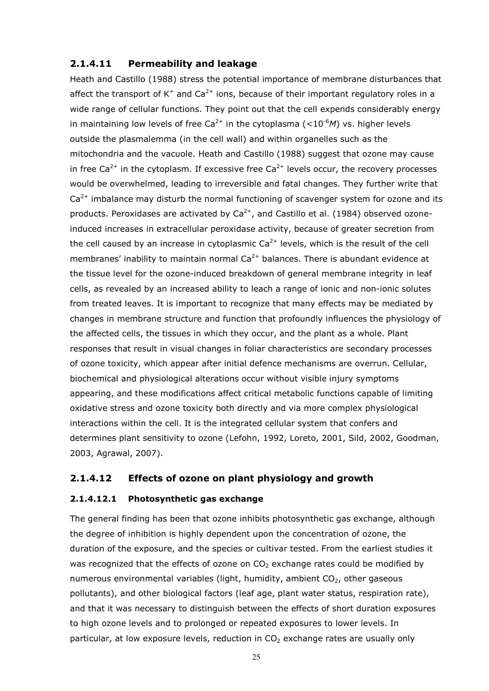#### 2.1.4.11 Permeability and leakage

Heath and Castillo (1988) stress the potential importance of membrane disturbances that affect the transport of  $K^+$  and Ca<sup>2+</sup> ions, because of their important regulatory roles in a wide range of cellular functions. They point out that the cell expends considerably energy in maintaining low levels of free Ca<sup>2+</sup> in the cytoplasma (<10<sup>-6</sup>M) vs. higher levels outside the plasmalemma (in the cell wall) and within organelles such as the mitochondria and the vacuole. Heath and Castillo (1988) suggest that ozone may cause in free  $Ca^{2+}$  in the cytoplasm. If excessive free  $Ca^{2+}$  levels occur, the recovery processes would be overwhelmed, leading to irreversible and fatal changes. They further write that  $Ca<sup>2+</sup>$  imbalance may disturb the normal functioning of scavenger system for ozone and its products. Peroxidases are activated by  $Ca^{2+}$ , and Castillo et al. (1984) observed ozoneinduced increases in extracellular peroxidase activity, because of greater secretion from the cell caused by an increase in cytoplasmic  $Ca^{2+}$  levels, which is the result of the cell membranes' inability to maintain normal  $Ca^{2+}$  balances. There is abundant evidence at the tissue level for the ozone-induced breakdown of general membrane integrity in leaf cells, as revealed by an increased ability to leach a range of ionic and non-ionic solutes from treated leaves. It is important to recognize that many effects may be mediated by changes in membrane structure and function that profoundly influences the physiology of the affected cells, the tissues in which they occur, and the plant as a whole. Plant responses that result in visual changes in foliar characteristics are secondary processes of ozone toxicity, which appear after initial defence mechanisms are overrun. Cellular, biochemical and physiological alterations occur without visible injury symptoms appearing, and these modifications affect critical metabolic functions capable of limiting oxidative stress and ozone toxicity both directly and via more complex physiological interactions within the cell. It is the integrated cellular system that confers and determines plant sensitivity to ozone (Lefohn, 1992, Loreto, 2001, Sild, 2002, Goodman, 2003, Agrawal, 2007).

#### 2.1.4.12 Effects of ozone on plant physiology and growth

#### 2.1.4.12.1 Photosynthetic gas exchange

The general finding has been that ozone inhibits photosynthetic gas exchange, although the degree of inhibition is highly dependent upon the concentration of ozone, the duration of the exposure, and the species or cultivar tested. From the earliest studies it was recognized that the effects of ozone on  $CO<sub>2</sub>$  exchange rates could be modified by numerous environmental variables (light, humidity, ambient  $CO<sub>2</sub>$ , other gaseous pollutants), and other biological factors (leaf age, plant water status, respiration rate), and that it was necessary to distinguish between the effects of short duration exposures to high ozone levels and to prolonged or repeated exposures to lower levels. In particular, at low exposure levels, reduction in  $CO<sub>2</sub>$  exchange rates are usually only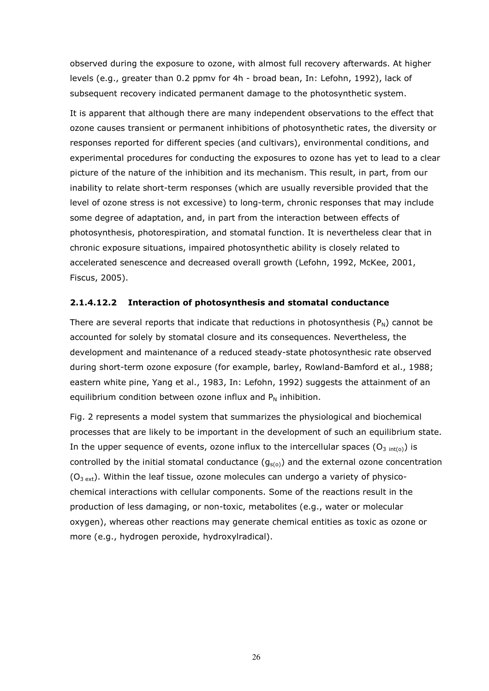observed during the exposure to ozone, with almost full recovery afterwards. At higher levels (e.g., greater than 0.2 ppmv for 4h - broad bean, In: Lefohn, 1992), lack of subsequent recovery indicated permanent damage to the photosynthetic system.

It is apparent that although there are many independent observations to the effect that ozone causes transient or permanent inhibitions of photosynthetic rates, the diversity or responses reported for different species (and cultivars), environmental conditions, and experimental procedures for conducting the exposures to ozone has yet to lead to a clear picture of the nature of the inhibition and its mechanism. This result, in part, from our inability to relate short-term responses (which are usually reversible provided that the level of ozone stress is not excessive) to long-term, chronic responses that may include some degree of adaptation, and, in part from the interaction between effects of photosynthesis, photorespiration, and stomatal function. It is nevertheless clear that in chronic exposure situations, impaired photosynthetic ability is closely related to accelerated senescence and decreased overall growth (Lefohn, 1992, McKee, 2001, Fiscus, 2005).

#### 2.1.4.12.2 Interaction of photosynthesis and stomatal conductance

There are several reports that indicate that reductions in photosynthesis  $(P_N)$  cannot be accounted for solely by stomatal closure and its consequences. Nevertheless, the development and maintenance of a reduced steady-state photosynthesic rate observed during short-term ozone exposure (for example, barley, Rowland-Bamford et al., 1988; eastern white pine, Yang et al., 1983, In: Lefohn, 1992) suggests the attainment of an equilibrium condition between ozone influx and  $P_N$  inhibition.

Fig. 2 represents a model system that summarizes the physiological and biochemical processes that are likely to be important in the development of such an equilibrium state. In the upper sequence of events, ozone influx to the intercellular spaces ( $O_{3 \text{ int}(o)}$ ) is controlled by the initial stomatal conductance  $(g<sub>s(o)</sub>)$  and the external ozone concentration  $(O<sub>3 ext</sub>)$ . Within the leaf tissue, ozone molecules can undergo a variety of physicochemical interactions with cellular components. Some of the reactions result in the production of less damaging, or non-toxic, metabolites (e.g., water or molecular oxygen), whereas other reactions may generate chemical entities as toxic as ozone or more (e.g., hydrogen peroxide, hydroxylradical).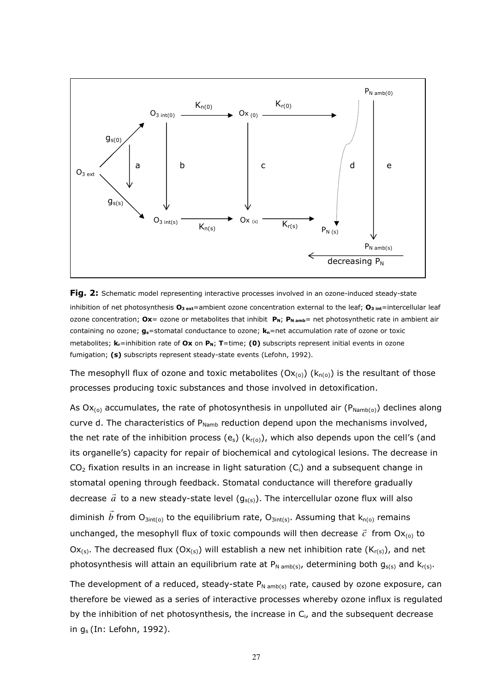

Fig. 2: Schematic model representing interactive processes involved in an ozone-induced steady-state inhibition of net photosynthesis  $O_{3 \text{ ext}}$ =ambient ozone concentration external to the leaf;  $O_{3 \text{ int}}$ =intercellular leaf ozone concentration; Ox= ozone or metabolites that inhibit  $P_N$ ;  $P_N$ <sub>amb</sub>= net photosynthetic rate in ambient air containing no ozone;  $g_s$ =stomatal conductance to ozone;  $k_n$ =net accumulation rate of ozone or toxic metabolites;  $k_r$ =inhibition rate of Ox on  $P_N$ ; T=time; (0) subscripts represent initial events in ozone fumigation; (s) subscripts represent steady-state events (Lefohn, 1992).

The mesophyll flux of ozone and toxic metabolites  $(Ox_{(0)}) (k_{n(0)})$  is the resultant of those processes producing toxic substances and those involved in detoxification.

As  $Ox_{(0)}$  accumulates, the rate of photosynthesis in unpolluted air ( $P_{\text{Namb}(0)}$ ) declines along curve d. The characteristics of  $P_{Namb}$  reduction depend upon the mechanisms involved, the net rate of the inhibition process (e<sub>s</sub>) ( $k_{r(0)}$ ), which also depends upon the cell's (and its organelle's) capacity for repair of biochemical and cytological lesions. The decrease in  $CO<sub>2</sub>$  fixation results in an increase in light saturation  $(C<sub>i</sub>)$  and a subsequent change in stomatal opening through feedback. Stomatal conductance will therefore gradually decrease *a*  $\frac{1}{2}$ to a new steady-state level  $(g_{s(s)})$ . The intercellular ozone flux will also diminish *b*  $\rightarrow$ from  $O_{3int(o)}$  to the equilibrium rate,  $O_{3int(s)}$ . Assuming that  $k_{n(o)}$  remains unchanged, the mesophyll flux of toxic compounds will then decrease  $\vec{c}$  $\rightarrow$ from  $Ox_{(0)}$  to Ox<sub>(s)</sub>. The decreased flux (Ox<sub>(s)</sub>) will establish a new net inhibition rate (K<sub>r(s)</sub>), and net photosynthesis will attain an equilibrium rate at  $P_{N \text{ amb}(s)}$ , determining both  $g_{s(s)}$  and  $k_{r(s)}$ .

The development of a reduced, steady-state  $P_{N \text{ amb}(s)}$  rate, caused by ozone exposure, can therefore be viewed as a series of interactive processes whereby ozone influx is regulated by the inhibition of net photosynthesis, the increase in  $C_i$ , and the subsequent decrease in  $q_s$  (In: Lefohn, 1992).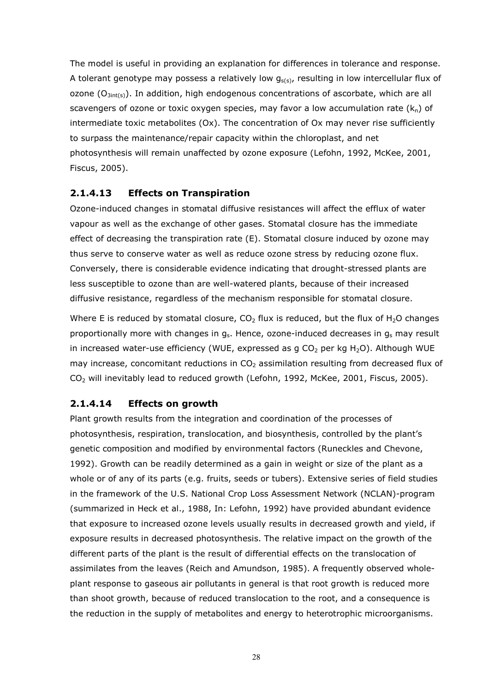The model is useful in providing an explanation for differences in tolerance and response. A tolerant genotype may possess a relatively low  $g_{s(s)}$ , resulting in low intercellular flux of ozone  $(O_{3int(s)})$ . In addition, high endogenous concentrations of ascorbate, which are all scavengers of ozone or toxic oxygen species, may favor a low accumulation rate  $(k_n)$  of intermediate toxic metabolites (Ox). The concentration of Ox may never rise sufficiently to surpass the maintenance/repair capacity within the chloroplast, and net photosynthesis will remain unaffected by ozone exposure (Lefohn, 1992, McKee, 2001, Fiscus, 2005).

#### 2.1.4.13 Effects on Transpiration

Ozone-induced changes in stomatal diffusive resistances will affect the efflux of water vapour as well as the exchange of other gases. Stomatal closure has the immediate effect of decreasing the transpiration rate (E). Stomatal closure induced by ozone may thus serve to conserve water as well as reduce ozone stress by reducing ozone flux. Conversely, there is considerable evidence indicating that drought-stressed plants are less susceptible to ozone than are well-watered plants, because of their increased diffusive resistance, regardless of the mechanism responsible for stomatal closure.

Where E is reduced by stomatal closure,  $CO<sub>2</sub>$  flux is reduced, but the flux of H<sub>2</sub>O changes proportionally more with changes in  $g_s$ . Hence, ozone-induced decreases in  $g_s$  may result in increased water-use efficiency (WUE, expressed as g  $CO<sub>2</sub>$  per kg H<sub>2</sub>O). Although WUE may increase, concomitant reductions in  $CO<sub>2</sub>$  assimilation resulting from decreased flux of CO2 will inevitably lead to reduced growth (Lefohn, 1992, McKee, 2001, Fiscus, 2005).

#### 2.1.4.14 Effects on growth

Plant growth results from the integration and coordination of the processes of photosynthesis, respiration, translocation, and biosynthesis, controlled by the plant's genetic composition and modified by environmental factors (Runeckles and Chevone, 1992). Growth can be readily determined as a gain in weight or size of the plant as a whole or of any of its parts (e.g. fruits, seeds or tubers). Extensive series of field studies in the framework of the U.S. National Crop Loss Assessment Network (NCLAN)-program (summarized in Heck et al., 1988, In: Lefohn, 1992) have provided abundant evidence that exposure to increased ozone levels usually results in decreased growth and yield, if exposure results in decreased photosynthesis. The relative impact on the growth of the different parts of the plant is the result of differential effects on the translocation of assimilates from the leaves (Reich and Amundson, 1985). A frequently observed wholeplant response to gaseous air pollutants in general is that root growth is reduced more than shoot growth, because of reduced translocation to the root, and a consequence is the reduction in the supply of metabolites and energy to heterotrophic microorganisms.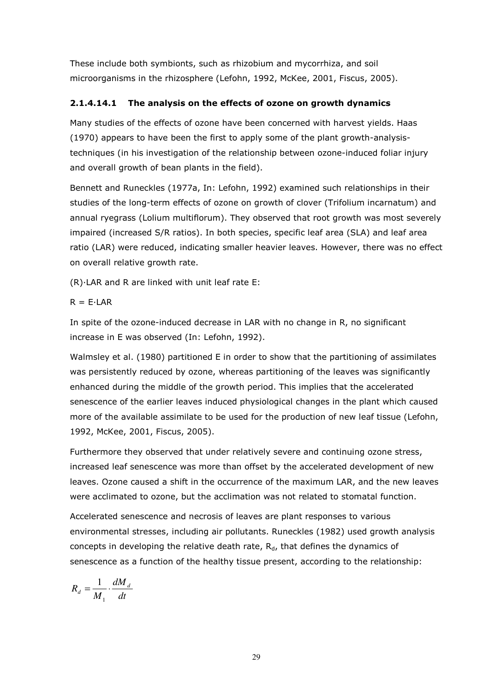These include both symbionts, such as rhizobium and mycorrhiza, and soil microorganisms in the rhizosphere (Lefohn, 1992, McKee, 2001, Fiscus, 2005).

#### 2.1.4.14.1 The analysis on the effects of ozone on growth dynamics

Many studies of the effects of ozone have been concerned with harvest yields. Haas (1970) appears to have been the first to apply some of the plant growth-analysistechniques (in his investigation of the relationship between ozone-induced foliar injury and overall growth of bean plants in the field).

Bennett and Runeckles (1977a, In: Lefohn, 1992) examined such relationships in their studies of the long-term effects of ozone on growth of clover (Trifolium incarnatum) and annual ryegrass (Lolium multiflorum). They observed that root growth was most severely impaired (increased S/R ratios). In both species, specific leaf area (SLA) and leaf area ratio (LAR) were reduced, indicating smaller heavier leaves. However, there was no effect on overall relative growth rate.

 $(R)$ . LAR and R are linked with unit leaf rate E:

 $R = F \cdot I AR$ 

In spite of the ozone-induced decrease in LAR with no change in R, no significant increase in E was observed (In: Lefohn, 1992).

Walmsley et al. (1980) partitioned E in order to show that the partitioning of assimilates was persistently reduced by ozone, whereas partitioning of the leaves was significantly enhanced during the middle of the growth period. This implies that the accelerated senescence of the earlier leaves induced physiological changes in the plant which caused more of the available assimilate to be used for the production of new leaf tissue (Lefohn, 1992, McKee, 2001, Fiscus, 2005).

Furthermore they observed that under relatively severe and continuing ozone stress, increased leaf senescence was more than offset by the accelerated development of new leaves. Ozone caused a shift in the occurrence of the maximum LAR, and the new leaves were acclimated to ozone, but the acclimation was not related to stomatal function.

Accelerated senescence and necrosis of leaves are plant responses to various environmental stresses, including air pollutants. Runeckles (1982) used growth analysis concepts in developing the relative death rate,  $R_d$ , that defines the dynamics of senescence as a function of the healthy tissue present, according to the relationship:

$$
R_d = \frac{1}{M_1} \cdot \frac{dM_d}{dt}
$$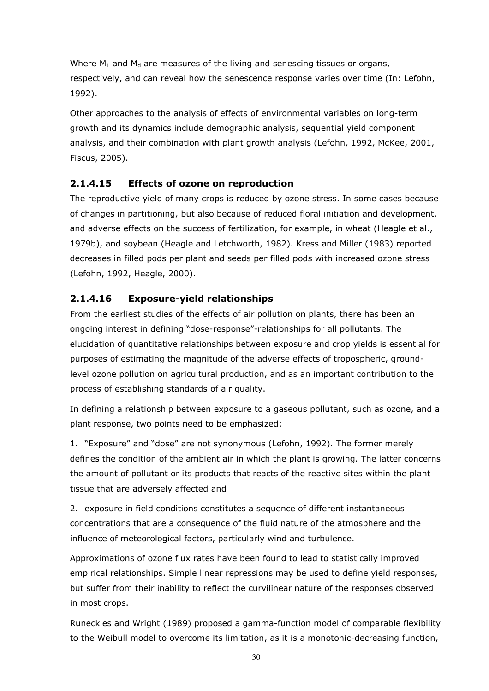Where  $M_1$  and  $M_d$  are measures of the living and senescing tissues or organs, respectively, and can reveal how the senescence response varies over time (In: Lefohn, 1992).

Other approaches to the analysis of effects of environmental variables on long-term growth and its dynamics include demographic analysis, sequential yield component analysis, and their combination with plant growth analysis (Lefohn, 1992, McKee, 2001, Fiscus, 2005).

# 2.1.4.15 Effects of ozone on reproduction

The reproductive yield of many crops is reduced by ozone stress. In some cases because of changes in partitioning, but also because of reduced floral initiation and development, and adverse effects on the success of fertilization, for example, in wheat (Heagle et al., 1979b), and soybean (Heagle and Letchworth, 1982). Kress and Miller (1983) reported decreases in filled pods per plant and seeds per filled pods with increased ozone stress (Lefohn, 1992, Heagle, 2000).

# 2.1.4.16 Exposure-yield relationships

From the earliest studies of the effects of air pollution on plants, there has been an ongoing interest in defining "dose-response"-relationships for all pollutants. The elucidation of quantitative relationships between exposure and crop yields is essential for purposes of estimating the magnitude of the adverse effects of tropospheric, groundlevel ozone pollution on agricultural production, and as an important contribution to the process of establishing standards of air quality.

In defining a relationship between exposure to a gaseous pollutant, such as ozone, and a plant response, two points need to be emphasized:

1. "Exposure" and "dose" are not synonymous (Lefohn, 1992). The former merely defines the condition of the ambient air in which the plant is growing. The latter concerns the amount of pollutant or its products that reacts of the reactive sites within the plant tissue that are adversely affected and

2. exposure in field conditions constitutes a sequence of different instantaneous concentrations that are a consequence of the fluid nature of the atmosphere and the influence of meteorological factors, particularly wind and turbulence.

Approximations of ozone flux rates have been found to lead to statistically improved empirical relationships. Simple linear repressions may be used to define yield responses, but suffer from their inability to reflect the curvilinear nature of the responses observed in most crops.

Runeckles and Wright (1989) proposed a gamma-function model of comparable flexibility to the Weibull model to overcome its limitation, as it is a monotonic-decreasing function,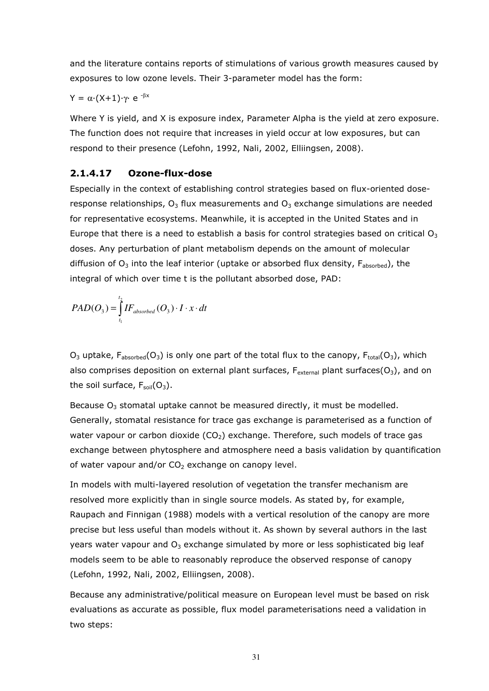and the literature contains reports of stimulations of various growth measures caused by exposures to low ozone levels. Their 3-parameter model has the form:

#### $Y = \alpha \cdot (X+1) \cdot \gamma$  e  $\beta x$

Where Y is yield, and X is exposure index, Parameter Alpha is the yield at zero exposure. The function does not require that increases in yield occur at low exposures, but can respond to their presence (Lefohn, 1992, Nali, 2002, Elliingsen, 2008).

#### 2.1.4.17 Ozone-flux-dose

Especially in the context of establishing control strategies based on flux-oriented doseresponse relationships,  $O_3$  flux measurements and  $O_3$  exchange simulations are needed for representative ecosystems. Meanwhile, it is accepted in the United States and in Europe that there is a need to establish a basis for control strategies based on critical  $O_3$ doses. Any perturbation of plant metabolism depends on the amount of molecular diffusion of  $O_3$  into the leaf interior (uptake or absorbed flux density,  $F_{absorbed}$ ), the integral of which over time t is the pollutant absorbed dose, PAD:

$$
PAD(O_3) = \int_{t_1}^{t_2} IF_{absorbed}(O_3) \cdot I \cdot x \cdot dt
$$

 $O_3$  uptake,  $F_{absorbed}(O_3)$  is only one part of the total flux to the canopy,  $F_{total}(O_3)$ , which also comprises deposition on external plant surfaces,  $F_{\text{external}}$  plant surfaces( $O_3$ ), and on the soil surface,  $F_{\text{soil}}(O_3)$ .

Because  $O_3$  stomatal uptake cannot be measured directly, it must be modelled. Generally, stomatal resistance for trace gas exchange is parameterised as a function of water vapour or carbon dioxide  $(CO<sub>2</sub>)$  exchange. Therefore, such models of trace gas exchange between phytosphere and atmosphere need a basis validation by quantification of water vapour and/or  $CO<sub>2</sub>$  exchange on canopy level.

In models with multi-layered resolution of vegetation the transfer mechanism are resolved more explicitly than in single source models. As stated by, for example, Raupach and Finnigan (1988) models with a vertical resolution of the canopy are more precise but less useful than models without it. As shown by several authors in the last years water vapour and  $O_3$  exchange simulated by more or less sophisticated big leaf models seem to be able to reasonably reproduce the observed response of canopy (Lefohn, 1992, Nali, 2002, Elliingsen, 2008).

Because any administrative/political measure on European level must be based on risk evaluations as accurate as possible, flux model parameterisations need a validation in two steps: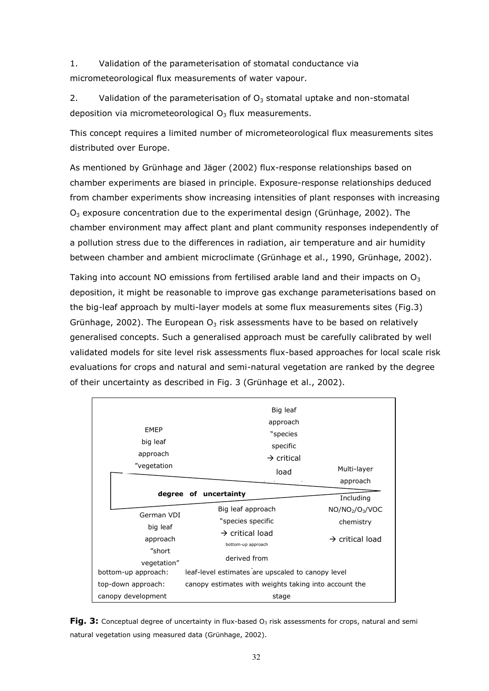1. Validation of the parameterisation of stomatal conductance via micrometeorological flux measurements of water vapour.

2. Validation of the parameterisation of  $O_3$  stomatal uptake and non-stomatal deposition via micrometeorological  $O<sub>3</sub>$  flux measurements.

This concept requires a limited number of micrometeorological flux measurements sites distributed over Europe.

As mentioned by Grünhage and Jäger (2002) flux-response relationships based on chamber experiments are biased in principle. Exposure-response relationships deduced from chamber experiments show increasing intensities of plant responses with increasing  $O<sub>3</sub>$  exposure concentration due to the experimental design (Grünhage, 2002). The chamber environment may affect plant and plant community responses independently of a pollution stress due to the differences in radiation, air temperature and air humidity between chamber and ambient microclimate (Grünhage et al., 1990, Grünhage, 2002).

Taking into account NO emissions from fertilised arable land and their impacts on  $O_3$ deposition, it might be reasonable to improve gas exchange parameterisations based on the big-leaf approach by multi-layer models at some flux measurements sites (Fig.3) Grünhage, 2002). The European  $O_3$  risk assessments have to be based on relatively generalised concepts. Such a generalised approach must be carefully calibrated by well validated models for site level risk assessments flux-based approaches for local scale risk evaluations for crops and natural and semi-natural vegetation are ranked by the degree of their uncertainty as described in Fig. 3 (Grünhage et al., 2002).

| <b>EMEP</b><br>big leaf<br>approach<br>"vegetation | Big leaf<br>approach<br>"species<br>specific<br>$\rightarrow$ critical<br>load | Multi-layer                                          |
|----------------------------------------------------|--------------------------------------------------------------------------------|------------------------------------------------------|
|                                                    | degree of uncertainty                                                          | approach<br>Including                                |
| German VDI<br>big leaf                             | Big leaf approach<br>"species specific                                         | NO/NO <sub>2</sub> /O <sub>3</sub> /VOC<br>chemistry |
| approach<br>"short                                 | $\rightarrow$ critical load<br>bottom-up approach                              | $\rightarrow$ critical load                          |
| vegetation"<br>bottom-up approach:                 | derived from<br>leaf-level estimates are upscaled to canopy level              |                                                      |
| top-down approach:                                 | canopy estimates with weights taking into account the                          |                                                      |
| canopy development                                 | stage                                                                          |                                                      |

**Fig. 3:** Conceptual degree of uncertainty in flux-based  $O_3$  risk assessments for crops, natural and semi natural vegetation using measured data (Grünhage, 2002).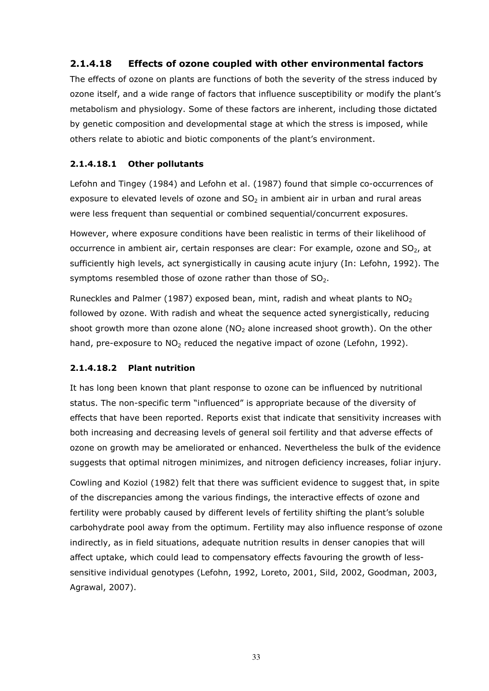## 2.1.4.18 Effects of ozone coupled with other environmental factors

The effects of ozone on plants are functions of both the severity of the stress induced by ozone itself, and a wide range of factors that influence susceptibility or modify the plant's metabolism and physiology. Some of these factors are inherent, including those dictated by genetic composition and developmental stage at which the stress is imposed, while others relate to abiotic and biotic components of the plant's environment.

#### 2.1.4.18.1 Other pollutants

Lefohn and Tingey (1984) and Lefohn et al. (1987) found that simple co-occurrences of exposure to elevated levels of ozone and  $SO<sub>2</sub>$  in ambient air in urban and rural areas were less frequent than sequential or combined sequential/concurrent exposures.

However, where exposure conditions have been realistic in terms of their likelihood of occurrence in ambient air, certain responses are clear: For example, ozone and  $SO<sub>2</sub>$ , at sufficiently high levels, act synergistically in causing acute injury (In: Lefohn, 1992). The symptoms resembled those of ozone rather than those of  $SO<sub>2</sub>$ .

Runeckles and Palmer (1987) exposed bean, mint, radish and wheat plants to  $NO<sub>2</sub>$ followed by ozone. With radish and wheat the sequence acted synergistically, reducing shoot growth more than ozone alone ( $NO<sub>2</sub>$  alone increased shoot growth). On the other hand, pre-exposure to  $NO<sub>2</sub>$  reduced the negative impact of ozone (Lefohn, 1992).

#### 2.1.4.18.2 Plant nutrition

It has long been known that plant response to ozone can be influenced by nutritional status. The non-specific term "influenced" is appropriate because of the diversity of effects that have been reported. Reports exist that indicate that sensitivity increases with both increasing and decreasing levels of general soil fertility and that adverse effects of ozone on growth may be ameliorated or enhanced. Nevertheless the bulk of the evidence suggests that optimal nitrogen minimizes, and nitrogen deficiency increases, foliar injury.

Cowling and Koziol (1982) felt that there was sufficient evidence to suggest that, in spite of the discrepancies among the various findings, the interactive effects of ozone and fertility were probably caused by different levels of fertility shifting the plant's soluble carbohydrate pool away from the optimum. Fertility may also influence response of ozone indirectly, as in field situations, adequate nutrition results in denser canopies that will affect uptake, which could lead to compensatory effects favouring the growth of lesssensitive individual genotypes (Lefohn, 1992, Loreto, 2001, Sild, 2002, Goodman, 2003, Agrawal, 2007).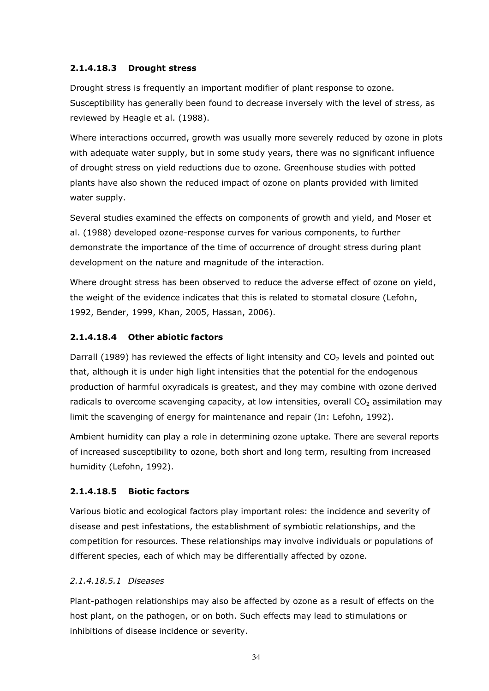#### 2.1.4.18.3 Drought stress

Drought stress is frequently an important modifier of plant response to ozone. Susceptibility has generally been found to decrease inversely with the level of stress, as reviewed by Heagle et al. (1988).

Where interactions occurred, growth was usually more severely reduced by ozone in plots with adequate water supply, but in some study years, there was no significant influence of drought stress on yield reductions due to ozone. Greenhouse studies with potted plants have also shown the reduced impact of ozone on plants provided with limited water supply.

Several studies examined the effects on components of growth and yield, and Moser et al. (1988) developed ozone-response curves for various components, to further demonstrate the importance of the time of occurrence of drought stress during plant development on the nature and magnitude of the interaction.

Where drought stress has been observed to reduce the adverse effect of ozone on yield, the weight of the evidence indicates that this is related to stomatal closure (Lefohn, 1992, Bender, 1999, Khan, 2005, Hassan, 2006).

#### 2.1.4.18.4 Other abiotic factors

Darrall (1989) has reviewed the effects of light intensity and  $CO<sub>2</sub>$  levels and pointed out that, although it is under high light intensities that the potential for the endogenous production of harmful oxyradicals is greatest, and they may combine with ozone derived radicals to overcome scavenging capacity, at low intensities, overall  $CO<sub>2</sub>$  assimilation may limit the scavenging of energy for maintenance and repair (In: Lefohn, 1992).

Ambient humidity can play a role in determining ozone uptake. There are several reports of increased susceptibility to ozone, both short and long term, resulting from increased humidity (Lefohn, 1992).

#### 2.1.4.18.5 Biotic factors

Various biotic and ecological factors play important roles: the incidence and severity of disease and pest infestations, the establishment of symbiotic relationships, and the competition for resources. These relationships may involve individuals or populations of different species, each of which may be differentially affected by ozone.

#### 2.1.4.18.5.1 Diseases

Plant-pathogen relationships may also be affected by ozone as a result of effects on the host plant, on the pathogen, or on both. Such effects may lead to stimulations or inhibitions of disease incidence or severity.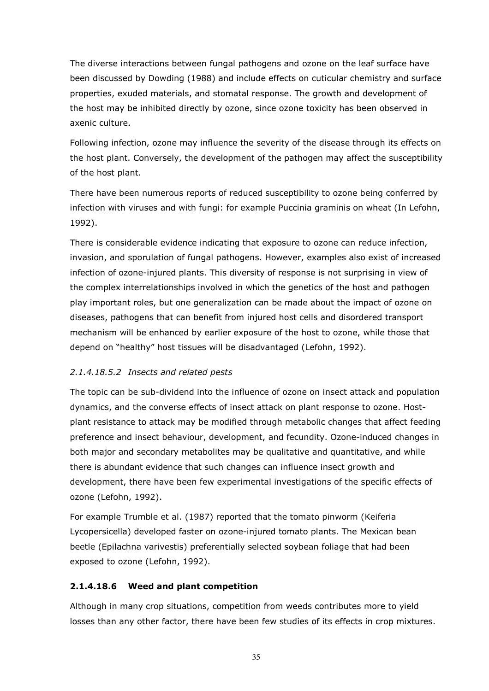The diverse interactions between fungal pathogens and ozone on the leaf surface have been discussed by Dowding (1988) and include effects on cuticular chemistry and surface properties, exuded materials, and stomatal response. The growth and development of the host may be inhibited directly by ozone, since ozone toxicity has been observed in axenic culture.

Following infection, ozone may influence the severity of the disease through its effects on the host plant. Conversely, the development of the pathogen may affect the susceptibility of the host plant.

There have been numerous reports of reduced susceptibility to ozone being conferred by infection with viruses and with fungi: for example Puccinia graminis on wheat (In Lefohn, 1992).

There is considerable evidence indicating that exposure to ozone can reduce infection, invasion, and sporulation of fungal pathogens. However, examples also exist of increased infection of ozone-injured plants. This diversity of response is not surprising in view of the complex interrelationships involved in which the genetics of the host and pathogen play important roles, but one generalization can be made about the impact of ozone on diseases, pathogens that can benefit from injured host cells and disordered transport mechanism will be enhanced by earlier exposure of the host to ozone, while those that depend on "healthy" host tissues will be disadvantaged (Lefohn, 1992).

#### 2.1.4.18.5.2 Insects and related pests

The topic can be sub-dividend into the influence of ozone on insect attack and population dynamics, and the converse effects of insect attack on plant response to ozone. Hostplant resistance to attack may be modified through metabolic changes that affect feeding preference and insect behaviour, development, and fecundity. Ozone-induced changes in both major and secondary metabolites may be qualitative and quantitative, and while there is abundant evidence that such changes can influence insect growth and development, there have been few experimental investigations of the specific effects of ozone (Lefohn, 1992).

For example Trumble et al. (1987) reported that the tomato pinworm (Keiferia Lycopersicella) developed faster on ozone-injured tomato plants. The Mexican bean beetle (Epilachna varivestis) preferentially selected soybean foliage that had been exposed to ozone (Lefohn, 1992).

#### 2.1.4.18.6 Weed and plant competition

Although in many crop situations, competition from weeds contributes more to yield losses than any other factor, there have been few studies of its effects in crop mixtures.

35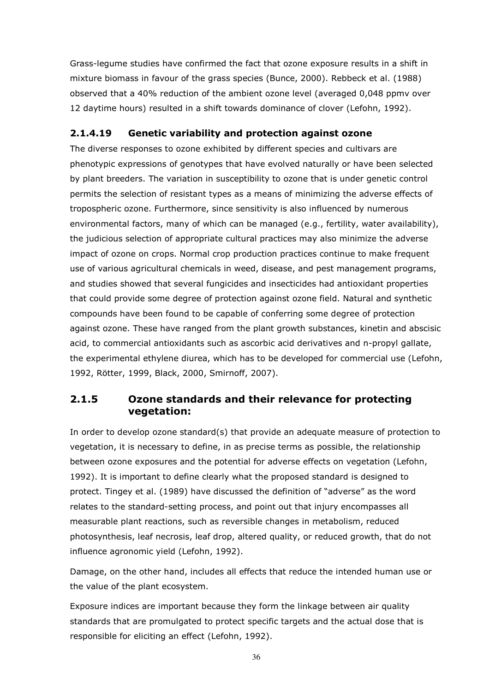Grass-legume studies have confirmed the fact that ozone exposure results in a shift in mixture biomass in favour of the grass species (Bunce, 2000). Rebbeck et al. (1988) observed that a 40% reduction of the ambient ozone level (averaged 0,048 ppmv over 12 daytime hours) resulted in a shift towards dominance of clover (Lefohn, 1992).

## 2.1.4.19 Genetic variability and protection against ozone

The diverse responses to ozone exhibited by different species and cultivars are phenotypic expressions of genotypes that have evolved naturally or have been selected by plant breeders. The variation in susceptibility to ozone that is under genetic control permits the selection of resistant types as a means of minimizing the adverse effects of tropospheric ozone. Furthermore, since sensitivity is also influenced by numerous environmental factors, many of which can be managed (e.g., fertility, water availability), the judicious selection of appropriate cultural practices may also minimize the adverse impact of ozone on crops. Normal crop production practices continue to make frequent use of various agricultural chemicals in weed, disease, and pest management programs, and studies showed that several fungicides and insecticides had antioxidant properties that could provide some degree of protection against ozone field. Natural and synthetic compounds have been found to be capable of conferring some degree of protection against ozone. These have ranged from the plant growth substances, kinetin and abscisic acid, to commercial antioxidants such as ascorbic acid derivatives and n-propyl gallate, the experimental ethylene diurea, which has to be developed for commercial use (Lefohn, 1992, Rötter, 1999, Black, 2000, Smirnoff, 2007).

# 2.1.5 Ozone standards and their relevance for protecting vegetation:

In order to develop ozone standard(s) that provide an adequate measure of protection to vegetation, it is necessary to define, in as precise terms as possible, the relationship between ozone exposures and the potential for adverse effects on vegetation (Lefohn, 1992). It is important to define clearly what the proposed standard is designed to protect. Tingey et al. (1989) have discussed the definition of "adverse" as the word relates to the standard-setting process, and point out that injury encompasses all measurable plant reactions, such as reversible changes in metabolism, reduced photosynthesis, leaf necrosis, leaf drop, altered quality, or reduced growth, that do not influence agronomic yield (Lefohn, 1992).

Damage, on the other hand, includes all effects that reduce the intended human use or the value of the plant ecosystem.

Exposure indices are important because they form the linkage between air quality standards that are promulgated to protect specific targets and the actual dose that is responsible for eliciting an effect (Lefohn, 1992).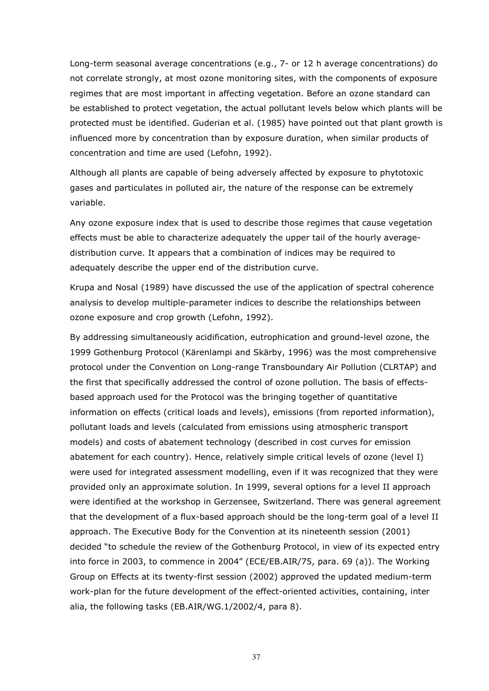Long-term seasonal average concentrations (e.g., 7- or 12 h average concentrations) do not correlate strongly, at most ozone monitoring sites, with the components of exposure regimes that are most important in affecting vegetation. Before an ozone standard can be established to protect vegetation, the actual pollutant levels below which plants will be protected must be identified. Guderian et al. (1985) have pointed out that plant growth is influenced more by concentration than by exposure duration, when similar products of concentration and time are used (Lefohn, 1992).

Although all plants are capable of being adversely affected by exposure to phytotoxic gases and particulates in polluted air, the nature of the response can be extremely variable.

Any ozone exposure index that is used to describe those regimes that cause vegetation effects must be able to characterize adequately the upper tail of the hourly averagedistribution curve. It appears that a combination of indices may be required to adequately describe the upper end of the distribution curve.

Krupa and Nosal (1989) have discussed the use of the application of spectral coherence analysis to develop multiple-parameter indices to describe the relationships between ozone exposure and crop growth (Lefohn, 1992).

By addressing simultaneously acidification, eutrophication and ground-level ozone, the 1999 Gothenburg Protocol (Kärenlampi and Skärby, 1996) was the most comprehensive protocol under the Convention on Long-range Transboundary Air Pollution (CLRTAP) and the first that specifically addressed the control of ozone pollution. The basis of effectsbased approach used for the Protocol was the bringing together of quantitative information on effects (critical loads and levels), emissions (from reported information), pollutant loads and levels (calculated from emissions using atmospheric transport models) and costs of abatement technology (described in cost curves for emission abatement for each country). Hence, relatively simple critical levels of ozone (level I) were used for integrated assessment modelling, even if it was recognized that they were provided only an approximate solution. In 1999, several options for a level II approach were identified at the workshop in Gerzensee, Switzerland. There was general agreement that the development of a flux-based approach should be the long-term goal of a level II approach. The Executive Body for the Convention at its nineteenth session (2001) decided "to schedule the review of the Gothenburg Protocol, in view of its expected entry into force in 2003, to commence in 2004" (ECE/EB.AIR/75, para. 69 (a)). The Working Group on Effects at its twenty-first session (2002) approved the updated medium-term work-plan for the future development of the effect-oriented activities, containing, inter alia, the following tasks (EB.AIR/WG.1/2002/4, para 8).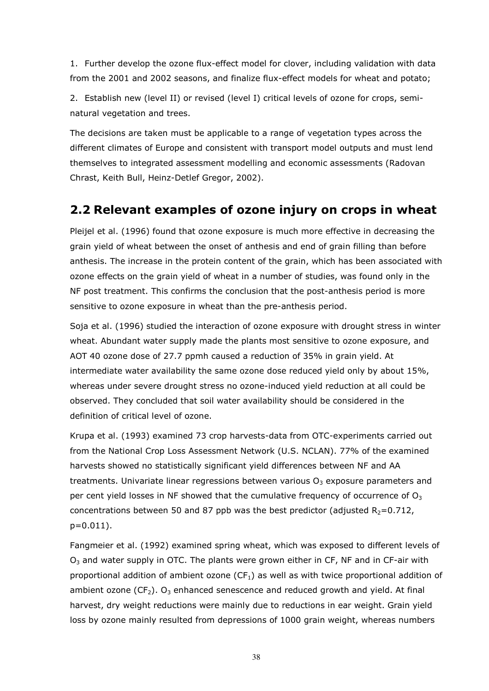1. Further develop the ozone flux-effect model for clover, including validation with data from the 2001 and 2002 seasons, and finalize flux-effect models for wheat and potato;

2. Establish new (level II) or revised (level I) critical levels of ozone for crops, seminatural vegetation and trees.

The decisions are taken must be applicable to a range of vegetation types across the different climates of Europe and consistent with transport model outputs and must lend themselves to integrated assessment modelling and economic assessments (Radovan Chrast, Keith Bull, Heinz-Detlef Gregor, 2002).

# 2.2 Relevant examples of ozone injury on crops in wheat

Pleijel et al. (1996) found that ozone exposure is much more effective in decreasing the grain yield of wheat between the onset of anthesis and end of grain filling than before anthesis. The increase in the protein content of the grain, which has been associated with ozone effects on the grain yield of wheat in a number of studies, was found only in the NF post treatment. This confirms the conclusion that the post-anthesis period is more sensitive to ozone exposure in wheat than the pre-anthesis period.

Soja et al. (1996) studied the interaction of ozone exposure with drought stress in winter wheat. Abundant water supply made the plants most sensitive to ozone exposure, and AOT 40 ozone dose of 27.7 ppmh caused a reduction of 35% in grain yield. At intermediate water availability the same ozone dose reduced yield only by about 15%, whereas under severe drought stress no ozone-induced yield reduction at all could be observed. They concluded that soil water availability should be considered in the definition of critical level of ozone.

Krupa et al. (1993) examined 73 crop harvests-data from OTC-experiments carried out from the National Crop Loss Assessment Network (U.S. NCLAN). 77% of the examined harvests showed no statistically significant yield differences between NF and AA treatments. Univariate linear regressions between various  $O<sub>3</sub>$  exposure parameters and per cent yield losses in NF showed that the cumulative frequency of occurrence of  $O<sub>3</sub>$ concentrations between 50 and 87 ppb was the best predictor (adjusted  $R_2=0.712$ , p=0.011).

Fangmeier et al. (1992) examined spring wheat, which was exposed to different levels of  $O<sub>3</sub>$  and water supply in OTC. The plants were grown either in CF, NF and in CF-air with proportional addition of ambient ozone  $(CF<sub>1</sub>)$  as well as with twice proportional addition of ambient ozone (CF<sub>2</sub>). O<sub>3</sub> enhanced senescence and reduced growth and yield. At final harvest, dry weight reductions were mainly due to reductions in ear weight. Grain yield loss by ozone mainly resulted from depressions of 1000 grain weight, whereas numbers

38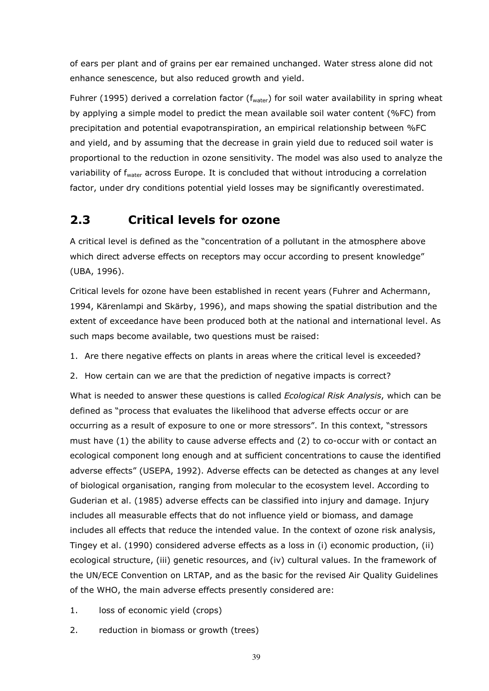of ears per plant and of grains per ear remained unchanged. Water stress alone did not enhance senescence, but also reduced growth and yield.

Fuhrer (1995) derived a correlation factor ( $f_{water}$ ) for soil water availability in spring wheat by applying a simple model to predict the mean available soil water content (%FC) from precipitation and potential evapotranspiration, an empirical relationship between %FC and yield, and by assuming that the decrease in grain yield due to reduced soil water is proportional to the reduction in ozone sensitivity. The model was also used to analyze the variability of f<sub>water</sub> across Europe. It is concluded that without introducing a correlation factor, under dry conditions potential yield losses may be significantly overestimated.

# 2.3 Critical levels for ozone

A critical level is defined as the "concentration of a pollutant in the atmosphere above which direct adverse effects on receptors may occur according to present knowledge" (UBA, 1996).

Critical levels for ozone have been established in recent years (Fuhrer and Achermann, 1994, Kärenlampi and Skärby, 1996), and maps showing the spatial distribution and the extent of exceedance have been produced both at the national and international level. As such maps become available, two questions must be raised:

1. Are there negative effects on plants in areas where the critical level is exceeded?

2. How certain can we are that the prediction of negative impacts is correct?

What is needed to answer these questions is called *Ecological Risk Analysis*, which can be defined as "process that evaluates the likelihood that adverse effects occur or are occurring as a result of exposure to one or more stressors". In this context, "stressors must have (1) the ability to cause adverse effects and (2) to co-occur with or contact an ecological component long enough and at sufficient concentrations to cause the identified adverse effects" (USEPA, 1992). Adverse effects can be detected as changes at any level of biological organisation, ranging from molecular to the ecosystem level. According to Guderian et al. (1985) adverse effects can be classified into injury and damage. Injury includes all measurable effects that do not influence yield or biomass, and damage includes all effects that reduce the intended value. In the context of ozone risk analysis, Tingey et al. (1990) considered adverse effects as a loss in (i) economic production, (ii) ecological structure, (iii) genetic resources, and (iv) cultural values. In the framework of the UN/ECE Convention on LRTAP, and as the basic for the revised Air Quality Guidelines of the WHO, the main adverse effects presently considered are:

- 1. loss of economic yield (crops)
- 2. reduction in biomass or growth (trees)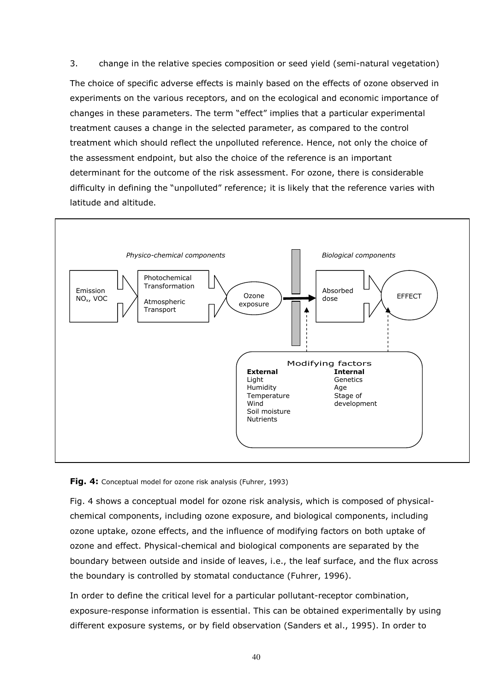3. change in the relative species composition or seed yield (semi-natural vegetation) The choice of specific adverse effects is mainly based on the effects of ozone observed in experiments on the various receptors, and on the ecological and economic importance of changes in these parameters. The term "effect" implies that a particular experimental treatment causes a change in the selected parameter, as compared to the control treatment which should reflect the unpolluted reference. Hence, not only the choice of the assessment endpoint, but also the choice of the reference is an important

determinant for the outcome of the risk assessment. For ozone, there is considerable difficulty in defining the "unpolluted" reference; it is likely that the reference varies with latitude and altitude.



Fig. 4: Conceptual model for ozone risk analysis (Fuhrer, 1993)

Fig. 4 shows a conceptual model for ozone risk analysis, which is composed of physicalchemical components, including ozone exposure, and biological components, including ozone uptake, ozone effects, and the influence of modifying factors on both uptake of ozone and effect. Physical-chemical and biological components are separated by the boundary between outside and inside of leaves, i.e., the leaf surface, and the flux across the boundary is controlled by stomatal conductance (Fuhrer, 1996).

In order to define the critical level for a particular pollutant-receptor combination, exposure-response information is essential. This can be obtained experimentally by using different exposure systems, or by field observation (Sanders et al., 1995). In order to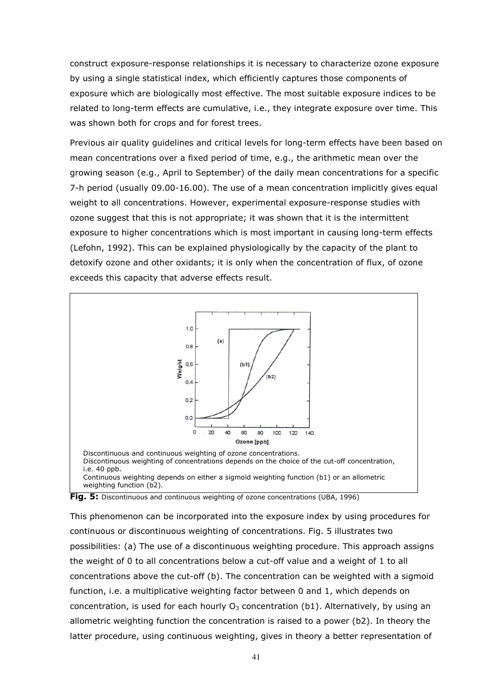construct exposure-response relationships it is necessary to characterize ozone exposure by using a single statistical index, which efficiently captures those components of exposure which are biologically most effective. The most suitable exposure indices to be related to long-term effects are cumulative, i.e., they integrate exposure over time. This was shown both for crops and for forest trees.

Previous air quality guidelines and critical levels for long-term effects have been based on mean concentrations over a fixed period of time, e.g., the arithmetic mean over the growing season (e.g., April to September) of the daily mean concentrations for a specific 7-h period (usually 09.00-16.00). The use of a mean concentration implicitly gives equal weight to all concentrations. However, experimental exposure-response studies with ozone suggest that this is not appropriate; it was shown that it is the intermittent exposure to higher concentrations which is most important in causing long-term effects (Lefohn, 1992). This can be explained physiologically by the capacity of the plant to detoxify ozone and other oxidants; it is only when the concentration of flux, of ozone exceeds this capacity that adverse effects result.





This phenomenon can be incorporated into the exposure index by using procedures for continuous or discontinuous weighting of concentrations. Fig. 5 illustrates two possibilities: (a) The use of a discontinuous weighting procedure. This approach assigns the weight of 0 to all concentrations below a cut-off value and a weight of 1 to all concentrations above the cut-off (b). The concentration can be weighted with a sigmoid function, i.e. a multiplicative weighting factor between 0 and 1, which depends on concentration, is used for each hourly  $O_3$  concentration (b1). Alternatively, by using an allometric weighting function the concentration is raised to a power (b2). In theory the latter procedure, using continuous weighting, gives in theory a better representation of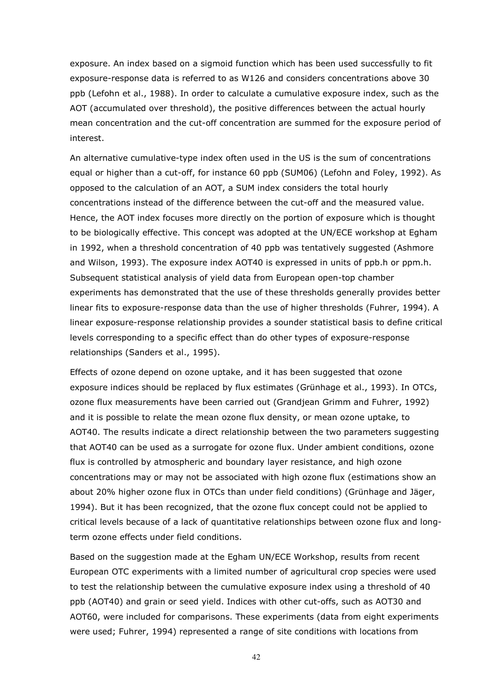exposure. An index based on a sigmoid function which has been used successfully to fit exposure-response data is referred to as W126 and considers concentrations above 30 ppb (Lefohn et al., 1988). In order to calculate a cumulative exposure index, such as the AOT (accumulated over threshold), the positive differences between the actual hourly mean concentration and the cut-off concentration are summed for the exposure period of interest.

An alternative cumulative-type index often used in the US is the sum of concentrations equal or higher than a cut-off, for instance 60 ppb (SUM06) (Lefohn and Foley, 1992). As opposed to the calculation of an AOT, a SUM index considers the total hourly concentrations instead of the difference between the cut-off and the measured value. Hence, the AOT index focuses more directly on the portion of exposure which is thought to be biologically effective. This concept was adopted at the UN/ECE workshop at Egham in 1992, when a threshold concentration of 40 ppb was tentatively suggested (Ashmore and Wilson, 1993). The exposure index AOT40 is expressed in units of ppb.h or ppm.h. Subsequent statistical analysis of yield data from European open-top chamber experiments has demonstrated that the use of these thresholds generally provides better linear fits to exposure-response data than the use of higher thresholds (Fuhrer, 1994). A linear exposure-response relationship provides a sounder statistical basis to define critical levels corresponding to a specific effect than do other types of exposure-response relationships (Sanders et al., 1995).

Effects of ozone depend on ozone uptake, and it has been suggested that ozone exposure indices should be replaced by flux estimates (Grünhage et al., 1993). In OTCs, ozone flux measurements have been carried out (Grandjean Grimm and Fuhrer, 1992) and it is possible to relate the mean ozone flux density, or mean ozone uptake, to AOT40. The results indicate a direct relationship between the two parameters suggesting that AOT40 can be used as a surrogate for ozone flux. Under ambient conditions, ozone flux is controlled by atmospheric and boundary layer resistance, and high ozone concentrations may or may not be associated with high ozone flux (estimations show an about 20% higher ozone flux in OTCs than under field conditions) (Grünhage and Jäger, 1994). But it has been recognized, that the ozone flux concept could not be applied to critical levels because of a lack of quantitative relationships between ozone flux and longterm ozone effects under field conditions.

Based on the suggestion made at the Egham UN/ECE Workshop, results from recent European OTC experiments with a limited number of agricultural crop species were used to test the relationship between the cumulative exposure index using a threshold of 40 ppb (AOT40) and grain or seed yield. Indices with other cut-offs, such as AOT30 and AOT60, were included for comparisons. These experiments (data from eight experiments were used; Fuhrer, 1994) represented a range of site conditions with locations from

42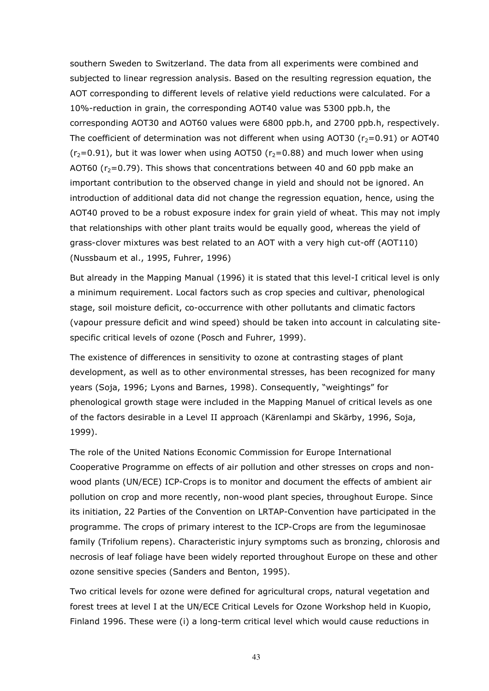southern Sweden to Switzerland. The data from all experiments were combined and subjected to linear regression analysis. Based on the resulting regression equation, the AOT corresponding to different levels of relative yield reductions were calculated. For a 10%-reduction in grain, the corresponding AOT40 value was 5300 ppb.h, the corresponding AOT30 and AOT60 values were 6800 ppb.h, and 2700 ppb.h, respectively. The coefficient of determination was not different when using AOT30 ( $r_2$ =0.91) or AOT40  $(r<sub>2</sub>=0.91)$ , but it was lower when using AOT50 ( $r<sub>2</sub>=0.88$ ) and much lower when using AOT60  $(r<sub>2</sub>=0.79)$ . This shows that concentrations between 40 and 60 ppb make an important contribution to the observed change in yield and should not be ignored. An introduction of additional data did not change the regression equation, hence, using the AOT40 proved to be a robust exposure index for grain yield of wheat. This may not imply that relationships with other plant traits would be equally good, whereas the yield of grass-clover mixtures was best related to an AOT with a very high cut-off (AOT110) (Nussbaum et al., 1995, Fuhrer, 1996)

But already in the Mapping Manual (1996) it is stated that this level-I critical level is only a minimum requirement. Local factors such as crop species and cultivar, phenological stage, soil moisture deficit, co-occurrence with other pollutants and climatic factors (vapour pressure deficit and wind speed) should be taken into account in calculating sitespecific critical levels of ozone (Posch and Fuhrer, 1999).

The existence of differences in sensitivity to ozone at contrasting stages of plant development, as well as to other environmental stresses, has been recognized for many years (Soja, 1996; Lyons and Barnes, 1998). Consequently, "weightings" for phenological growth stage were included in the Mapping Manuel of critical levels as one of the factors desirable in a Level II approach (Kärenlampi and Skärby, 1996, Soja, 1999).

The role of the United Nations Economic Commission for Europe International Cooperative Programme on effects of air pollution and other stresses on crops and nonwood plants (UN/ECE) ICP-Crops is to monitor and document the effects of ambient air pollution on crop and more recently, non-wood plant species, throughout Europe. Since its initiation, 22 Parties of the Convention on LRTAP-Convention have participated in the programme. The crops of primary interest to the ICP-Crops are from the leguminosae family (Trifolium repens). Characteristic injury symptoms such as bronzing, chlorosis and necrosis of leaf foliage have been widely reported throughout Europe on these and other ozone sensitive species (Sanders and Benton, 1995).

Two critical levels for ozone were defined for agricultural crops, natural vegetation and forest trees at level I at the UN/ECE Critical Levels for Ozone Workshop held in Kuopio, Finland 1996. These were (i) a long-term critical level which would cause reductions in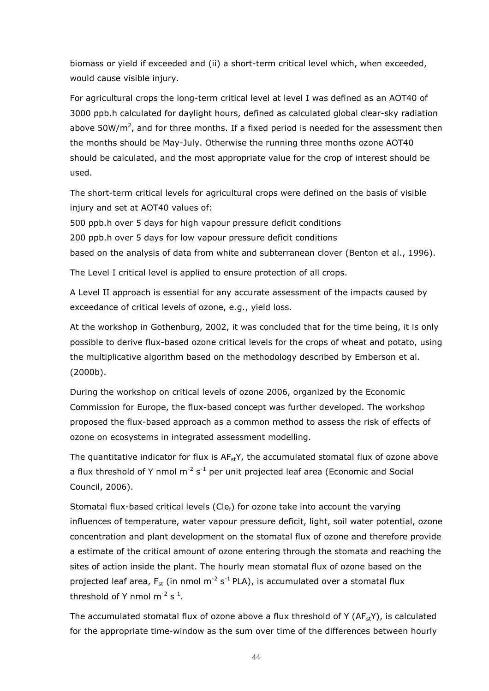biomass or yield if exceeded and (ii) a short-term critical level which, when exceeded, would cause visible injury.

For agricultural crops the long-term critical level at level I was defined as an AOT40 of 3000 ppb.h calculated for daylight hours, defined as calculated global clear-sky radiation above 50W/m<sup>2</sup>, and for three months. If a fixed period is needed for the assessment then the months should be May-July. Otherwise the running three months ozone AOT40 should be calculated, and the most appropriate value for the crop of interest should be used.

The short-term critical levels for agricultural crops were defined on the basis of visible injury and set at AOT40 values of:

500 ppb.h over 5 days for high vapour pressure deficit conditions

200 ppb.h over 5 days for low vapour pressure deficit conditions

based on the analysis of data from white and subterranean clover (Benton et al., 1996).

The Level I critical level is applied to ensure protection of all crops.

A Level II approach is essential for any accurate assessment of the impacts caused by exceedance of critical levels of ozone, e.g., yield loss.

At the workshop in Gothenburg, 2002, it was concluded that for the time being, it is only possible to derive flux-based ozone critical levels for the crops of wheat and potato, using the multiplicative algorithm based on the methodology described by Emberson et al. (2000b).

During the workshop on critical levels of ozone 2006, organized by the Economic Commission for Europe, the flux-based concept was further developed. The workshop proposed the flux-based approach as a common method to assess the risk of effects of ozone on ecosystems in integrated assessment modelling.

The quantitative indicator for flux is  $AF<sub>st</sub>Y$ , the accumulated stomatal flux of ozone above a flux threshold of Y nmol  $m^{-2}$  s<sup>-1</sup> per unit projected leaf area (Economic and Social Council, 2006).

Stomatal flux-based critical levels (Cle $_f$ ) for ozone take into account the varying influences of temperature, water vapour pressure deficit, light, soil water potential, ozone concentration and plant development on the stomatal flux of ozone and therefore provide a estimate of the critical amount of ozone entering through the stomata and reaching the sites of action inside the plant. The hourly mean stomatal flux of ozone based on the projected leaf area,  $F_{st}$  (in nmol m<sup>-2</sup> s<sup>-1</sup> PLA), is accumulated over a stomatal flux threshold of Y nmol  $m^{-2}$  s<sup>-1</sup>.

The accumulated stomatal flux of ozone above a flux threshold of Y ( $AF<sub>st</sub>Y$ ), is calculated for the appropriate time-window as the sum over time of the differences between hourly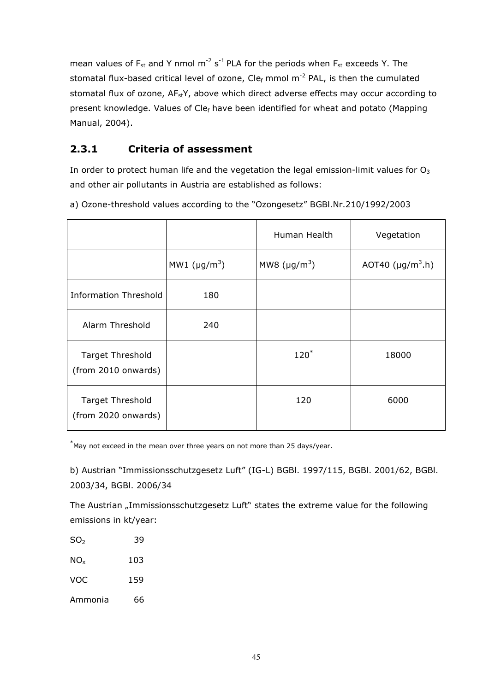mean values of  $F_{st}$  and Y nmol m<sup>-2</sup> s<sup>-1</sup> PLA for the periods when  $F_{st}$  exceeds Y. The stomatal flux-based critical level of ozone,  $Cle<sub>f</sub>$  mmol m<sup>-2</sup> PAL, is then the cumulated stomatal flux of ozone,  $AF_{st}Y$ , above which direct adverse effects may occur according to present knowledge. Values of Clef have been identified for wheat and potato (Mapping Manual, 2004).

# 2.3.1 Criteria of assessment

In order to protect human life and the vegetation the legal emission-limit values for  $O<sub>3</sub>$ and other air pollutants in Austria are established as follows:

|                                                |                                | Human Health                   | Vegetation                         |
|------------------------------------------------|--------------------------------|--------------------------------|------------------------------------|
|                                                | MW1 ( $\mu$ g/m <sup>3</sup> ) | MW8 ( $\mu$ g/m <sup>3</sup> ) | AOT40 ( $\mu$ g/m <sup>3</sup> .h) |
| <b>Information Threshold</b>                   | 180                            |                                |                                    |
| Alarm Threshold                                | 240                            |                                |                                    |
| <b>Target Threshold</b><br>(from 2010 onwards) |                                | $120^*$                        | 18000                              |
| <b>Target Threshold</b><br>(from 2020 onwards) |                                | 120                            | 6000                               |

a) Ozone-threshold values according to the "Ozongesetz" BGBl.Nr.210/1992/2003

 $*$ May not exceed in the mean over three years on not more than 25 days/year.

b) Austrian "Immissionsschutzgesetz Luft" (IG-L) BGBl. 1997/115, BGBl. 2001/62, BGBl. 2003/34, BGBl. 2006/34

The Austrian "Immissionsschutzgesetz Luft" states the extreme value for the following emissions in kt/year:

| SO <sub>2</sub> | 39  |
|-----------------|-----|
| $NO_{x}$        | 103 |
| <b>VOC</b>      | 159 |
| Ammonia         | 66  |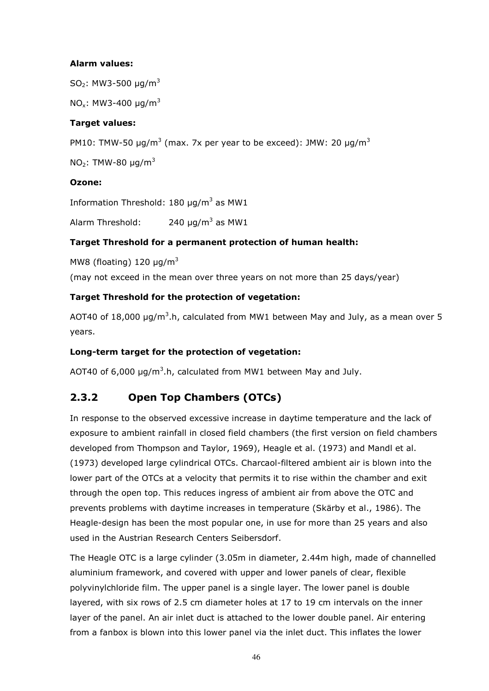## Alarm values:

SO<sub>2</sub>: MW3-500  $\mu q/m^3$ 

NO<sub>x</sub>: MW3-400  $\mu$ g/m<sup>3</sup>

# Target values:

PM10: TMW-50  $\mu$ g/m<sup>3</sup> (max. 7x per year to be exceed): JMW: 20  $\mu$ g/m<sup>3</sup>

NO<sub>2</sub>: TMW-80  $\mu$ g/m<sup>3</sup>

## Ozone:

Information Threshold: 180  $\mu$ g/m<sup>3</sup> as MW1

Alarm Threshold: 240  $\mu$ g/m<sup>3</sup> as MW1

# Target Threshold for a permanent protection of human health:

MW8 (floating) 120  $\mu$ g/m<sup>3</sup>

(may not exceed in the mean over three years on not more than 25 days/year)

## Target Threshold for the protection of vegetation:

AOT40 of 18,000  $\mu$ g/m<sup>3</sup>.h, calculated from MW1 between May and July, as a mean over 5 years.

# Long-term target for the protection of vegetation:

AOT40 of 6,000  $\mu$ g/m<sup>3</sup>.h, calculated from MW1 between May and July.

# 2.3.2 Open Top Chambers (OTCs)

In response to the observed excessive increase in daytime temperature and the lack of exposure to ambient rainfall in closed field chambers (the first version on field chambers developed from Thompson and Taylor, 1969), Heagle et al. (1973) and Mandl et al. (1973) developed large cylindrical OTCs. Charcaol-filtered ambient air is blown into the lower part of the OTCs at a velocity that permits it to rise within the chamber and exit through the open top. This reduces ingress of ambient air from above the OTC and prevents problems with daytime increases in temperature (Skärby et al., 1986). The Heagle-design has been the most popular one, in use for more than 25 years and also used in the Austrian Research Centers Seibersdorf.

The Heagle OTC is a large cylinder (3.05m in diameter, 2.44m high, made of channelled aluminium framework, and covered with upper and lower panels of clear, flexible polyvinylchloride film. The upper panel is a single layer. The lower panel is double layered, with six rows of 2.5 cm diameter holes at 17 to 19 cm intervals on the inner layer of the panel. An air inlet duct is attached to the lower double panel. Air entering from a fanbox is blown into this lower panel via the inlet duct. This inflates the lower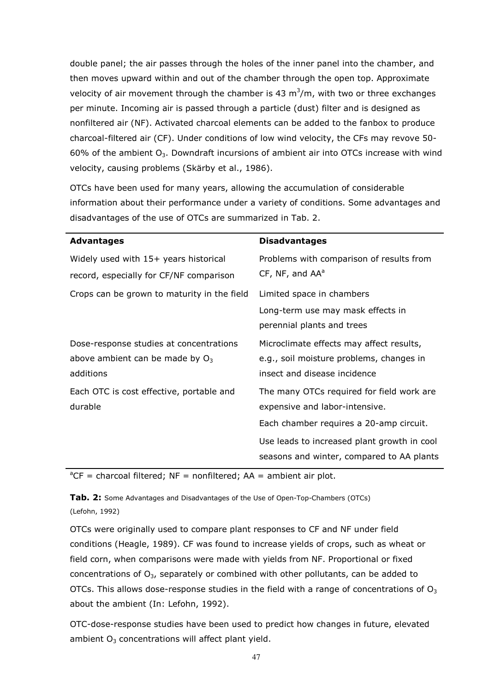double panel; the air passes through the holes of the inner panel into the chamber, and then moves upward within and out of the chamber through the open top. Approximate velocity of air movement through the chamber is 43  $m<sup>3</sup>/m$ , with two or three exchanges per minute. Incoming air is passed through a particle (dust) filter and is designed as nonfiltered air (NF). Activated charcoal elements can be added to the fanbox to produce charcoal-filtered air (CF). Under conditions of low wind velocity, the CFs may revove 50- 60% of the ambient  $O_3$ . Downdraft incursions of ambient air into OTCs increase with wind velocity, causing problems (Skärby et al., 1986).

OTCs have been used for many years, allowing the accumulation of considerable information about their performance under a variety of conditions. Some advantages and disadvantages of the use of OTCs are summarized in Tab. 2.

| <b>Advantages</b>                           | <b>Disadvantages</b>                        |
|---------------------------------------------|---------------------------------------------|
| Widely used with 15+ years historical       | Problems with comparison of results from    |
| record, especially for CF/NF comparison     | CF, NF, and AA <sup>a</sup>                 |
| Crops can be grown to maturity in the field | Limited space in chambers                   |
|                                             | Long-term use may mask effects in           |
|                                             | perennial plants and trees                  |
| Dose-response studies at concentrations     | Microclimate effects may affect results,    |
| above ambient can be made by $O_3$          | e.g., soil moisture problems, changes in    |
| additions                                   | insect and disease incidence                |
| Each OTC is cost effective, portable and    | The many OTCs required for field work are   |
| durable                                     | expensive and labor-intensive.              |
|                                             | Each chamber requires a 20-amp circuit.     |
|                                             | Use leads to increased plant growth in cool |
|                                             | seasons and winter, compared to AA plants   |

 ${}^aCF$  = charcoal filtered; NF = nonfiltered; AA = ambient air plot.

Tab. 2: Some Advantages and Disadvantages of the Use of Open-Top-Chambers (OTCs) (Lefohn, 1992)

OTCs were originally used to compare plant responses to CF and NF under field conditions (Heagle, 1989). CF was found to increase yields of crops, such as wheat or field corn, when comparisons were made with yields from NF. Proportional or fixed concentrations of  $O_{3}$ , separately or combined with other pollutants, can be added to OTCs. This allows dose-response studies in the field with a range of concentrations of  $O_3$ about the ambient (In: Lefohn, 1992).

OTC-dose-response studies have been used to predict how changes in future, elevated ambient  $O<sub>3</sub>$  concentrations will affect plant yield.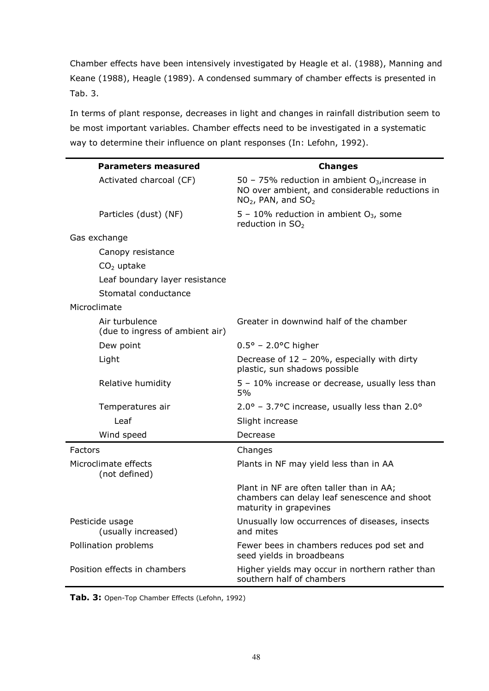Chamber effects have been intensively investigated by Heagle et al. (1988), Manning and Keane (1988), Heagle (1989). A condensed summary of chamber effects is presented in Tab. 3.

In terms of plant response, decreases in light and changes in rainfall distribution seem to be most important variables. Chamber effects need to be investigated in a systematic way to determine their influence on plant responses (In: Lefohn, 1992).

| <b>Parameters measured</b>                        | <b>Changes</b>                                                                                                                 |
|---------------------------------------------------|--------------------------------------------------------------------------------------------------------------------------------|
| Activated charcoal (CF)                           | 50 - 75% reduction in ambient $O_3$ , increase in<br>NO over ambient, and considerable reductions in<br>$NO2$ , PAN, and $SO2$ |
| Particles (dust) (NF)                             | 5 - 10% reduction in ambient $O_3$ , some<br>reduction in $SO2$                                                                |
| Gas exchange                                      |                                                                                                                                |
| Canopy resistance                                 |                                                                                                                                |
| $CO2$ uptake                                      |                                                                                                                                |
| Leaf boundary layer resistance                    |                                                                                                                                |
| Stomatal conductance                              |                                                                                                                                |
| Microclimate                                      |                                                                                                                                |
| Air turbulence<br>(due to ingress of ambient air) | Greater in downwind half of the chamber                                                                                        |
| Dew point                                         | $0.5^{\circ}$ – 2.0°C higher                                                                                                   |
| Light                                             | Decrease of $12 - 20\%$ , especially with dirty<br>plastic, sun shadows possible                                               |
| Relative humidity                                 | 5 - 10% increase or decrease, usually less than<br>5%                                                                          |
| Temperatures air                                  | $2.0^{\circ}$ – 3.7°C increase, usually less than 2.0°                                                                         |
| Leaf                                              | Slight increase                                                                                                                |
| Wind speed                                        | Decrease                                                                                                                       |
| Factors                                           | Changes                                                                                                                        |
| Microclimate effects<br>(not defined)             | Plants in NF may yield less than in AA                                                                                         |
|                                                   | Plant in NF are often taller than in AA;<br>chambers can delay leaf senescence and shoot<br>maturity in grapevines             |
| Pesticide usage<br>(usually increased)            | Unusually low occurrences of diseases, insects<br>and mites                                                                    |
| Pollination problems                              | Fewer bees in chambers reduces pod set and<br>seed yields in broadbeans                                                        |
| Position effects in chambers                      | Higher yields may occur in northern rather than<br>southern half of chambers                                                   |

Tab. 3: Open-Top Chamber Effects (Lefohn, 1992)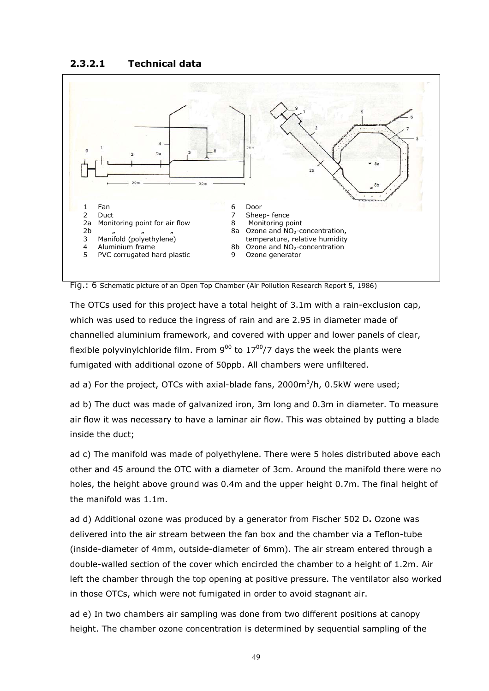#### 2.3.2.1 Technical data



Fig.: 6 Schematic picture of an Open Top Chamber (Air Pollution Research Report 5, 1986)

The OTCs used for this project have a total height of 3.1m with a rain-exclusion cap, which was used to reduce the ingress of rain and are 2.95 in diameter made of channelled aluminium framework, and covered with upper and lower panels of clear, flexible polyvinylchloride film. From  $9^{00}$  to  $17^{00}/7$  days the week the plants were fumigated with additional ozone of 50ppb. All chambers were unfiltered.

ad a) For the project, OTCs with axial-blade fans,  $2000m^3/h$ , 0.5kW were used;

ad b) The duct was made of galvanized iron, 3m long and 0.3m in diameter. To measure air flow it was necessary to have a laminar air flow. This was obtained by putting a blade inside the duct;

ad c) The manifold was made of polyethylene. There were 5 holes distributed above each other and 45 around the OTC with a diameter of 3cm. Around the manifold there were no holes, the height above ground was 0.4m and the upper height 0.7m. The final height of the manifold was 1.1m.

ad d) Additional ozone was produced by a generator from Fischer 502 D. Ozone was delivered into the air stream between the fan box and the chamber via a Teflon-tube (inside-diameter of 4mm, outside-diameter of 6mm). The air stream entered through a double-walled section of the cover which encircled the chamber to a height of 1.2m. Air left the chamber through the top opening at positive pressure. The ventilator also worked in those OTCs, which were not fumigated in order to avoid stagnant air.

ad e) In two chambers air sampling was done from two different positions at canopy height. The chamber ozone concentration is determined by sequential sampling of the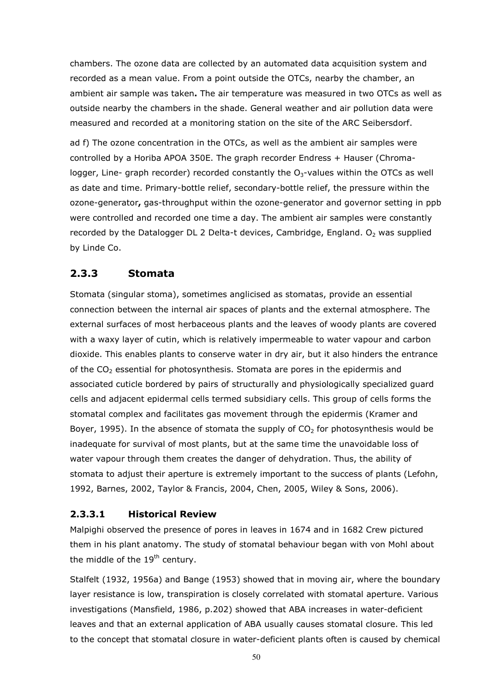chambers. The ozone data are collected by an automated data acquisition system and recorded as a mean value. From a point outside the OTCs, nearby the chamber, an ambient air sample was taken. The air temperature was measured in two OTCs as well as outside nearby the chambers in the shade. General weather and air pollution data were measured and recorded at a monitoring station on the site of the ARC Seibersdorf.

ad f) The ozone concentration in the OTCs, as well as the ambient air samples were controlled by a Horiba APOA 350E. The graph recorder Endress + Hauser (Chromalogger, Line- graph recorder) recorded constantly the  $O<sub>3</sub>$ -values within the OTCs as well as date and time. Primary-bottle relief, secondary-bottle relief, the pressure within the ozone-generator, gas-throughput within the ozone-generator and governor setting in ppb were controlled and recorded one time a day. The ambient air samples were constantly recorded by the Datalogger DL 2 Delta-t devices, Cambridge, England.  $O<sub>2</sub>$  was supplied by Linde Co.

# 2.3.3 Stomata

Stomata (singular stoma), sometimes anglicised as stomatas, provide an essential connection between the internal air spaces of plants and the external atmosphere. The external surfaces of most herbaceous plants and the leaves of woody plants are covered with a waxy layer of cutin, which is relatively impermeable to water vapour and carbon dioxide. This enables plants to conserve water in dry air, but it also hinders the entrance of the  $CO<sub>2</sub>$  essential for photosynthesis. Stomata are pores in the epidermis and associated cuticle bordered by pairs of structurally and physiologically specialized guard cells and adjacent epidermal cells termed subsidiary cells. This group of cells forms the stomatal complex and facilitates gas movement through the epidermis (Kramer and Boyer, 1995). In the absence of stomata the supply of  $CO<sub>2</sub>$  for photosynthesis would be inadequate for survival of most plants, but at the same time the unavoidable loss of water vapour through them creates the danger of dehydration. Thus, the ability of stomata to adjust their aperture is extremely important to the success of plants (Lefohn, 1992, Barnes, 2002, Taylor & Francis, 2004, Chen, 2005, Wiley & Sons, 2006).

#### 2.3.3.1 Historical Review

Malpighi observed the presence of pores in leaves in 1674 and in 1682 Crew pictured them in his plant anatomy. The study of stomatal behaviour began with von Mohl about the middle of the  $19<sup>th</sup>$  century.

Stalfelt (1932, 1956a) and Bange (1953) showed that in moving air, where the boundary layer resistance is low, transpiration is closely correlated with stomatal aperture. Various investigations (Mansfield, 1986, p.202) showed that ABA increases in water-deficient leaves and that an external application of ABA usually causes stomatal closure. This led to the concept that stomatal closure in water-deficient plants often is caused by chemical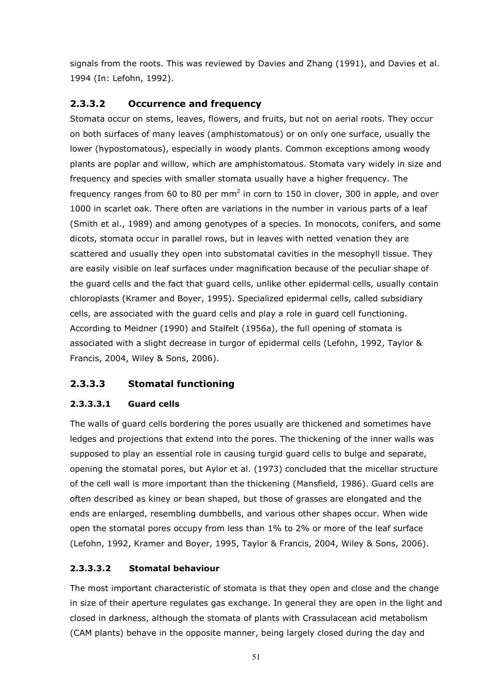signals from the roots. This was reviewed by Davies and Zhang (1991), and Davies et al. 1994 (In: Lefohn, 1992).

# 2.3.3.2 Occurrence and frequency

Stomata occur on stems, leaves, flowers, and fruits, but not on aerial roots. They occur on both surfaces of many leaves (amphistomatous) or on only one surface, usually the lower (hypostomatous), especially in woody plants. Common exceptions among woody plants are poplar and willow, which are amphistomatous. Stomata vary widely in size and frequency and species with smaller stomata usually have a higher frequency. The frequency ranges from 60 to 80 per mm<sup>2</sup> in corn to 150 in clover, 300 in apple, and over 1000 in scarlet oak. There often are variations in the number in various parts of a leaf (Smith et al., 1989) and among genotypes of a species. In monocots, conifers, and some dicots, stomata occur in parallel rows, but in leaves with netted venation they are scattered and usually they open into substomatal cavities in the mesophyll tissue. They are easily visible on leaf surfaces under magnification because of the peculiar shape of the guard cells and the fact that guard cells, unlike other epidermal cells, usually contain chloroplasts (Kramer and Boyer, 1995). Specialized epidermal cells, called subsidiary cells, are associated with the guard cells and play a role in guard cell functioning. According to Meidner (1990) and Stalfelt (1956a), the full opening of stomata is associated with a slight decrease in turgor of epidermal cells (Lefohn, 1992, Taylor & Francis, 2004, Wiley & Sons, 2006).

# 2.3.3.3 Stomatal functioning

# 2.3.3.3.1 Guard cells

The walls of guard cells bordering the pores usually are thickened and sometimes have ledges and projections that extend into the pores. The thickening of the inner walls was supposed to play an essential role in causing turgid guard cells to bulge and separate, opening the stomatal pores, but Aylor et al. (1973) concluded that the micellar structure of the cell wall is more important than the thickening (Mansfield, 1986). Guard cells are often described as kiney or bean shaped, but those of grasses are elongated and the ends are enlarged, resembling dumbbells, and various other shapes occur. When wide open the stomatal pores occupy from less than 1% to 2% or more of the leaf surface (Lefohn, 1992, Kramer and Boyer, 1995, Taylor & Francis, 2004, Wiley & Sons, 2006).

# 2.3.3.3.2 Stomatal behaviour

The most important characteristic of stomata is that they open and close and the change in size of their aperture regulates gas exchange. In general they are open in the light and closed in darkness, although the stomata of plants with Crassulacean acid metabolism (CAM plants) behave in the opposite manner, being largely closed during the day and

51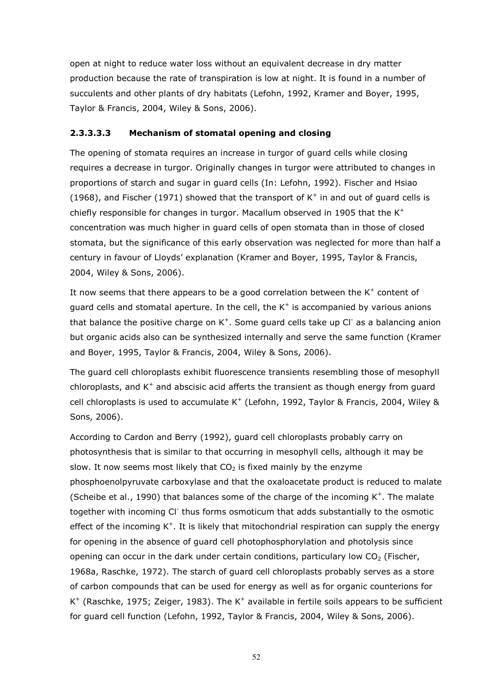open at night to reduce water loss without an equivalent decrease in dry matter production because the rate of transpiration is low at night. It is found in a number of succulents and other plants of dry habitats (Lefohn, 1992, Kramer and Boyer, 1995, Taylor & Francis, 2004, Wiley & Sons, 2006).

#### 2.3.3.3.3 Mechanism of stomatal opening and closing

The opening of stomata requires an increase in turgor of guard cells while closing requires a decrease in turgor. Originally changes in turgor were attributed to changes in proportions of starch and sugar in guard cells (In: Lefohn, 1992). Fischer and Hsiao (1968), and Fischer (1971) showed that the transport of  $K^+$  in and out of guard cells is chiefly responsible for changes in turgor. Macallum observed in 1905 that the  $K^+$ concentration was much higher in guard cells of open stomata than in those of closed stomata, but the significance of this early observation was neglected for more than half a century in favour of Lloyds' explanation (Kramer and Boyer, 1995, Taylor & Francis, 2004, Wiley & Sons, 2006).

It now seems that there appears to be a good correlation between the  $K^+$  content of guard cells and stomatal aperture. In the cell, the  $K^+$  is accompanied by various anions that balance the positive charge on  $K^+$ . Some guard cells take up CI<sup>-</sup> as a balancing anion but organic acids also can be synthesized internally and serve the same function (Kramer and Boyer, 1995, Taylor & Francis, 2004, Wiley & Sons, 2006).

The guard cell chloroplasts exhibit fluorescence transients resembling those of mesophyll chloroplasts, and  $K^+$  and abscisic acid afferts the transient as though energy from guard cell chloroplasts is used to accumulate K<sup>+</sup> (Lefohn, 1992, Taylor & Francis, 2004, Wiley & Sons, 2006).

According to Cardon and Berry (1992), guard cell chloroplasts probably carry on photosynthesis that is similar to that occurring in mesophyll cells, although it may be slow. It now seems most likely that  $CO<sub>2</sub>$  is fixed mainly by the enzyme phosphoenolpyruvate carboxylase and that the oxaloacetate product is reduced to malate (Scheibe et al., 1990) that balances some of the charge of the incoming  $K^+$ . The malate together with incoming CI<sup>-</sup> thus forms osmoticum that adds substantially to the osmotic effect of the incoming  $K^+$ . It is likely that mitochondrial respiration can supply the energy for opening in the absence of guard cell photophosphorylation and photolysis since opening can occur in the dark under certain conditions, particulary low  $CO<sub>2</sub>$  (Fischer, 1968a, Raschke, 1972). The starch of guard cell chloroplasts probably serves as a store of carbon compounds that can be used for energy as well as for organic counterions for  $K^+$  (Raschke, 1975; Zeiger, 1983). The  $K^+$  available in fertile soils appears to be sufficient for guard cell function (Lefohn, 1992, Taylor & Francis, 2004, Wiley & Sons, 2006).

52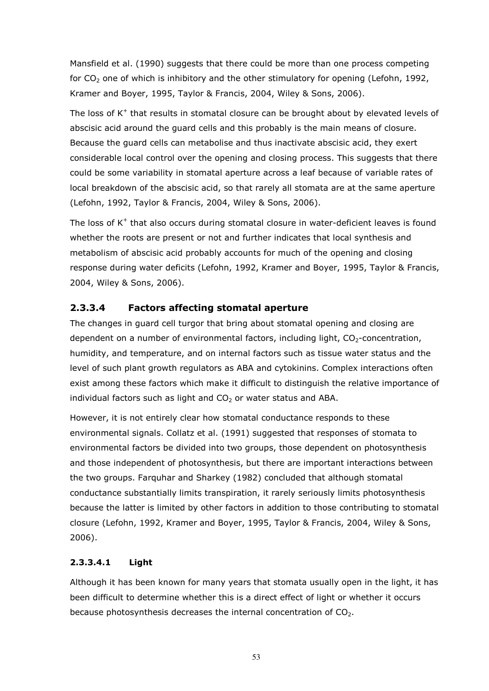Mansfield et al. (1990) suggests that there could be more than one process competing for  $CO<sub>2</sub>$  one of which is inhibitory and the other stimulatory for opening (Lefohn, 1992, Kramer and Boyer, 1995, Taylor & Francis, 2004, Wiley & Sons, 2006).

The loss of  $K^+$  that results in stomatal closure can be brought about by elevated levels of abscisic acid around the guard cells and this probably is the main means of closure. Because the guard cells can metabolise and thus inactivate abscisic acid, they exert considerable local control over the opening and closing process. This suggests that there could be some variability in stomatal aperture across a leaf because of variable rates of local breakdown of the abscisic acid, so that rarely all stomata are at the same aperture (Lefohn, 1992, Taylor & Francis, 2004, Wiley & Sons, 2006).

The loss of  $K^+$  that also occurs during stomatal closure in water-deficient leaves is found whether the roots are present or not and further indicates that local synthesis and metabolism of abscisic acid probably accounts for much of the opening and closing response during water deficits (Lefohn, 1992, Kramer and Boyer, 1995, Taylor & Francis, 2004, Wiley & Sons, 2006).

# 2.3.3.4 Factors affecting stomatal aperture

The changes in guard cell turgor that bring about stomatal opening and closing are dependent on a number of environmental factors, including light,  $CO<sub>2</sub>$ -concentration, humidity, and temperature, and on internal factors such as tissue water status and the level of such plant growth regulators as ABA and cytokinins. Complex interactions often exist among these factors which make it difficult to distinguish the relative importance of individual factors such as light and  $CO<sub>2</sub>$  or water status and ABA.

However, it is not entirely clear how stomatal conductance responds to these environmental signals. Collatz et al. (1991) suggested that responses of stomata to environmental factors be divided into two groups, those dependent on photosynthesis and those independent of photosynthesis, but there are important interactions between the two groups. Farquhar and Sharkey (1982) concluded that although stomatal conductance substantially limits transpiration, it rarely seriously limits photosynthesis because the latter is limited by other factors in addition to those contributing to stomatal closure (Lefohn, 1992, Kramer and Boyer, 1995, Taylor & Francis, 2004, Wiley & Sons, 2006).

#### 2.3.3.4.1 Light

Although it has been known for many years that stomata usually open in the light, it has been difficult to determine whether this is a direct effect of light or whether it occurs because photosynthesis decreases the internal concentration of  $CO<sub>2</sub>$ .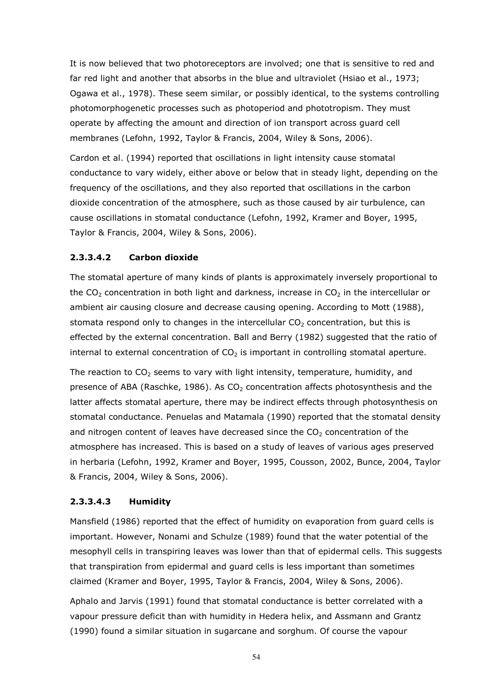It is now believed that two photoreceptors are involved; one that is sensitive to red and far red light and another that absorbs in the blue and ultraviolet (Hsiao et al., 1973; Ogawa et al., 1978). These seem similar, or possibly identical, to the systems controlling photomorphogenetic processes such as photoperiod and phototropism. They must operate by affecting the amount and direction of ion transport across guard cell membranes (Lefohn, 1992, Taylor & Francis, 2004, Wiley & Sons, 2006).

Cardon et al. (1994) reported that oscillations in light intensity cause stomatal conductance to vary widely, either above or below that in steady light, depending on the frequency of the oscillations, and they also reported that oscillations in the carbon dioxide concentration of the atmosphere, such as those caused by air turbulence, can cause oscillations in stomatal conductance (Lefohn, 1992, Kramer and Boyer, 1995, Taylor & Francis, 2004, Wiley & Sons, 2006).

## 2.3.3.4.2 Carbon dioxide

The stomatal aperture of many kinds of plants is approximately inversely proportional to the CO<sub>2</sub> concentration in both light and darkness, increase in CO<sub>2</sub> in the intercellular or ambient air causing closure and decrease causing opening. According to Mott (1988), stomata respond only to changes in the intercellular  $CO<sub>2</sub>$  concentration, but this is effected by the external concentration. Ball and Berry (1982) suggested that the ratio of internal to external concentration of  $CO<sub>2</sub>$  is important in controlling stomatal aperture.

The reaction to  $CO<sub>2</sub>$  seems to vary with light intensity, temperature, humidity, and presence of ABA (Raschke, 1986). As  $CO<sub>2</sub>$  concentration affects photosynthesis and the latter affects stomatal aperture, there may be indirect effects through photosynthesis on stomatal conductance. Penuelas and Matamala (1990) reported that the stomatal density and nitrogen content of leaves have decreased since the  $CO<sub>2</sub>$  concentration of the atmosphere has increased. This is based on a study of leaves of various ages preserved in herbaria (Lefohn, 1992, Kramer and Boyer, 1995, Cousson, 2002, Bunce, 2004, Taylor & Francis, 2004, Wiley & Sons, 2006).

#### 2.3.3.4.3 Humidity

Mansfield (1986) reported that the effect of humidity on evaporation from guard cells is important. However, Nonami and Schulze (1989) found that the water potential of the mesophyll cells in transpiring leaves was lower than that of epidermal cells. This suggests that transpiration from epidermal and guard cells is less important than sometimes claimed (Kramer and Boyer, 1995, Taylor & Francis, 2004, Wiley & Sons, 2006).

Aphalo and Jarvis (1991) found that stomatal conductance is better correlated with a vapour pressure deficit than with humidity in Hedera helix, and Assmann and Grantz (1990) found a similar situation in sugarcane and sorghum. Of course the vapour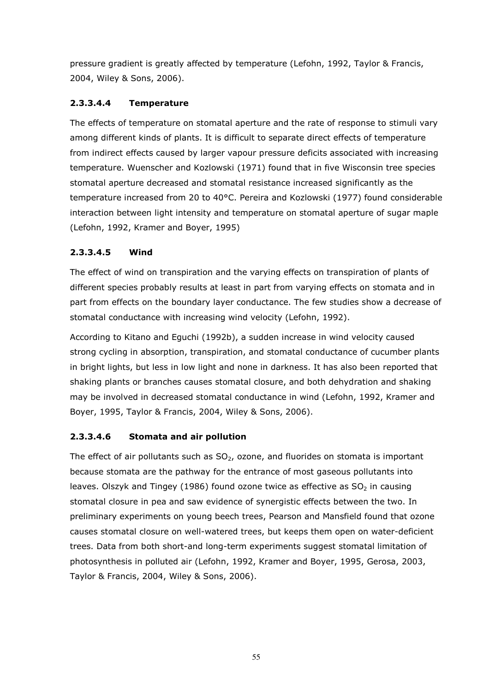pressure gradient is greatly affected by temperature (Lefohn, 1992, Taylor & Francis, 2004, Wiley & Sons, 2006).

# 2.3.3.4.4 Temperature

The effects of temperature on stomatal aperture and the rate of response to stimuli vary among different kinds of plants. It is difficult to separate direct effects of temperature from indirect effects caused by larger vapour pressure deficits associated with increasing temperature. Wuenscher and Kozlowski (1971) found that in five Wisconsin tree species stomatal aperture decreased and stomatal resistance increased significantly as the temperature increased from 20 to 40°C. Pereira and Kozlowski (1977) found considerable interaction between light intensity and temperature on stomatal aperture of sugar maple (Lefohn, 1992, Kramer and Boyer, 1995)

# 2.3.3.4.5 Wind

The effect of wind on transpiration and the varying effects on transpiration of plants of different species probably results at least in part from varying effects on stomata and in part from effects on the boundary layer conductance. The few studies show a decrease of stomatal conductance with increasing wind velocity (Lefohn, 1992).

According to Kitano and Eguchi (1992b), a sudden increase in wind velocity caused strong cycling in absorption, transpiration, and stomatal conductance of cucumber plants in bright lights, but less in low light and none in darkness. It has also been reported that shaking plants or branches causes stomatal closure, and both dehydration and shaking may be involved in decreased stomatal conductance in wind (Lefohn, 1992, Kramer and Boyer, 1995, Taylor & Francis, 2004, Wiley & Sons, 2006).

# 2.3.3.4.6 Stomata and air pollution

The effect of air pollutants such as  $SO<sub>2</sub>$ , ozone, and fluorides on stomata is important because stomata are the pathway for the entrance of most gaseous pollutants into leaves. Olszyk and Tingey (1986) found ozone twice as effective as  $SO<sub>2</sub>$  in causing stomatal closure in pea and saw evidence of synergistic effects between the two. In preliminary experiments on young beech trees, Pearson and Mansfield found that ozone causes stomatal closure on well-watered trees, but keeps them open on water-deficient trees. Data from both short-and long-term experiments suggest stomatal limitation of photosynthesis in polluted air (Lefohn, 1992, Kramer and Boyer, 1995, Gerosa, 2003, Taylor & Francis, 2004, Wiley & Sons, 2006).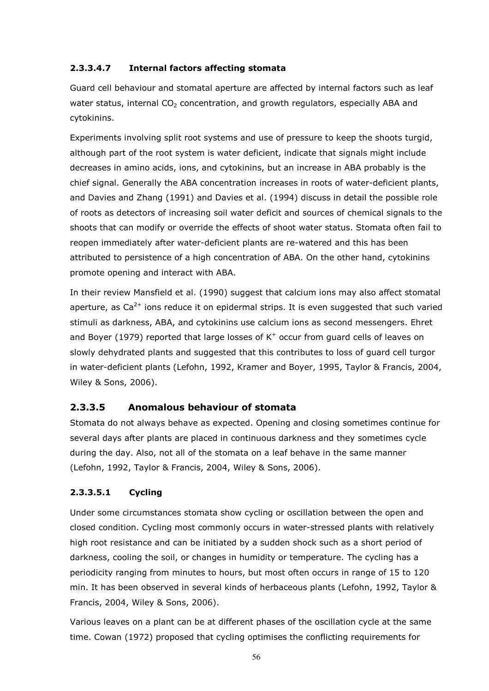# 2.3.3.4.7 Internal factors affecting stomata

Guard cell behaviour and stomatal aperture are affected by internal factors such as leaf water status, internal  $CO<sub>2</sub>$  concentration, and growth regulators, especially ABA and cytokinins.

Experiments involving split root systems and use of pressure to keep the shoots turgid, although part of the root system is water deficient, indicate that signals might include decreases in amino acids, ions, and cytokinins, but an increase in ABA probably is the chief signal. Generally the ABA concentration increases in roots of water-deficient plants, and Davies and Zhang (1991) and Davies et al. (1994) discuss in detail the possible role of roots as detectors of increasing soil water deficit and sources of chemical signals to the shoots that can modify or override the effects of shoot water status. Stomata often fail to reopen immediately after water-deficient plants are re-watered and this has been attributed to persistence of a high concentration of ABA. On the other hand, cytokinins promote opening and interact with ABA.

In their review Mansfield et al. (1990) suggest that calcium ions may also affect stomatal aperture, as  $Ca^{2+}$  ions reduce it on epidermal strips. It is even suggested that such varied stimuli as darkness, ABA, and cytokinins use calcium ions as second messengers. Ehret and Boyer (1979) reported that large losses of  $K^+$  occur from guard cells of leaves on slowly dehydrated plants and suggested that this contributes to loss of guard cell turgor in water-deficient plants (Lefohn, 1992, Kramer and Boyer, 1995, Taylor & Francis, 2004, Wiley & Sons, 2006).

# 2.3.3.5 Anomalous behaviour of stomata

Stomata do not always behave as expected. Opening and closing sometimes continue for several days after plants are placed in continuous darkness and they sometimes cycle during the day. Also, not all of the stomata on a leaf behave in the same manner (Lefohn, 1992, Taylor & Francis, 2004, Wiley & Sons, 2006).

# 2.3.3.5.1 Cycling

Under some circumstances stomata show cycling or oscillation between the open and closed condition. Cycling most commonly occurs in water-stressed plants with relatively high root resistance and can be initiated by a sudden shock such as a short period of darkness, cooling the soil, or changes in humidity or temperature. The cycling has a periodicity ranging from minutes to hours, but most often occurs in range of 15 to 120 min. It has been observed in several kinds of herbaceous plants (Lefohn, 1992, Taylor & Francis, 2004, Wiley & Sons, 2006).

Various leaves on a plant can be at different phases of the oscillation cycle at the same time. Cowan (1972) proposed that cycling optimises the conflicting requirements for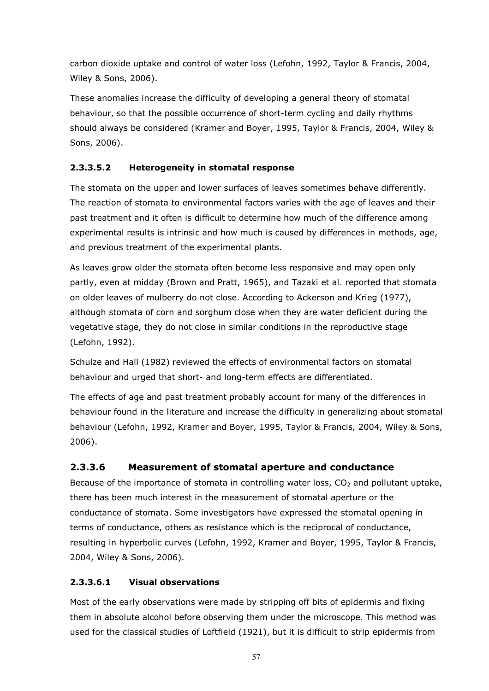carbon dioxide uptake and control of water loss (Lefohn, 1992, Taylor & Francis, 2004, Wiley & Sons, 2006).

These anomalies increase the difficulty of developing a general theory of stomatal behaviour, so that the possible occurrence of short-term cycling and daily rhythms should always be considered (Kramer and Boyer, 1995, Taylor & Francis, 2004, Wiley & Sons, 2006).

# 2.3.3.5.2 Heterogeneity in stomatal response

The stomata on the upper and lower surfaces of leaves sometimes behave differently. The reaction of stomata to environmental factors varies with the age of leaves and their past treatment and it often is difficult to determine how much of the difference among experimental results is intrinsic and how much is caused by differences in methods, age, and previous treatment of the experimental plants.

As leaves grow older the stomata often become less responsive and may open only partly, even at midday (Brown and Pratt, 1965), and Tazaki et al. reported that stomata on older leaves of mulberry do not close. According to Ackerson and Krieg (1977), although stomata of corn and sorghum close when they are water deficient during the vegetative stage, they do not close in similar conditions in the reproductive stage (Lefohn, 1992).

Schulze and Hall (1982) reviewed the effects of environmental factors on stomatal behaviour and urged that short- and long-term effects are differentiated.

The effects of age and past treatment probably account for many of the differences in behaviour found in the literature and increase the difficulty in generalizing about stomatal behaviour (Lefohn, 1992, Kramer and Boyer, 1995, Taylor & Francis, 2004, Wiley & Sons, 2006).

# 2.3.3.6 Measurement of stomatal aperture and conductance

Because of the importance of stomata in controlling water loss,  $CO<sub>2</sub>$  and pollutant uptake, there has been much interest in the measurement of stomatal aperture or the conductance of stomata. Some investigators have expressed the stomatal opening in terms of conductance, others as resistance which is the reciprocal of conductance, resulting in hyperbolic curves (Lefohn, 1992, Kramer and Boyer, 1995, Taylor & Francis, 2004, Wiley & Sons, 2006).

# 2.3.3.6.1 Visual observations

Most of the early observations were made by stripping off bits of epidermis and fixing them in absolute alcohol before observing them under the microscope. This method was used for the classical studies of Loftfield (1921), but it is difficult to strip epidermis from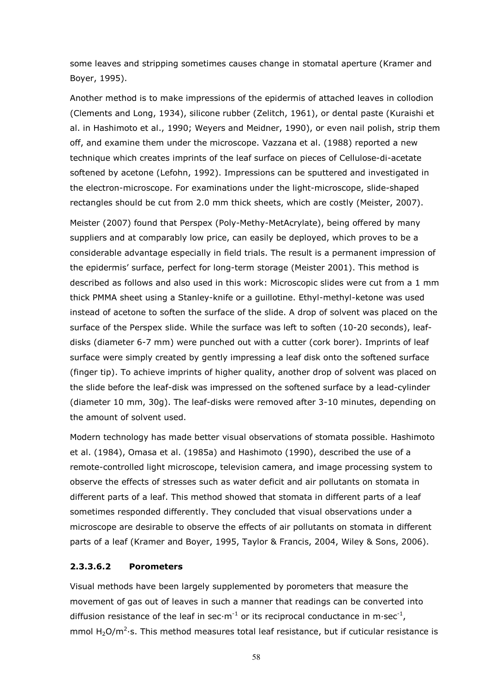some leaves and stripping sometimes causes change in stomatal aperture (Kramer and Boyer, 1995).

Another method is to make impressions of the epidermis of attached leaves in collodion (Clements and Long, 1934), silicone rubber (Zelitch, 1961), or dental paste (Kuraishi et al. in Hashimoto et al., 1990; Weyers and Meidner, 1990), or even nail polish, strip them off, and examine them under the microscope. Vazzana et al. (1988) reported a new technique which creates imprints of the leaf surface on pieces of Cellulose-di-acetate softened by acetone (Lefohn, 1992). Impressions can be sputtered and investigated in the electron-microscope. For examinations under the light-microscope, slide-shaped rectangles should be cut from 2.0 mm thick sheets, which are costly (Meister, 2007).

Meister (2007) found that Perspex (Poly-Methy-MetAcrylate), being offered by many suppliers and at comparably low price, can easily be deployed, which proves to be a considerable advantage especially in field trials. The result is a permanent impression of the epidermis' surface, perfect for long-term storage (Meister 2001). This method is described as follows and also used in this work: Microscopic slides were cut from a 1 mm thick PMMA sheet using a Stanley-knife or a guillotine. Ethyl-methyl-ketone was used instead of acetone to soften the surface of the slide. A drop of solvent was placed on the surface of the Perspex slide. While the surface was left to soften (10-20 seconds), leafdisks (diameter 6-7 mm) were punched out with a cutter (cork borer). Imprints of leaf surface were simply created by gently impressing a leaf disk onto the softened surface (finger tip). To achieve imprints of higher quality, another drop of solvent was placed on the slide before the leaf-disk was impressed on the softened surface by a lead-cylinder (diameter 10 mm, 30g). The leaf-disks were removed after 3-10 minutes, depending on the amount of solvent used.

Modern technology has made better visual observations of stomata possible. Hashimoto et al. (1984), Omasa et al. (1985a) and Hashimoto (1990), described the use of a remote-controlled light microscope, television camera, and image processing system to observe the effects of stresses such as water deficit and air pollutants on stomata in different parts of a leaf. This method showed that stomata in different parts of a leaf sometimes responded differently. They concluded that visual observations under a microscope are desirable to observe the effects of air pollutants on stomata in different parts of a leaf (Kramer and Boyer, 1995, Taylor & Francis, 2004, Wiley & Sons, 2006).

#### 2.3.3.6.2 Porometers

Visual methods have been largely supplemented by porometers that measure the movement of gas out of leaves in such a manner that readings can be converted into diffusion resistance of the leaf in sec $\cdot$ m<sup>-1</sup> or its reciprocal conductance in m $\cdot$ sec<sup>-1</sup>, mmol  $H_2O/m^2$ ·s. This method measures total leaf resistance, but if cuticular resistance is

58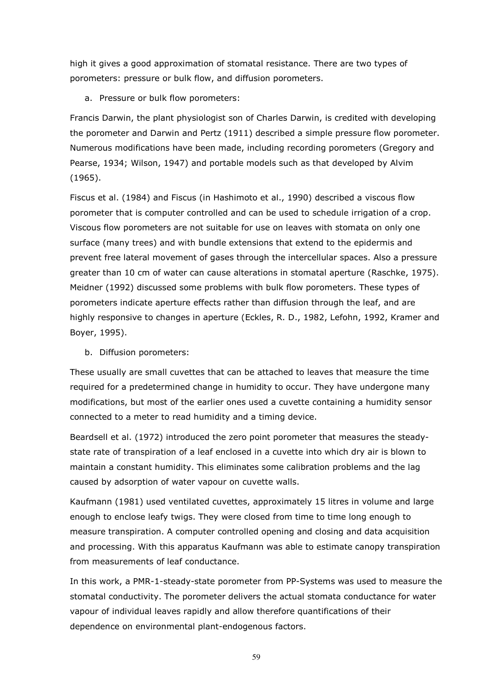high it gives a good approximation of stomatal resistance. There are two types of porometers: pressure or bulk flow, and diffusion porometers.

a. Pressure or bulk flow porometers:

Francis Darwin, the plant physiologist son of Charles Darwin, is credited with developing the porometer and Darwin and Pertz (1911) described a simple pressure flow porometer. Numerous modifications have been made, including recording porometers (Gregory and Pearse, 1934; Wilson, 1947) and portable models such as that developed by Alvim (1965).

Fiscus et al. (1984) and Fiscus (in Hashimoto et al., 1990) described a viscous flow porometer that is computer controlled and can be used to schedule irrigation of a crop. Viscous flow porometers are not suitable for use on leaves with stomata on only one surface (many trees) and with bundle extensions that extend to the epidermis and prevent free lateral movement of gases through the intercellular spaces. Also a pressure greater than 10 cm of water can cause alterations in stomatal aperture (Raschke, 1975). Meidner (1992) discussed some problems with bulk flow porometers. These types of porometers indicate aperture effects rather than diffusion through the leaf, and are highly responsive to changes in aperture (Eckles, R. D., 1982, Lefohn, 1992, Kramer and Boyer, 1995).

b. Diffusion porometers:

These usually are small cuvettes that can be attached to leaves that measure the time required for a predetermined change in humidity to occur. They have undergone many modifications, but most of the earlier ones used a cuvette containing a humidity sensor connected to a meter to read humidity and a timing device.

Beardsell et al. (1972) introduced the zero point porometer that measures the steadystate rate of transpiration of a leaf enclosed in a cuvette into which dry air is blown to maintain a constant humidity. This eliminates some calibration problems and the lag caused by adsorption of water vapour on cuvette walls.

Kaufmann (1981) used ventilated cuvettes, approximately 15 litres in volume and large enough to enclose leafy twigs. They were closed from time to time long enough to measure transpiration. A computer controlled opening and closing and data acquisition and processing. With this apparatus Kaufmann was able to estimate canopy transpiration from measurements of leaf conductance.

In this work, a PMR-1-steady-state porometer from PP-Systems was used to measure the stomatal conductivity. The porometer delivers the actual stomata conductance for water vapour of individual leaves rapidly and allow therefore quantifications of their dependence on environmental plant-endogenous factors.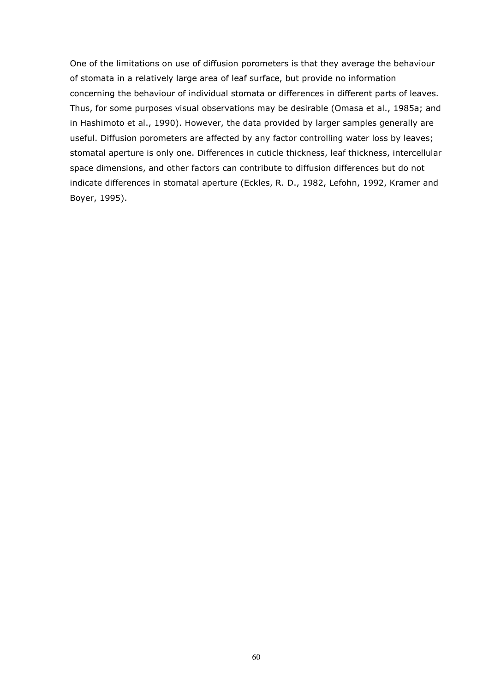One of the limitations on use of diffusion porometers is that they average the behaviour of stomata in a relatively large area of leaf surface, but provide no information concerning the behaviour of individual stomata or differences in different parts of leaves. Thus, for some purposes visual observations may be desirable (Omasa et al., 1985a; and in Hashimoto et al., 1990). However, the data provided by larger samples generally are useful. Diffusion porometers are affected by any factor controlling water loss by leaves; stomatal aperture is only one. Differences in cuticle thickness, leaf thickness, intercellular space dimensions, and other factors can contribute to diffusion differences but do not indicate differences in stomatal aperture (Eckles, R. D., 1982, Lefohn, 1992, Kramer and Boyer, 1995).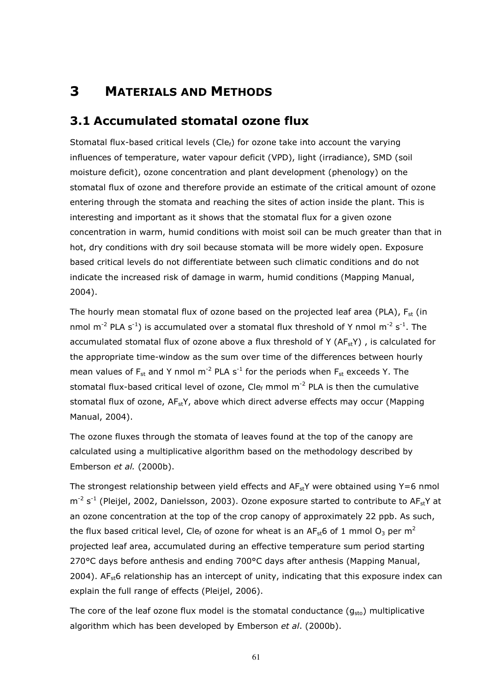# 3 MATERIALS AND METHODS

# 3.1 Accumulated stomatal ozone flux

Stomatal flux-based critical levels (Cle $_f$ ) for ozone take into account the varying influences of temperature, water vapour deficit (VPD), light (irradiance), SMD (soil moisture deficit), ozone concentration and plant development (phenology) on the stomatal flux of ozone and therefore provide an estimate of the critical amount of ozone entering through the stomata and reaching the sites of action inside the plant. This is interesting and important as it shows that the stomatal flux for a given ozone concentration in warm, humid conditions with moist soil can be much greater than that in hot, dry conditions with dry soil because stomata will be more widely open. Exposure based critical levels do not differentiate between such climatic conditions and do not indicate the increased risk of damage in warm, humid conditions (Mapping Manual, 2004).

The hourly mean stomatal flux of ozone based on the projected leaf area (PLA),  $F_{st}$  (in nmol m<sup>-2</sup> PLA s<sup>-1</sup>) is accumulated over a stomatal flux threshold of Y nmol m<sup>-2</sup> s<sup>-1</sup>. The accumulated stomatal flux of ozone above a flux threshold of Y ( $AF<sub>st</sub>Y$ ), is calculated for the appropriate time-window as the sum over time of the differences between hourly mean values of  $F_{st}$  and Y nmol m<sup>-2</sup> PLA s<sup>-1</sup> for the periods when  $F_{st}$  exceeds Y. The stomatal flux-based critical level of ozone, Cle $_f$  mmol m<sup>-2</sup> PLA is then the cumulative stomatal flux of ozone,  $AF_{st}Y$ , above which direct adverse effects may occur (Mapping Manual, 2004).

The ozone fluxes through the stomata of leaves found at the top of the canopy are calculated using a multiplicative algorithm based on the methodology described by Emberson et al. (2000b).

The strongest relationship between yield effects and  $AF_{st}Y$  were obtained using  $Y=6$  nmol  $m^{-2}$  s<sup>-1</sup> (Pleijel, 2002, Danielsson, 2003). Ozone exposure started to contribute to AF<sub>st</sub>Y at an ozone concentration at the top of the crop canopy of approximately 22 ppb. As such, the flux based critical level, Cle<sub>f</sub> of ozone for wheat is an AF<sub>st</sub>6 of 1 mmol O<sub>3</sub> per m<sup>2</sup> projected leaf area, accumulated during an effective temperature sum period starting 270°C days before anthesis and ending 700°C days after anthesis (Mapping Manual, 2004). AF<sub>st</sub>6 relationship has an intercept of unity, indicating that this exposure index can explain the full range of effects (Pleijel, 2006).

The core of the leaf ozone flux model is the stomatal conductance  $(g_{sto})$  multiplicative algorithm which has been developed by Emberson et al. (2000b).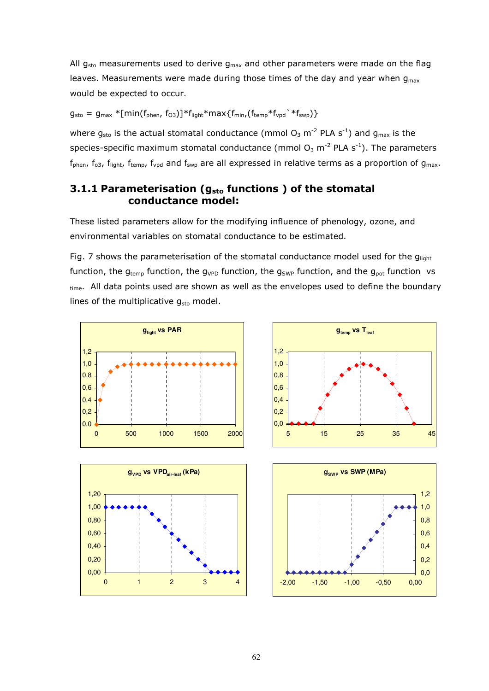All  $g_{sto}$  measurements used to derive  $g_{max}$  and other parameters were made on the flag leaves. Measurements were made during those times of the day and year when  $g_{\text{max}}$ would be expected to occur.

 $g_{sto} = g_{max} * [min(f_{phen}, f_{03})] * f_{light} * max{f_{min}, (f_{temp} * f_{vpd}) * f_{swp}})$ 

where  $g_{sto}$  is the actual stomatal conductance (mmol  $O_3$  m<sup>-2</sup> PLA s<sup>-1</sup>) and  $g_{max}$  is the species-specific maximum stomatal conductance (mmol  $O_3$  m<sup>-2</sup> PLA s<sup>-1</sup>). The parameters  $f_{phen}$ ,  $f_{o3}$ ,  $f_{light}$ ,  $f_{temp}$ ,  $f_{vpd}$  and  $f_{swp}$  are all expressed in relative terms as a proportion of  $g_{max}$ .

# 3.1.1 Parameterisation ( $g_{sto}$  functions) of the stomatal conductance model:

These listed parameters allow for the modifying influence of phenology, ozone, and environmental variables on stomatal conductance to be estimated.

Fig. 7 shows the parameterisation of the stomatal conductance model used for the  $g_{light}$ function, the  $g_{temp}$  function, the  $g_{VPD}$  function, the  $g_{SWP}$  function, and the  $g_{pot}$  function vs time. All data points used are shown as well as the envelopes used to define the boundary lines of the multiplicative  $g_{sto}$  model.







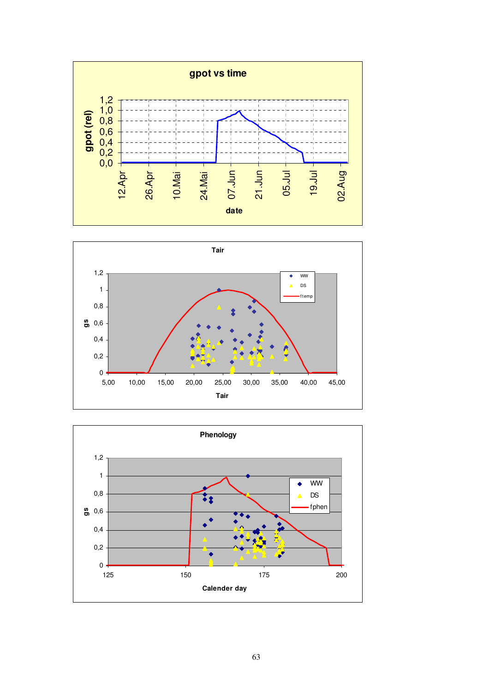



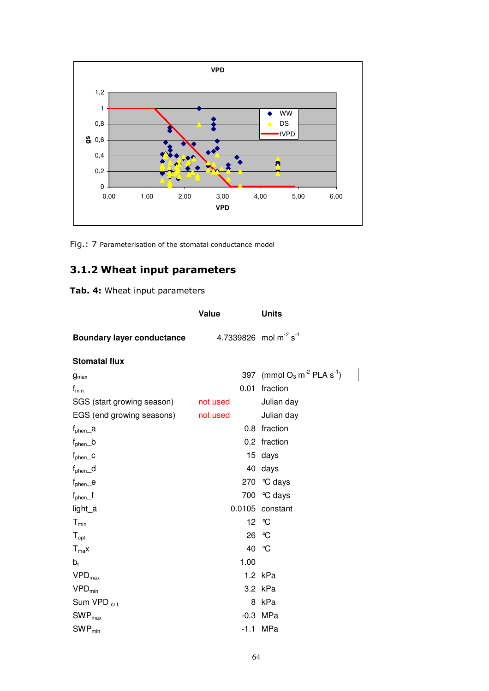

Fig.: 7 Parameterisation of the stomatal conductance model

# 3.1.2 Wheat input parameters

Tab. 4: Wheat input parameters

|                                   | Value                                         | <b>Units</b>                                          |
|-----------------------------------|-----------------------------------------------|-------------------------------------------------------|
| <b>Boundary layer conductance</b> | 4.7339826 mol m <sup>-2</sup> s <sup>-1</sup> |                                                       |
| <b>Stomatal flux</b>              |                                               |                                                       |
| $g_{\text{max}}$                  |                                               | 397 (mmol $O_3$ m <sup>-2</sup> PLA s <sup>-1</sup> ) |
| $f_{\text{min}}$                  | 0.01                                          | fraction                                              |
| SGS (start growing season)        | not used                                      | Julian day                                            |
| EGS (end growing seasons)         | not used                                      | Julian day                                            |
| $f_{\text{phen}\_\alpha}$         |                                               | 0.8 fraction                                          |
| $f_{\text{phen}}$ _ $b$           |                                               | 0.2 fraction                                          |
| $f_{\text{phen}\_\text{C}}$       |                                               | 15 days                                               |
| $f_{\text{phen}\_\text{d}$        |                                               | 40 days                                               |
| $f_{\text{phen}\_\text{e}}$       |                                               | 270 °C days                                           |
| $f_{\text{phen}}$ $f$             |                                               | 700 °C days                                           |
| light_a                           |                                               | 0.0105 constant                                       |
| $T_{min}$                         |                                               | 12 °C                                                 |
| $T_{opt}$                         |                                               | 26 °C                                                 |
| $T_{ma}x$                         |                                               | 40 °C                                                 |
| $b_t$                             | 1.00                                          |                                                       |
| $VPD_{max}$                       |                                               | 1.2 kPa                                               |
| $VPD_{min}$                       |                                               | 3.2 kPa                                               |
| Sum VPD <sub>crit</sub>           | 8                                             | kPa                                                   |
| $SWP_{max}$                       |                                               | $-0.3$ MPa                                            |
| $SWP_{min}$                       |                                               | $-1.1$ MPa                                            |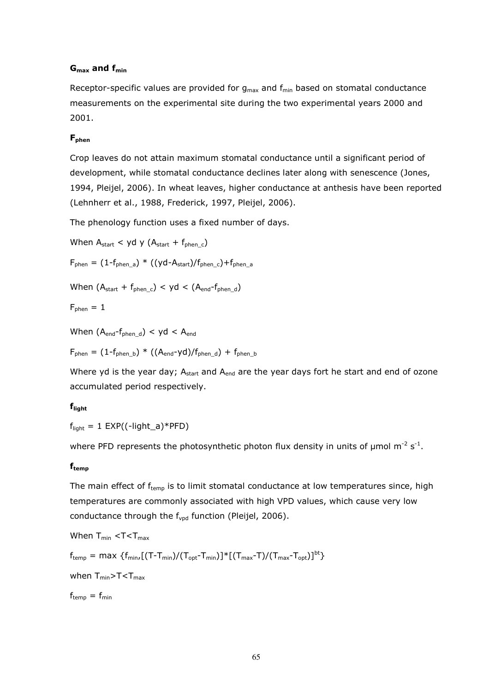#### $G<sub>max</sub>$  and  $f<sub>min</sub>$

Receptor-specific values are provided for  $g_{max}$  and  $f_{min}$  based on stomatal conductance measurements on the experimental site during the two experimental years 2000 and 2001.

#### Fphen

Crop leaves do not attain maximum stomatal conductance until a significant period of development, while stomatal conductance declines later along with senescence (Jones, 1994, Pleijel, 2006). In wheat leaves, higher conductance at anthesis have been reported (Lehnherr et al., 1988, Frederick, 1997, Pleijel, 2006).

The phenology function uses a fixed number of days.

When  $A_{start}$  < yd y  $(A_{start} + f_{when c})$ 

 $F_{\text{phen}} = (1 - f_{\text{phen}} a) * ((yd - A_{\text{start}})/f_{\text{phen}} c) + f_{\text{phen}} a$ 

When  $(A_{start} + f_{phen}c) < yd < (A_{end} - f_{phen}d)$ 

$$
F_{\text{phen}}=1
$$

When  $(A_{end} - f_{then-d}) < yd < A_{end}$ 

 $F_{\text{phen}} = (1 - f_{\text{phen}}) * ((A_{\text{end}} - yd)/f_{\text{phen}}d) + f_{\text{phen}}b$ 

Where yd is the year day;  $A_{start}$  and  $A_{end}$  are the year days fort he start and end of ozone accumulated period respectively.

#### flight

 $f_{light} = 1$  EXP((-light\_a)\*PFD)

where PFD represents the photosynthetic photon flux density in units of  $\mu$ mol m<sup>-2</sup> s<sup>-1</sup>.

#### $f_{temp}$

The main effect of  $f_{temp}$  is to limit stomatal conductance at low temperatures since, high temperatures are commonly associated with high VPD values, which cause very low conductance through the f<sub>vpd</sub> function (Pleijel, 2006).

When  $T_{\text{min}} < T < T_{\text{max}}$  $f_{temp} = \max \{f_{min},[(T-T_{min})/(T_{opt}-T_{min})]^*[(T_{max}-T)/(T_{max}-T_{opt})]^{bt}\}$ when  $T_{min} > T < T_{max}$  $f_{temp} = f_{min}$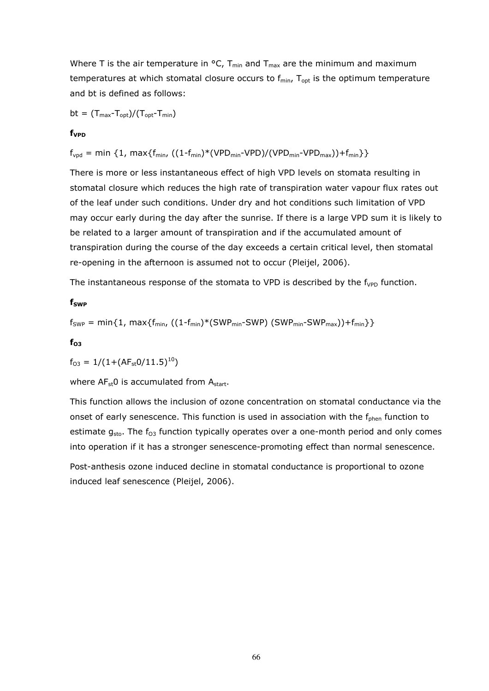Where T is the air temperature in  $\text{°C}$ , T<sub>min</sub> and T<sub>max</sub> are the minimum and maximum temperatures at which stomatal closure occurs to  $f_{min}$ ,  $T_{opt}$  is the optimum temperature and bt is defined as follows:

 $bt = (T_{max}-T_{opt})/(T_{opt}-T_{min})$ 

#### f<sub>VPD</sub>

 $f_{\text{vpd}} = \min \{1, \max\{f_{\min}, ((1 - f_{\min})^*(\text{VPD}_{\min} - \text{VPD}) / (\text{VPD}_{\min} - \text{VPD}_{\max})) + f_{\min}\}\}\$ 

There is more or less instantaneous effect of high VPD levels on stomata resulting in stomatal closure which reduces the high rate of transpiration water vapour flux rates out of the leaf under such conditions. Under dry and hot conditions such limitation of VPD may occur early during the day after the sunrise. If there is a large VPD sum it is likely to be related to a larger amount of transpiration and if the accumulated amount of transpiration during the course of the day exceeds a certain critical level, then stomatal re-opening in the afternoon is assumed not to occur (Pleijel, 2006).

The instantaneous response of the stomata to VPD is described by the  $f_{VPD}$  function.

#### f<sub>SWP</sub>

$$
f_{SWP} = min\{1, max\{f_{min}, ((1 - f_{min}) * (SWP_{min} - SWP) (SWP_{min} - SWP_{max})) + f_{min}\}\}
$$

 $f_{O3}$ 

 $f_{O3} = 1/(1+(AF_{st}0/11.5)^{10})$ 

where  $AF<sub>st</sub>0$  is accumulated from  $A<sub>start</sub>$ .

This function allows the inclusion of ozone concentration on stomatal conductance via the onset of early senescence. This function is used in association with the  $f_{\text{phen}}$  function to estimate  $g_{sto}$ . The  $f_{03}$  function typically operates over a one-month period and only comes into operation if it has a stronger senescence-promoting effect than normal senescence.

Post-anthesis ozone induced decline in stomatal conductance is proportional to ozone induced leaf senescence (Pleijel, 2006).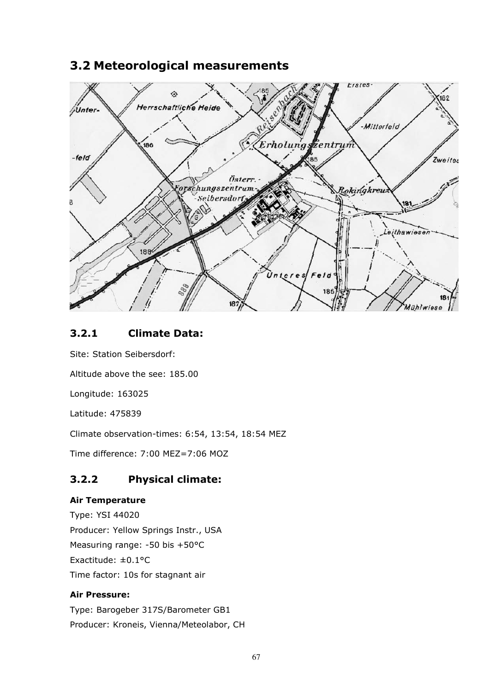# 3.2 Meteorological measurements



# 3.2.1 Climate Data:

Site: Station Seibersdorf:

Altitude above the see: 185.00

Longitude: 163025

Latitude: 475839

Climate observation-times: 6:54, 13:54, 18:54 MEZ

Time difference: 7:00 MEZ=7:06 MOZ

# 3.2.2 Physical climate:

#### Air Temperature

Type: YSI 44020 Producer: Yellow Springs Instr., USA Measuring range: -50 bis +50°C Exactitude: ±0.1°C Time factor: 10s for stagnant air

#### Air Pressure:

Type: Barogeber 317S/Barometer GB1 Producer: Kroneis, Vienna/Meteolabor, CH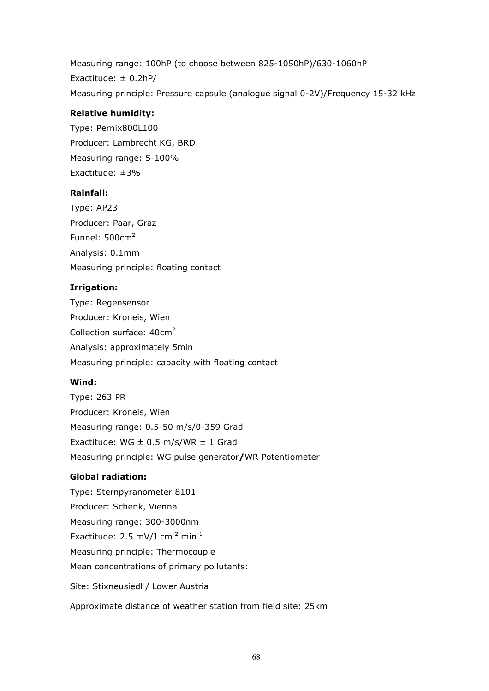Measuring range: 100hP (to choose between 825-1050hP)/630-1060hP Exactitude: ± 0.2hP/ Measuring principle: Pressure capsule (analogue signal 0-2V)/Frequency 15-32 kHz

#### Relative humidity:

Type: Pernix800L100 Producer: Lambrecht KG, BRD Measuring range: 5-100% Exactitude: ±3%

#### Rainfall:

Type: AP23 Producer: Paar, Graz Funnel:  $500 \text{cm}^2$ Analysis: 0.1mm Measuring principle: floating contact

#### Irrigation:

Type: Regensensor Producer: Kroneis, Wien Collection surface: 40cm<sup>2</sup> Analysis: approximately 5min Measuring principle: capacity with floating contact

#### Wind:

Type: 263 PR Producer: Kroneis, Wien Measuring range: 0.5-50 m/s/0-359 Grad Exactitude: WG  $\pm$  0.5 m/s/WR  $\pm$  1 Grad Measuring principle: WG pulse generator/WR Potentiometer

#### Global radiation:

Type: Sternpyranometer 8101 Producer: Schenk, Vienna Measuring range: 300-3000nm Exactitude:  $2.5$  mV/J cm<sup>-2</sup> min<sup>-1</sup> Measuring principle: Thermocouple Mean concentrations of primary pollutants: Site: Stixneusiedl / Lower Austria Approximate distance of weather station from field site: 25km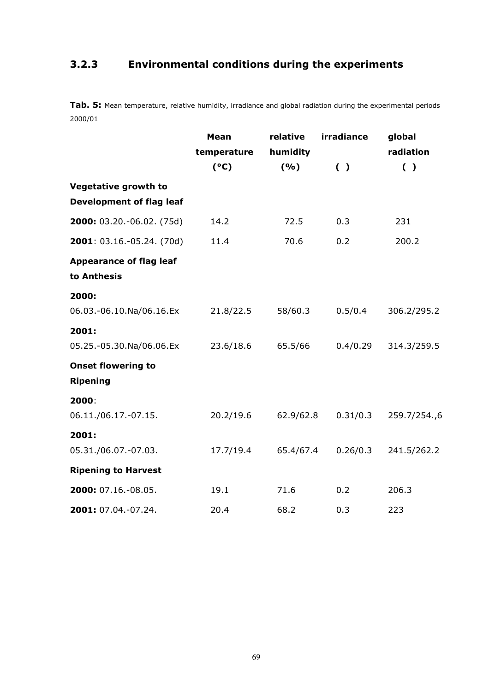# 3.2.3 Environmental conditions during the experiments

Tab. 5: Mean temperature, relative humidity, irradiance and global radiation during the experimental periods 2000/01

|                                               | <b>Mean</b><br>temperature | relative<br>humidity | irradiance | global<br>radiation |
|-----------------------------------------------|----------------------------|----------------------|------------|---------------------|
|                                               | (°C)                       | (9/6)                | ( )        | ( )                 |
| <b>Vegetative growth to</b>                   |                            |                      |            |                     |
| <b>Development of flag leaf</b>               |                            |                      |            |                     |
| 2000: 03.20.-06.02. (75d)                     | 14.2                       | 72.5                 | 0.3        | 231                 |
| 2001: 03.16.-05.24. (70d)                     | 11.4                       | 70.6                 | 0.2        | 200.2               |
| <b>Appearance of flag leaf</b><br>to Anthesis |                            |                      |            |                     |
| 2000:                                         |                            |                      |            |                     |
| 06.03.-06.10.Na/06.16.Ex                      | 21.8/22.5                  | 58/60.3              | 0.5/0.4    | 306.2/295.2         |
| 2001:                                         |                            |                      |            |                     |
| 05.25.-05.30.Na/06.06.Ex                      | 23.6/18.6                  | 65.5/66              | 0.4/0.29   | 314.3/259.5         |
| <b>Onset flowering to</b>                     |                            |                      |            |                     |
| <b>Ripening</b>                               |                            |                      |            |                     |
| 2000:                                         |                            |                      |            |                     |
| 06.11./06.17.-07.15.                          | 20.2/19.6                  | 62.9/62.8            | 0.31/0.3   | 259.7/254.,6        |
| 2001:                                         |                            |                      |            |                     |
| 05.31./06.07.-07.03.                          | 17.7/19.4                  | 65.4/67.4            | 0.26/0.3   | 241.5/262.2         |
| <b>Ripening to Harvest</b>                    |                            |                      |            |                     |
| 2000: 07.16.-08.05.                           | 19.1                       | 71.6                 | 0.2        | 206.3               |
| 2001: 07.04.-07.24.                           | 20.4                       | 68.2                 | 0.3        | 223                 |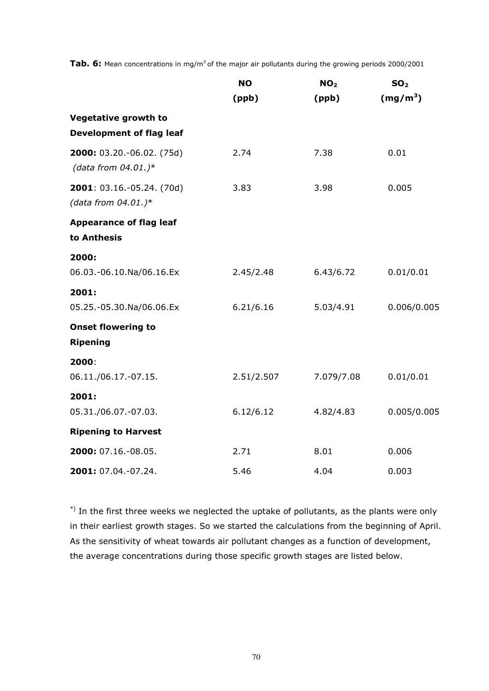**Tab. 6:** Mean concentrations in mg/m<sup>3</sup> of the major air pollutants during the growing periods 2000/2001

|                                                     | <b>NO</b>  | NO <sub>2</sub> | SO <sub>2</sub> |
|-----------------------------------------------------|------------|-----------------|-----------------|
|                                                     | (ppb)      | (ppb)           | $(mg/m^3)$      |
| Vegetative growth to                                |            |                 |                 |
| <b>Development of flag leaf</b>                     |            |                 |                 |
| 2000: 03.20.-06.02. (75d)<br>(data from $04.01.$ )* | 2.74       | 7.38            | 0.01            |
| 2001: 03.16.-05.24. (70d)<br>(data from $04.01.$ )* | 3.83       | 3.98            | 0.005           |
| <b>Appearance of flag leaf</b><br>to Anthesis       |            |                 |                 |
| 2000:                                               |            |                 |                 |
| 06.03.-06.10.Na/06.16.Ex                            | 2.45/2.48  | 6.43/6.72       | 0.01/0.01       |
| 2001:                                               |            |                 |                 |
| 05.25.-05.30.Na/06.06.Ex                            | 6.21/6.16  | 5.03/4.91       | 0.006/0.005     |
| <b>Onset flowering to</b><br><b>Ripening</b>        |            |                 |                 |
| 2000:                                               |            |                 |                 |
| 06.11./06.17.-07.15.                                | 2.51/2.507 | 7.079/7.08      | 0.01/0.01       |
| 2001:                                               |            |                 |                 |
| 05.31./06.07.-07.03.                                | 6.12/6.12  | 4.82/4.83       | 0.005/0.005     |
| <b>Ripening to Harvest</b>                          |            |                 |                 |
| 2000: 07.16.-08.05.                                 | 2.71       | 8.01            | 0.006           |
| 2001: 07.04.-07.24.                                 | 5.46       | 4.04            | 0.003           |

 $^*$ ) In the first three weeks we neglected the uptake of pollutants, as the plants were only in their earliest growth stages. So we started the calculations from the beginning of April. As the sensitivity of wheat towards air pollutant changes as a function of development, the average concentrations during those specific growth stages are listed below.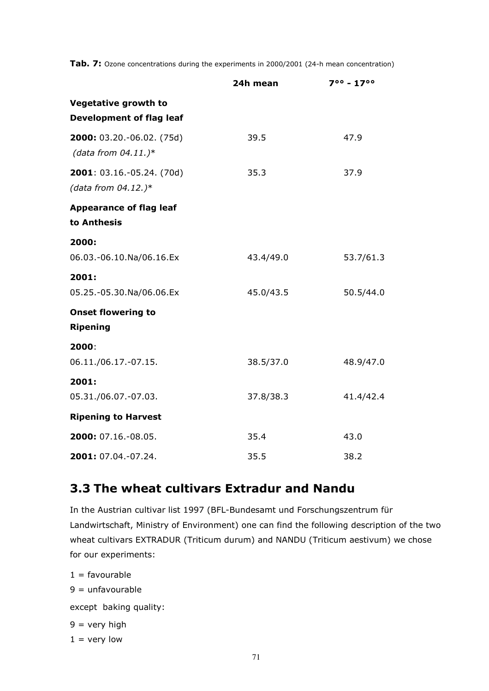Tab. 7: Ozone concentrations during the experiments in 2000/2001 (24-h mean concentration)

|                                                                | 24h mean  | $7^{\circ \circ}$ - 17 $^{\circ \circ}$ |
|----------------------------------------------------------------|-----------|-----------------------------------------|
| <b>Vegetative growth to</b><br><b>Development of flag leaf</b> |           |                                         |
| 2000: 03.20.-06.02. (75d)<br>(data from $04.11.$ )*            | 39.5      | 47.9                                    |
| 2001: 03.16.-05.24. (70d)<br>(data from $04.12.$ )*            | 35.3      | 37.9                                    |
| <b>Appearance of flag leaf</b><br>to Anthesis                  |           |                                         |
|                                                                |           |                                         |
| 2000:<br>06.03.-06.10.Na/06.16.Ex                              | 43.4/49.0 | 53.7/61.3                               |
| 2001:<br>05.25.-05.30.Na/06.06.Ex                              | 45.0/43.5 | 50.5/44.0                               |
| <b>Onset flowering to</b><br><b>Ripening</b>                   |           |                                         |
| 2000:                                                          |           |                                         |
| 06.11./06.17.-07.15.                                           | 38.5/37.0 | 48.9/47.0                               |
| 2001:                                                          |           |                                         |
| 05.31./06.07.-07.03.                                           | 37.8/38.3 | 41.4/42.4                               |
| <b>Ripening to Harvest</b>                                     |           |                                         |
| 2000: 07.16.-08.05.                                            | 35.4      | 43.0                                    |
| 2001: 07.04.-07.24.                                            | 35.5      | 38.2                                    |

# 3.3 The wheat cultivars Extradur and Nandu

In the Austrian cultivar list 1997 (BFL-Bundesamt und Forschungszentrum für Landwirtschaft, Ministry of Environment) one can find the following description of the two wheat cultivars EXTRADUR (Triticum durum) and NANDU (Triticum aestivum) we chose for our experiments:

 $1 =$  favourable

 $9 =$ unfavourable

except baking quality:

 $9 = \text{very high}$ 

 $1 =$  very low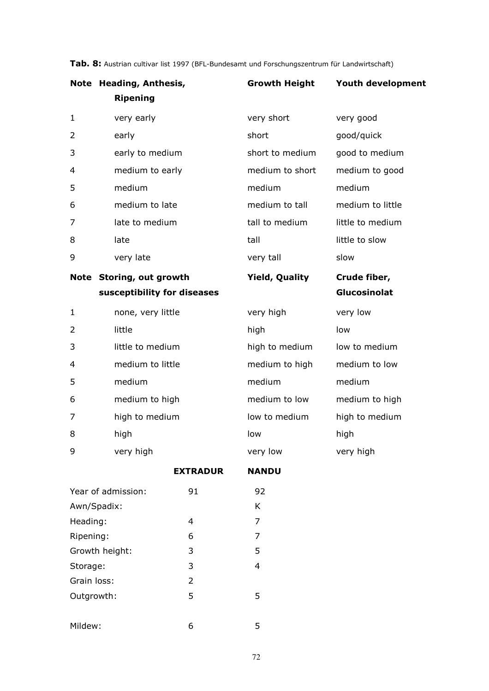|              | Note Heading, Anthesis,     | <b>Growth Height</b>  | Youth development |
|--------------|-----------------------------|-----------------------|-------------------|
|              | <b>Ripening</b>             |                       |                   |
| $\mathbf{1}$ | very early                  | very short            | very good         |
| 2            | early                       | short                 | good/quick        |
| 3            | early to medium             | short to medium       | good to medium    |
| 4            | medium to early             | medium to short       | medium to good    |
| 5            | medium                      | medium                | medium            |
| 6            | medium to late              | medium to tall        | medium to little  |
| 7            | late to medium              | tall to medium        | little to medium  |
| 8            | late                        | tall                  | little to slow    |
| 9            | very late                   | very tall             | slow              |
|              |                             |                       |                   |
|              | Note Storing, out growth    | <b>Yield, Quality</b> | Crude fiber,      |
|              | susceptibility for diseases |                       | Glucosinolat      |
| $\mathbf{1}$ | none, very little           | very high             | very low          |
| 2            | little                      | high                  | low               |
| 3            | little to medium            | high to medium        | low to medium     |
| 4            | medium to little            | medium to high        | medium to low     |
| 5            | medium                      | medium                | medium            |
| 6            | medium to high              | medium to low         | medium to high    |
| 7            | high to medium              | low to medium         | high to medium    |
| 8            | high                        | low                   | high              |

Tab. 8: Austrian cultivar list 1997 (BFL-Bundesamt und Forschungszentrum für Landwirtschaft)

EXTRADUR NANDU

| Year of admission: | 91 | 92 |
|--------------------|----|----|
| Awn/Spadix:        |    | K  |
| Heading:           | 4  | 7  |
| Ripening:          | 6  | 7  |
| Growth height:     | 3  | 5  |
| Storage:           | 3  | 4  |
| Grain loss:        | 2  |    |
| Outgrowth:         | 5  | 5  |
|                    |    |    |
| Mildew:            | 6  | 5  |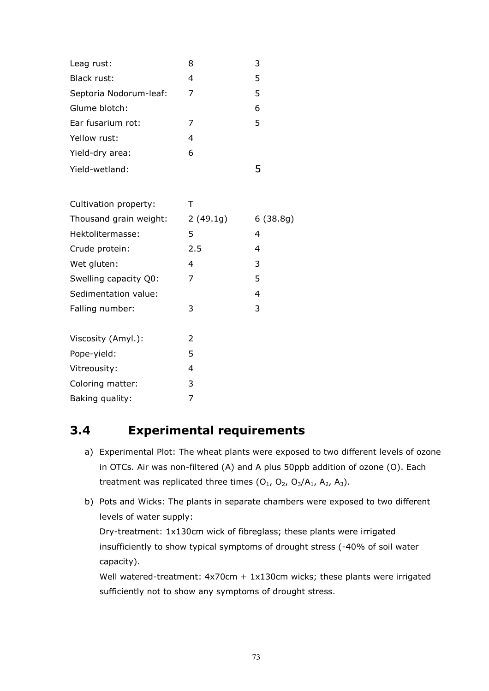| Leag rust:             | 8              | 3        |
|------------------------|----------------|----------|
| Black rust:            | 4              | 5        |
| Septoria Nodorum-leaf: | 7              | 5        |
| Glume blotch:          |                | 6        |
| Ear fusarium rot:      | 7              | 5        |
| Yellow rust:           | 4              |          |
| Yield-dry area:        | 6              |          |
| Yield-wetland:         |                | 5        |
|                        |                |          |
| Cultivation property:  | Τ              |          |
| Thousand grain weight: | 2(49.1g)       | 6(38.8g) |
| Hektolitermasse:       | 5              | 4        |
| Crude protein:         | 2.5            | 4        |
| Wet gluten:            | $\overline{4}$ | 3        |
| Swelling capacity Q0:  | 7              | 5        |
| Sedimentation value:   |                | 4        |
| Falling number:        | 3              | 3        |
| Viscosity (Amyl.):     | $\overline{2}$ |          |
| Pope-yield:            | 5              |          |
| Vitreousity:           | 4              |          |
| Coloring matter:       | 3              |          |
| Baking quality:        | 7              |          |
|                        |                |          |

## 3.4 Experimental requirements

- a) Experimental Plot: The wheat plants were exposed to two different levels of ozone in OTCs. Air was non-filtered (A) and A plus 50ppb addition of ozone (O). Each treatment was replicated three times  $(O_1, O_2, O_3/A_1, A_2, A_3)$ .
- b) Pots and Wicks: The plants in separate chambers were exposed to two different levels of water supply: Dry-treatment: 1x130cm wick of fibreglass; these plants were irrigated insufficiently to show typical symptoms of drought stress (-40% of soil water capacity).

Well watered-treatment: 4x70cm + 1x130cm wicks; these plants were irrigated sufficiently not to show any symptoms of drought stress.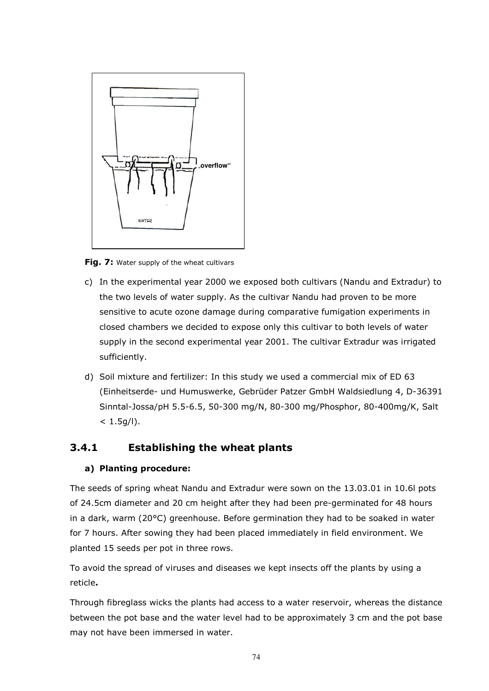

Fig. 7: Water supply of the wheat cultivars

- c) In the experimental year 2000 we exposed both cultivars (Nandu and Extradur) to the two levels of water supply. As the cultivar Nandu had proven to be more sensitive to acute ozone damage during comparative fumigation experiments in closed chambers we decided to expose only this cultivar to both levels of water supply in the second experimental year 2001. The cultivar Extradur was irrigated sufficiently.
- d) Soil mixture and fertilizer: In this study we used a commercial mix of ED 63 (Einheitserde- und Humuswerke, Gebrüder Patzer GmbH Waldsiedlung 4, D-36391 Sinntal-Jossa/pH 5.5-6.5, 50-300 mg/N, 80-300 mg/Phosphor, 80-400mg/K, Salt  $< 1.5g/l$ ).

#### 3.4.1 Establishing the wheat plants

#### a) Planting procedure:

The seeds of spring wheat Nandu and Extradur were sown on the 13.03.01 in 10.6l pots of 24.5cm diameter and 20 cm height after they had been pre-germinated for 48 hours in a dark, warm (20°C) greenhouse. Before germination they had to be soaked in water for 7 hours. After sowing they had been placed immediately in field environment. We planted 15 seeds per pot in three rows.

To avoid the spread of viruses and diseases we kept insects off the plants by using a reticle.

Through fibreglass wicks the plants had access to a water reservoir, whereas the distance between the pot base and the water level had to be approximately 3 cm and the pot base may not have been immersed in water.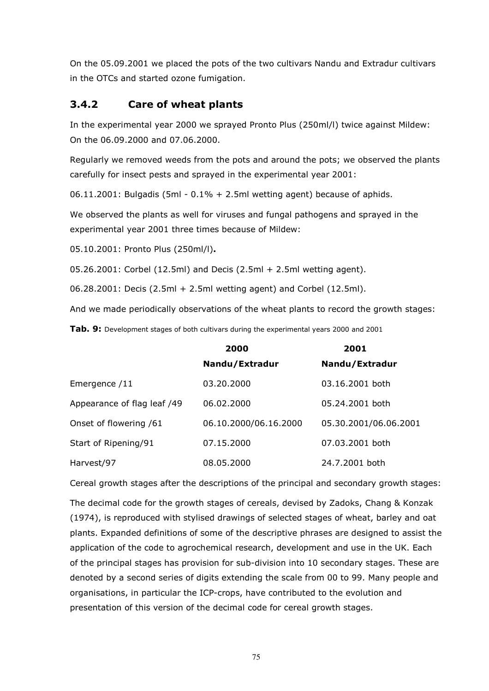On the 05.09.2001 we placed the pots of the two cultivars Nandu and Extradur cultivars in the OTCs and started ozone fumigation.

### 3.4.2 Care of wheat plants

In the experimental year 2000 we sprayed Pronto Plus (250ml/l) twice against Mildew: On the 06.09.2000 and 07.06.2000.

Regularly we removed weeds from the pots and around the pots; we observed the plants carefully for insect pests and sprayed in the experimental year 2001:

06.11.2001: Bulgadis (5ml - 0.1% + 2.5ml wetting agent) because of aphids.

We observed the plants as well for viruses and fungal pathogens and sprayed in the experimental year 2001 three times because of Mildew:

05.10.2001: Pronto Plus (250ml/l).

05.26.2001: Corbel (12.5ml) and Decis (2.5ml + 2.5ml wetting agent).

06.28.2001: Decis (2.5ml + 2.5ml wetting agent) and Corbel (12.5ml).

And we made periodically observations of the wheat plants to record the growth stages:

Tab. 9: Development stages of both cultivars during the experimental years 2000 and 2001

|                             | 2000                  | 2001                  |
|-----------------------------|-----------------------|-----------------------|
|                             | Nandu/Extradur        | Nandu/Extradur        |
| Emergence /11               | 03.20.2000            | 03.16.2001 both       |
| Appearance of flag leaf /49 | 06.02.2000            | 05.24.2001 both       |
| Onset of flowering /61      | 06.10.2000/06.16.2000 | 05.30.2001/06.06.2001 |
| Start of Ripening/91        | 07.15.2000            | 07.03.2001 both       |
| Harvest/97                  | 08.05.2000            | 24.7.2001 both        |

Cereal growth stages after the descriptions of the principal and secondary growth stages:

The decimal code for the growth stages of cereals, devised by Zadoks, Chang & Konzak (1974), is reproduced with stylised drawings of selected stages of wheat, barley and oat plants. Expanded definitions of some of the descriptive phrases are designed to assist the application of the code to agrochemical research, development and use in the UK. Each of the principal stages has provision for sub-division into 10 secondary stages. These are denoted by a second series of digits extending the scale from 00 to 99. Many people and organisations, in particular the ICP-crops, have contributed to the evolution and presentation of this version of the decimal code for cereal growth stages.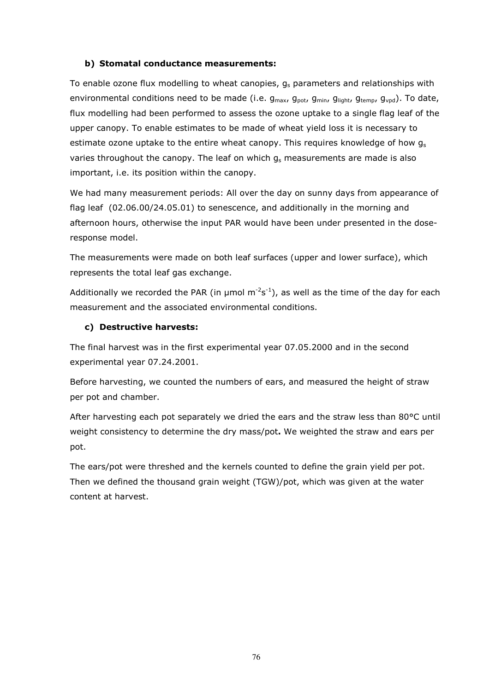#### b) Stomatal conductance measurements:

To enable ozone flux modelling to wheat canopies,  $g_s$  parameters and relationships with environmental conditions need to be made (i.e.  $g_{max}$ ,  $g_{pot}$ ,  $g_{min}$ ,  $g_{light}$ ,  $g_{temp}$ ,  $g_{vpd}$ ). To date, flux modelling had been performed to assess the ozone uptake to a single flag leaf of the upper canopy. To enable estimates to be made of wheat yield loss it is necessary to estimate ozone uptake to the entire wheat canopy. This requires knowledge of how  $q_s$ varies throughout the canopy. The leaf on which  $q_s$  measurements are made is also important, i.e. its position within the canopy.

We had many measurement periods: All over the day on sunny days from appearance of flag leaf (02.06.00/24.05.01) to senescence, and additionally in the morning and afternoon hours, otherwise the input PAR would have been under presented in the doseresponse model.

The measurements were made on both leaf surfaces (upper and lower surface), which represents the total leaf gas exchange.

Additionally we recorded the PAR (in  $\mu$ mol m<sup>-2</sup>s<sup>-1</sup>), as well as the time of the day for each measurement and the associated environmental conditions.

#### c) Destructive harvests:

The final harvest was in the first experimental year 07.05.2000 and in the second experimental year 07.24.2001.

Before harvesting, we counted the numbers of ears, and measured the height of straw per pot and chamber.

After harvesting each pot separately we dried the ears and the straw less than 80°C until weight consistency to determine the dry mass/pot. We weighted the straw and ears per pot.

The ears/pot were threshed and the kernels counted to define the grain yield per pot. Then we defined the thousand grain weight (TGW)/pot, which was given at the water content at harvest.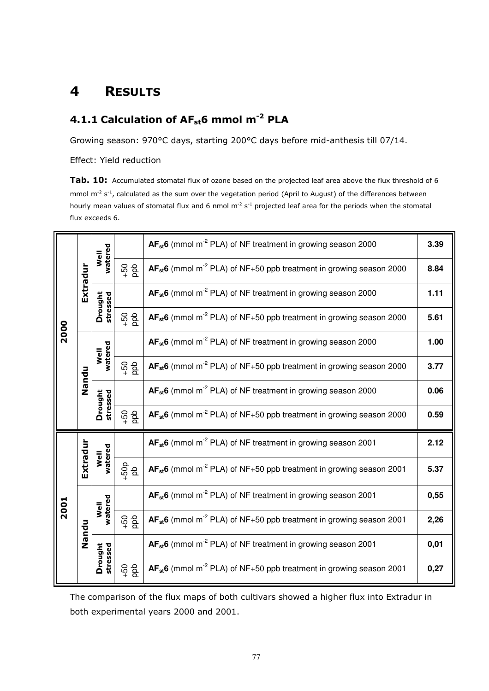### 4 RESULTS

## 4.1.1 Calculation of AF<sub>st</sub>6 mmol m<sup>-2</sup> PLA

Growing season: 970°C days, starting 200°C days before mid-anthesis till 07/14.

Effect: Yield reduction

Tab. 10: Accumulated stomatal flux of ozone based on the projected leaf area above the flux threshold of 6 mmol  $m^{-2}$  s<sup>-1</sup>, calculated as the sum over the vegetation period (April to August) of the differences between hourly mean values of stomatal flux and 6 nmol  $m<sup>2</sup> s<sup>-1</sup>$  projected leaf area for the periods when the stomatal flux exceeds 6.

|      |          |                     |                | $AF_{st}6$ (mmol m <sup>-2</sup> PLA) of NF treatment in growing season 2000         | 3.39 |
|------|----------|---------------------|----------------|--------------------------------------------------------------------------------------|------|
|      | Extradur | watered<br>Well     | $\frac{1}{2}$  | $AF_{st}6$ (mmol m <sup>-2</sup> PLA) of NF+50 ppb treatment in growing season 2000  | 8.84 |
|      |          | Drought<br>stressed |                | $AF_{st}6$ (mmol m <sup>-2</sup> PLA) of NF treatment in growing season 2000         | 1.11 |
| 2000 |          |                     | $\frac{1}{2}$  | $AF_{st}6$ (mmol m <sup>-2</sup> PLA) of NF+50 ppb treatment in growing season 2000  | 5.61 |
|      |          | watered<br>Well     |                | $AF_{st}6$ (mmol m <sup>-2</sup> PLA) of NF treatment in growing season 2000         | 1.00 |
|      | Nandu    |                     | $\frac{1}{2}$  | $AF_{st}6$ (mmol m <sup>-2</sup> PLA) of NF+50 ppb treatment in growing season 2000  | 3.77 |
|      |          | Drought             |                | AF <sub>st</sub> 6 (mmol m <sup>-2</sup> PLA) of NF treatment in growing season 2000 | 0.06 |
|      |          | stressed            | $\frac{6}{4}$  | $AF_{st}6$ (mmol m <sup>-2</sup> PLA) of NF+50 ppb treatment in growing season 2000  | 0.59 |
|      |          |                     |                | $AF_{st}6$ (mmol m <sup>-2</sup> PLA) of NF treatment in growing season 2001         | 2.12 |
|      | Extradur | watered<br>Well     | 450            | $AF_{st}6$ (mmol m <sup>-2</sup> PLA) of NF+50 ppb treatment in growing season 2001  | 5.37 |
| 2001 |          |                     |                | AF <sub>st</sub> 6 (mmol m <sup>-2</sup> PLA) of NF treatment in growing season 2001 | 0,55 |
|      | Nandu    | watered<br>Well     | $\frac{6}{50}$ | $AF_{st}6$ (mmol m <sup>-2</sup> PLA) of NF+50 ppb treatment in growing season 2001  | 2,26 |
|      |          | Drought<br>stressed |                | $AF_{st}6$ (mmol m <sup>-2</sup> PLA) of NF treatment in growing season 2001         | 0,01 |
|      |          |                     | $rac{60}{100}$ | $AF_{st}6$ (mmol m <sup>-2</sup> PLA) of NF+50 ppb treatment in growing season 2001  | 0,27 |

The comparison of the flux maps of both cultivars showed a higher flux into Extradur in both experimental years 2000 and 2001.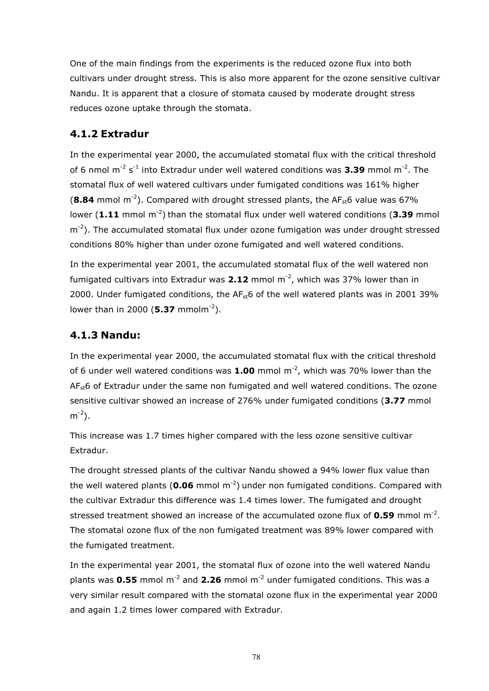One of the main findings from the experiments is the reduced ozone flux into both cultivars under drought stress. This is also more apparent for the ozone sensitive cultivar Nandu. It is apparent that a closure of stomata caused by moderate drought stress reduces ozone uptake through the stomata.

### 4.1.2 Extradur

In the experimental year 2000, the accumulated stomatal flux with the critical threshold of 6 nmol  $m^{-2}$  s<sup>-1</sup> into Extradur under well watered conditions was **3.39** mmol  $m^{-2}$ . The stomatal flux of well watered cultivars under fumigated conditions was 161% higher (8.84 mmol m<sup>-2</sup>). Compared with drought stressed plants, the AF<sub>st</sub>6 value was 67% lower (1.11 mmol  $m^{-2}$ ) than the stomatal flux under well watered conditions (3.39 mmol  $m^{-2}$ ). The accumulated stomatal flux under ozone fumigation was under drought stressed conditions 80% higher than under ozone fumigated and well watered conditions.

In the experimental year 2001, the accumulated stomatal flux of the well watered non fumigated cultivars into Extradur was  $2.12$  mmol m<sup>-2</sup>, which was 37% lower than in 2000. Under fumigated conditions, the  $AF<sub>st</sub>6$  of the well watered plants was in 2001 39% lower than in 2000 (5.37 mmolm<sup>-2</sup>).

### 4.1.3 Nandu:

In the experimental year 2000, the accumulated stomatal flux with the critical threshold of 6 under well watered conditions was  $1.00$  mmol m<sup>-2</sup>, which was 70% lower than the  $AF<sub>st</sub>6$  of Extradur under the same non fumigated and well watered conditions. The ozone sensitive cultivar showed an increase of 276% under fumigated conditions (3.77 mmol  $m^{-2}$ ).

This increase was 1.7 times higher compared with the less ozone sensitive cultivar Extradur.

The drought stressed plants of the cultivar Nandu showed a 94% lower flux value than the well watered plants ( $0.06$  mmol m<sup>-2</sup>) under non fumigated conditions. Compared with the cultivar Extradur this difference was 1.4 times lower. The fumigated and drought stressed treatment showed an increase of the accumulated ozone flux of  $0.59$  mmol m<sup>-2</sup>. The stomatal ozone flux of the non fumigated treatment was 89% lower compared with the fumigated treatment.

In the experimental year 2001, the stomatal flux of ozone into the well watered Nandu plants was 0.55 mmol m<sup>-2</sup> and 2.26 mmol m<sup>-2</sup> under fumigated conditions. This was a very similar result compared with the stomatal ozone flux in the experimental year 2000 and again 1.2 times lower compared with Extradur.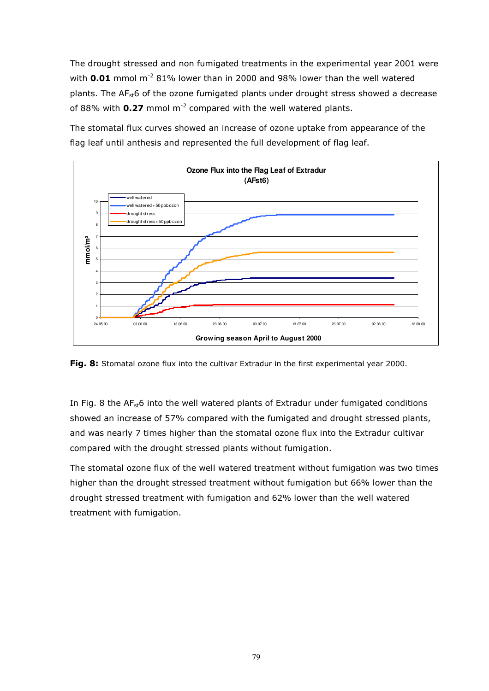The drought stressed and non fumigated treatments in the experimental year 2001 were with  $0.01$  mmol m<sup>-2</sup> 81% lower than in 2000 and 98% lower than the well watered plants. The  $AF<sub>st</sub>6$  of the ozone fumigated plants under drought stress showed a decrease of 88% with  $0.27$  mmol m<sup>-2</sup> compared with the well watered plants.

The stomatal flux curves showed an increase of ozone uptake from appearance of the flag leaf until anthesis and represented the full development of flag leaf.



Fig. 8: Stomatal ozone flux into the cultivar Extradur in the first experimental year 2000.

In Fig. 8 the  $AF<sub>st</sub>6$  into the well watered plants of Extradur under fumigated conditions showed an increase of 57% compared with the fumigated and drought stressed plants, and was nearly 7 times higher than the stomatal ozone flux into the Extradur cultivar compared with the drought stressed plants without fumigation.

The stomatal ozone flux of the well watered treatment without fumigation was two times higher than the drought stressed treatment without fumigation but 66% lower than the drought stressed treatment with fumigation and 62% lower than the well watered treatment with fumigation.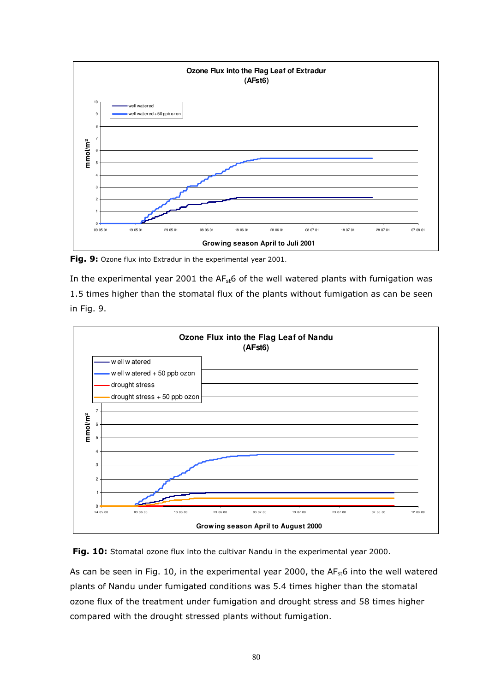

Fig. 9: Ozone flux into Extradur in the experimental year 2001.

In the experimental year 2001 the  $AF<sub>st</sub>6$  of the well watered plants with fumigation was 1.5 times higher than the stomatal flux of the plants without fumigation as can be seen in Fig. 9.



Fig. 10: Stomatal ozone flux into the cultivar Nandu in the experimental year 2000.

As can be seen in Fig. 10, in the experimental year 2000, the  $AF<sub>st</sub>6$  into the well watered plants of Nandu under fumigated conditions was 5.4 times higher than the stomatal ozone flux of the treatment under fumigation and drought stress and 58 times higher compared with the drought stressed plants without fumigation.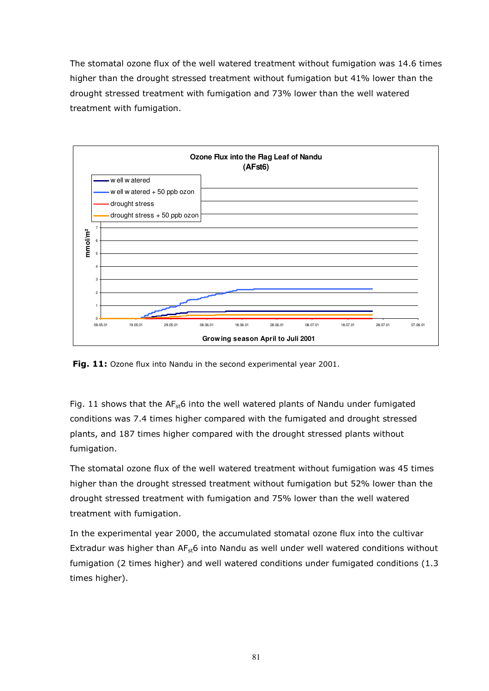The stomatal ozone flux of the well watered treatment without fumigation was 14.6 times higher than the drought stressed treatment without fumigation but 41% lower than the drought stressed treatment with fumigation and 73% lower than the well watered treatment with fumigation.



Fig. 11: Ozone flux into Nandu in the second experimental year 2001.

Fig. 11 shows that the  $AF<sub>st</sub>6$  into the well watered plants of Nandu under fumigated conditions was 7.4 times higher compared with the fumigated and drought stressed plants, and 187 times higher compared with the drought stressed plants without fumigation.

The stomatal ozone flux of the well watered treatment without fumigation was 45 times higher than the drought stressed treatment without fumigation but 52% lower than the drought stressed treatment with fumigation and 75% lower than the well watered treatment with fumigation.

In the experimental year 2000, the accumulated stomatal ozone flux into the cultivar Extradur was higher than  $AF<sub>st</sub>6$  into Nandu as well under well watered conditions without fumigation (2 times higher) and well watered conditions under fumigated conditions (1.3 times higher).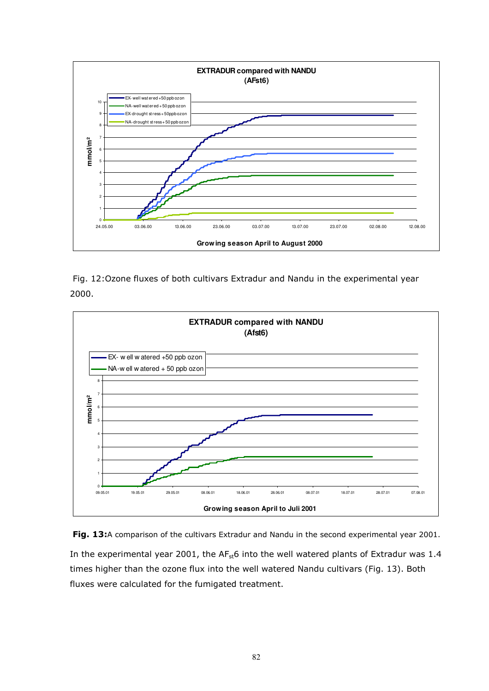

 Fig. 12:Ozone fluxes of both cultivars Extradur and Nandu in the experimental year 2000.



Fig. 13:A comparison of the cultivars Extradur and Nandu in the second experimental year 2001. In the experimental year 2001, the  $AF<sub>st</sub>6$  into the well watered plants of Extradur was 1.4 times higher than the ozone flux into the well watered Nandu cultivars (Fig. 13). Both fluxes were calculated for the fumigated treatment.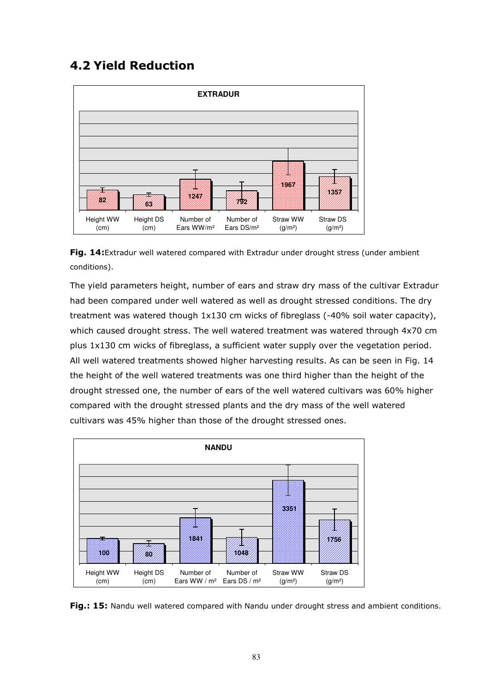## 4.2 Yield Reduction



Fig. 14:Extradur well watered compared with Extradur under drought stress (under ambient conditions).

The yield parameters height, number of ears and straw dry mass of the cultivar Extradur had been compared under well watered as well as drought stressed conditions. The dry treatment was watered though 1x130 cm wicks of fibreglass (-40% soil water capacity), which caused drought stress. The well watered treatment was watered through 4x70 cm plus 1x130 cm wicks of fibreglass, a sufficient water supply over the vegetation period. All well watered treatments showed higher harvesting results. As can be seen in Fig. 14 the height of the well watered treatments was one third higher than the height of the drought stressed one, the number of ears of the well watered cultivars was 60% higher compared with the drought stressed plants and the dry mass of the well watered cultivars was 45% higher than those of the drought stressed ones.



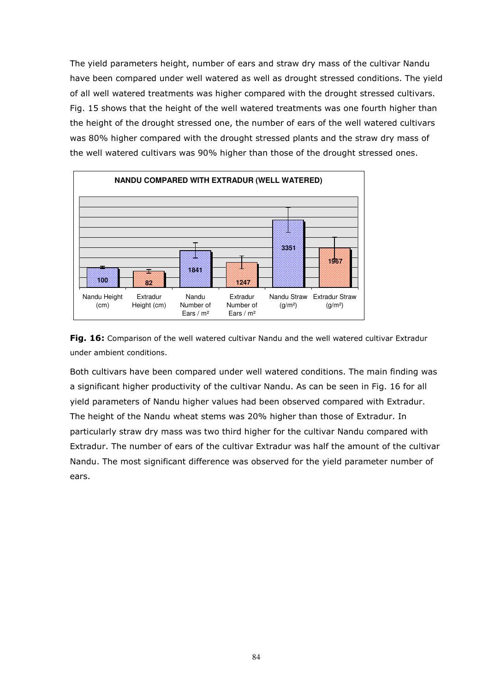The yield parameters height, number of ears and straw dry mass of the cultivar Nandu have been compared under well watered as well as drought stressed conditions. The yield of all well watered treatments was higher compared with the drought stressed cultivars. Fig. 15 shows that the height of the well watered treatments was one fourth higher than the height of the drought stressed one, the number of ears of the well watered cultivars was 80% higher compared with the drought stressed plants and the straw dry mass of the well watered cultivars was 90% higher than those of the drought stressed ones.



Fig. 16: Comparison of the well watered cultivar Nandu and the well watered cultivar Extradur under ambient conditions.

Both cultivars have been compared under well watered conditions. The main finding was a significant higher productivity of the cultivar Nandu. As can be seen in Fig. 16 for all yield parameters of Nandu higher values had been observed compared with Extradur. The height of the Nandu wheat stems was 20% higher than those of Extradur. In particularly straw dry mass was two third higher for the cultivar Nandu compared with Extradur. The number of ears of the cultivar Extradur was half the amount of the cultivar Nandu. The most significant difference was observed for the yield parameter number of ears.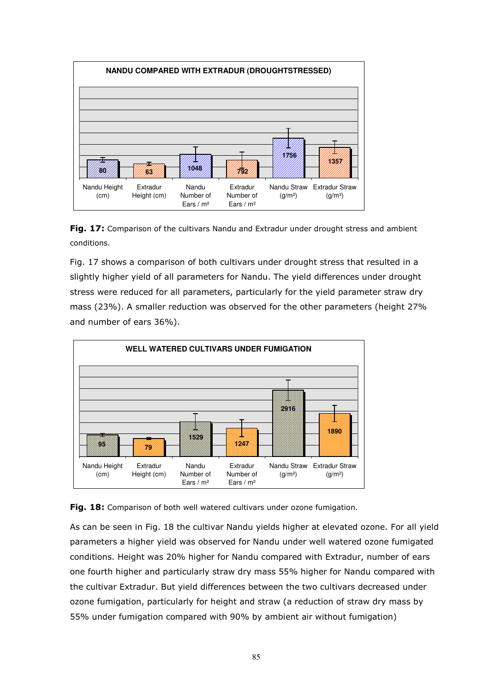



Fig. 17 shows a comparison of both cultivars under drought stress that resulted in a slightly higher yield of all parameters for Nandu. The yield differences under drought stress were reduced for all parameters, particularly for the yield parameter straw dry mass (23%). A smaller reduction was observed for the other parameters (height 27% and number of ears 36%).





As can be seen in Fig. 18 the cultivar Nandu yields higher at elevated ozone. For all yield parameters a higher yield was observed for Nandu under well watered ozone fumigated conditions. Height was 20% higher for Nandu compared with Extradur, number of ears one fourth higher and particularly straw dry mass 55% higher for Nandu compared with the cultivar Extradur. But yield differences between the two cultivars decreased under ozone fumigation, particularly for height and straw (a reduction of straw dry mass by 55% under fumigation compared with 90% by ambient air without fumigation)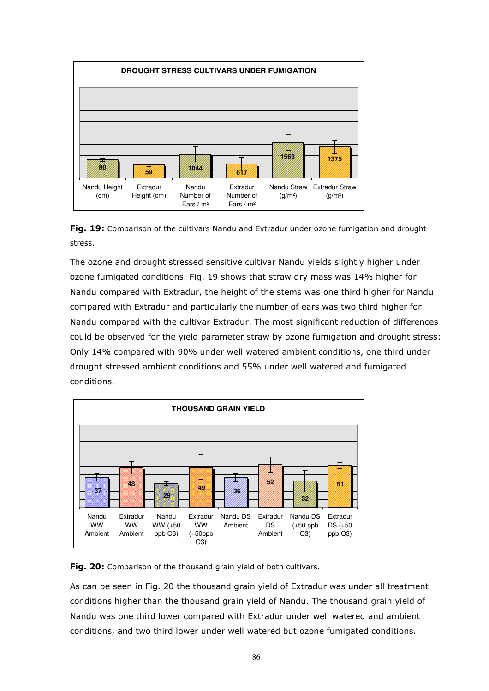

Fig. 19: Comparison of the cultivars Nandu and Extradur under ozone fumigation and drought stress.

The ozone and drought stressed sensitive cultivar Nandu yields slightly higher under ozone fumigated conditions. Fig. 19 shows that straw dry mass was 14% higher for Nandu compared with Extradur, the height of the stems was one third higher for Nandu compared with Extradur and particularly the number of ears was two third higher for Nandu compared with the cultivar Extradur. The most significant reduction of differences could be observed for the yield parameter straw by ozone fumigation and drought stress: Only 14% compared with 90% under well watered ambient conditions, one third under drought stressed ambient conditions and 55% under well watered and fumigated conditions.



Fig. 20: Comparison of the thousand grain yield of both cultivars.

As can be seen in Fig. 20 the thousand grain yield of Extradur was under all treatment conditions higher than the thousand grain yield of Nandu. The thousand grain yield of Nandu was one third lower compared with Extradur under well watered and ambient conditions, and two third lower under well watered but ozone fumigated conditions.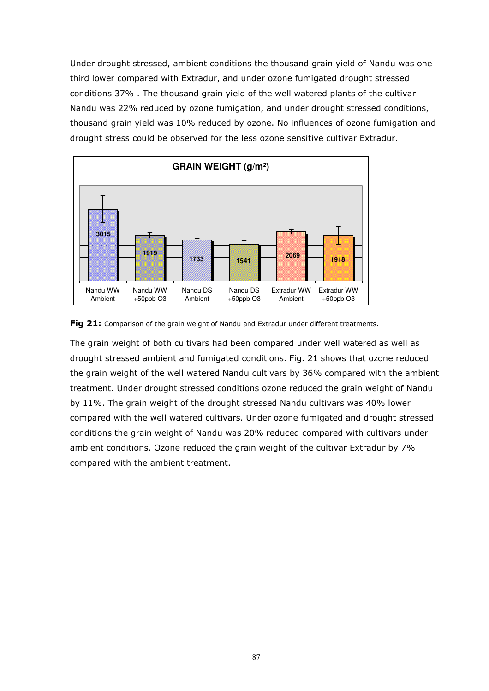Under drought stressed, ambient conditions the thousand grain yield of Nandu was one third lower compared with Extradur, and under ozone fumigated drought stressed conditions 37% . The thousand grain yield of the well watered plants of the cultivar Nandu was 22% reduced by ozone fumigation, and under drought stressed conditions, thousand grain yield was 10% reduced by ozone. No influences of ozone fumigation and drought stress could be observed for the less ozone sensitive cultivar Extradur.





The grain weight of both cultivars had been compared under well watered as well as drought stressed ambient and fumigated conditions. Fig. 21 shows that ozone reduced the grain weight of the well watered Nandu cultivars by 36% compared with the ambient treatment. Under drought stressed conditions ozone reduced the grain weight of Nandu by 11%. The grain weight of the drought stressed Nandu cultivars was 40% lower compared with the well watered cultivars. Under ozone fumigated and drought stressed conditions the grain weight of Nandu was 20% reduced compared with cultivars under ambient conditions. Ozone reduced the grain weight of the cultivar Extradur by 7% compared with the ambient treatment.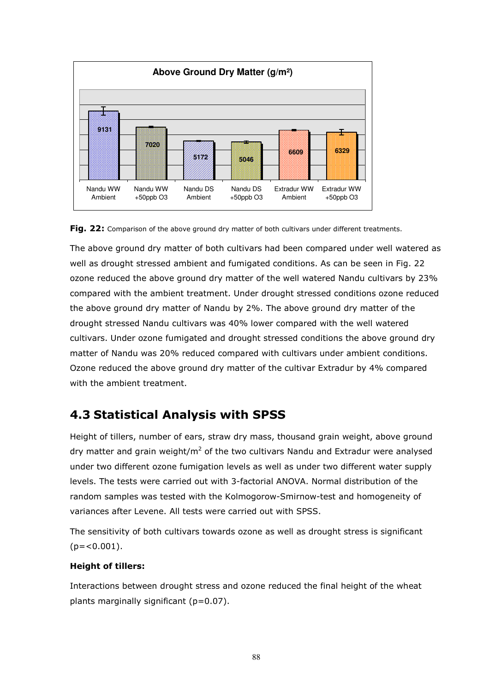



The above ground dry matter of both cultivars had been compared under well watered as well as drought stressed ambient and fumigated conditions. As can be seen in Fig. 22 ozone reduced the above ground dry matter of the well watered Nandu cultivars by 23% compared with the ambient treatment. Under drought stressed conditions ozone reduced the above ground dry matter of Nandu by 2%. The above ground dry matter of the drought stressed Nandu cultivars was 40% lower compared with the well watered cultivars. Under ozone fumigated and drought stressed conditions the above ground dry matter of Nandu was 20% reduced compared with cultivars under ambient conditions. Ozone reduced the above ground dry matter of the cultivar Extradur by 4% compared with the ambient treatment.

### 4.3 Statistical Analysis with SPSS

Height of tillers, number of ears, straw dry mass, thousand grain weight, above ground dry matter and grain weight/m<sup>2</sup> of the two cultivars Nandu and Extradur were analysed under two different ozone fumigation levels as well as under two different water supply levels. The tests were carried out with 3-factorial ANOVA. Normal distribution of the random samples was tested with the Kolmogorow-Smirnow-test and homogeneity of variances after Levene. All tests were carried out with SPSS.

The sensitivity of both cultivars towards ozone as well as drought stress is significant  $(p=<0.001)$ .

#### Height of tillers:

Interactions between drought stress and ozone reduced the final height of the wheat plants marginally significant (p=0.07).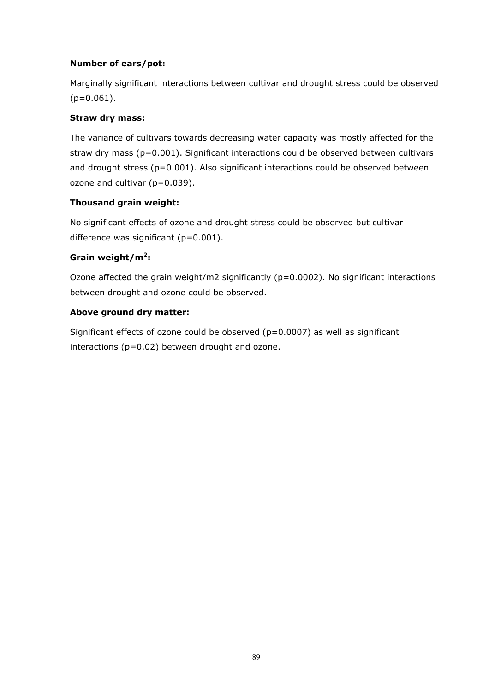#### Number of ears/pot:

Marginally significant interactions between cultivar and drought stress could be observed  $(p=0.061)$ .

#### Straw dry mass:

The variance of cultivars towards decreasing water capacity was mostly affected for the straw dry mass ( $p=0.001$ ). Significant interactions could be observed between cultivars and drought stress ( $p=0.001$ ). Also significant interactions could be observed between ozone and cultivar (p=0.039).

#### Thousand grain weight:

No significant effects of ozone and drought stress could be observed but cultivar difference was significant (p=0.001).

#### Grain weight/m<sup>2</sup>:

Ozone affected the grain weight/m2 significantly (p=0.0002). No significant interactions between drought and ozone could be observed.

#### Above ground dry matter:

Significant effects of ozone could be observed ( $p=0.0007$ ) as well as significant interactions (p=0.02) between drought and ozone.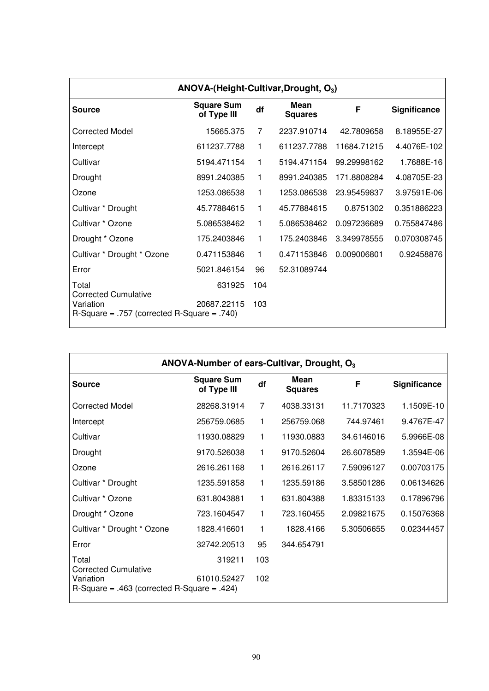| ANOVA-(Height-Cultivar, Drought, O <sub>3</sub> )                                            |                                  |     |                        |             |              |  |
|----------------------------------------------------------------------------------------------|----------------------------------|-----|------------------------|-------------|--------------|--|
| Source                                                                                       | <b>Square Sum</b><br>of Type III | df  | Mean<br><b>Squares</b> | F           | Significance |  |
| <b>Corrected Model</b>                                                                       | 15665.375                        | 7   | 2237.910714            | 42.7809658  | 8.18955E-27  |  |
| Intercept                                                                                    | 611237.7788                      | 1   | 611237.7788            | 11684.71215 | 4.4076E-102  |  |
| Cultivar                                                                                     | 5194.471154                      | 1   | 5194.471154            | 99.29998162 | 1.7688E-16   |  |
| Drought                                                                                      | 8991.240385                      | 1   | 8991.240385            | 171.8808284 | 4.08705E-23  |  |
| Ozone                                                                                        | 1253.086538                      | 1   | 1253.086538            | 23.95459837 | 3.97591E-06  |  |
| Cultivar * Drought                                                                           | 45.77884615                      | 1   | 45.77884615            | 0.8751302   | 0.351886223  |  |
| Cultivar * Ozone                                                                             | 5.086538462                      | 1   | 5.086538462            | 0.097236689 | 0.755847486  |  |
| Drought * Ozone                                                                              | 175.2403846                      | 1   | 175.2403846            | 3.349978555 | 0.070308745  |  |
| Cultivar * Drought * Ozone                                                                   | 0.471153846                      | 1   | 0.471153846            | 0.009006801 | 0.92458876   |  |
| Error                                                                                        | 5021.846154                      | 96  | 52.31089744            |             |              |  |
| Total                                                                                        | 631925                           | 104 |                        |             |              |  |
| <b>Corrected Cumulative</b><br>Variation<br>$R-Square = .757$ (corrected $R-Square = .740$ ) | 20687.22115                      | 103 |                        |             |              |  |

| ANOVA-Number of ears-Cultivar, Drought, O <sub>3</sub>                                       |                                  |     |                        |            |              |  |
|----------------------------------------------------------------------------------------------|----------------------------------|-----|------------------------|------------|--------------|--|
| Source                                                                                       | <b>Square Sum</b><br>of Type III | df  | Mean<br><b>Squares</b> | F          | Significance |  |
| <b>Corrected Model</b>                                                                       | 28268.31914                      | 7   | 4038.33131             | 11.7170323 | 1.1509E-10   |  |
| Intercept                                                                                    | 256759.0685                      | 1   | 256759.068             | 744.97461  | 9.4767E-47   |  |
| Cultivar                                                                                     | 11930.08829                      | 1   | 11930.0883             | 34.6146016 | 5.9966E-08   |  |
| Drought                                                                                      | 9170.526038                      | 1   | 9170.52604             | 26.6078589 | 1.3594E-06   |  |
| Ozone                                                                                        | 2616.261168                      | 1   | 2616.26117             | 7.59096127 | 0.00703175   |  |
| Cultivar * Drought                                                                           | 1235.591858                      | 1   | 1235.59186             | 3.58501286 | 0.06134626   |  |
| Cultivar * Ozone                                                                             | 631.8043881                      | 1   | 631.804388             | 1.83315133 | 0.17896796   |  |
| Drought * Ozone                                                                              | 723.1604547                      | 1   | 723.160455             | 2.09821675 | 0.15076368   |  |
| Cultivar * Drought * Ozone                                                                   | 1828.416601                      | 1   | 1828.4166              | 5.30506655 | 0.02344457   |  |
| Error                                                                                        | 32742.20513                      | 95  | 344.654791             |            |              |  |
| Total                                                                                        | 319211                           | 103 |                        |            |              |  |
| <b>Corrected Cumulative</b><br>Variation<br>$R-Square = .463$ (corrected $R-Square = .424$ ) | 61010.52427                      | 102 |                        |            |              |  |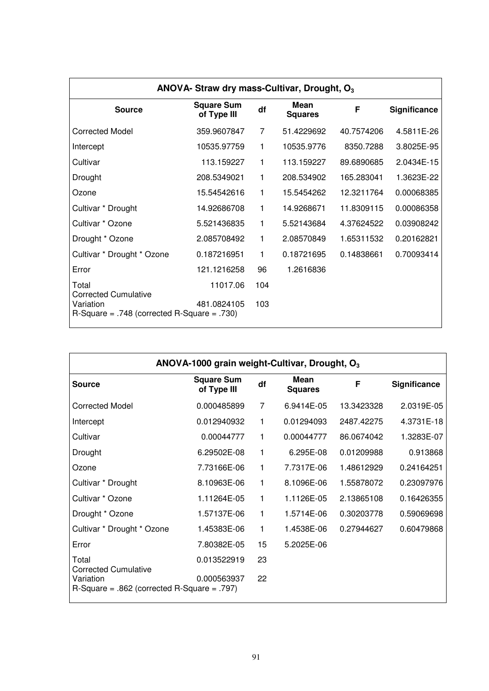| ANOVA- Straw dry mass-Cultivar, Drought, O <sub>3</sub>                                      |                                  |     |                        |            |                     |  |
|----------------------------------------------------------------------------------------------|----------------------------------|-----|------------------------|------------|---------------------|--|
| <b>Source</b>                                                                                | <b>Square Sum</b><br>of Type III | df  | Mean<br><b>Squares</b> | F          | <b>Significance</b> |  |
| <b>Corrected Model</b>                                                                       | 359.9607847                      | 7   | 51.4229692             | 40.7574206 | 4.5811E-26          |  |
| Intercept                                                                                    | 10535.97759                      | 1   | 10535.9776             | 8350.7288  | 3.8025E-95          |  |
| Cultivar                                                                                     | 113.159227                       | 1   | 113.159227             | 89.6890685 | 2.0434E-15          |  |
| Drought                                                                                      | 208.5349021                      | 1.  | 208.534902             | 165.283041 | 1.3623E-22          |  |
| Ozone                                                                                        | 15.54542616                      | 1   | 15.5454262             | 12.3211764 | 0.00068385          |  |
| Cultivar * Drought                                                                           | 14.92686708                      | 1   | 14.9268671             | 11.8309115 | 0.00086358          |  |
| Cultivar * Ozone                                                                             | 5.521436835                      | 1   | 5.52143684             | 4.37624522 | 0.03908242          |  |
| Drought * Ozone                                                                              | 2.085708492                      | 1   | 2.08570849             | 1.65311532 | 0.20162821          |  |
| Cultivar * Drought * Ozone                                                                   | 0.187216951                      | 1.  | 0.18721695             | 0.14838661 | 0.70093414          |  |
| Error                                                                                        | 121.1216258                      | 96  | 1.2616836              |            |                     |  |
| Total                                                                                        | 11017.06                         | 104 |                        |            |                     |  |
| <b>Corrected Cumulative</b><br>Variation<br>$R-Square = .748$ (corrected $R-Square = .730$ ) | 481.0824105                      | 103 |                        |            |                     |  |

| ANOVA-1000 grain weight-Cultivar, Drought, O <sub>3</sub>                                    |                                  |    |                        |            |              |  |
|----------------------------------------------------------------------------------------------|----------------------------------|----|------------------------|------------|--------------|--|
| Source                                                                                       | <b>Square Sum</b><br>of Type III | df | Mean<br><b>Squares</b> | F          | Significance |  |
| <b>Corrected Model</b>                                                                       | 0.000485899                      | 7  | 6.9414E-05             | 13.3423328 | 2.0319E-05   |  |
| Intercept                                                                                    | 0.012940932                      | 1  | 0.01294093             | 2487.42275 | 4.3731E-18   |  |
| Cultivar                                                                                     | 0.00044777                       | 1  | 0.00044777             | 86.0674042 | 1.3283E-07   |  |
| Drought                                                                                      | 6.29502E-08                      | 1  | 6.295E-08              | 0.01209988 | 0.913868     |  |
| Ozone                                                                                        | 7.73166E-06                      | 1  | 7.7317E-06             | 1.48612929 | 0.24164251   |  |
| Cultivar * Drought                                                                           | 8.10963E-06                      | 1  | 8.1096E-06             | 1.55878072 | 0.23097976   |  |
| Cultivar * Ozone                                                                             | 1.11264E-05                      | 1  | 1.1126E-05             | 2.13865108 | 0.16426355   |  |
| Drought * Ozone                                                                              | 1.57137E-06                      | 1  | 1.5714E-06             | 0.30203778 | 0.59069698   |  |
| Cultivar * Drought * Ozone                                                                   | 1.45383E-06                      | 1  | 1.4538E-06             | 0.27944627 | 0.60479868   |  |
| Error                                                                                        | 7.80382E-05                      | 15 | 5.2025E-06             |            |              |  |
| Total                                                                                        | 0.013522919                      | 23 |                        |            |              |  |
| <b>Corrected Cumulative</b><br>Variation<br>$R-Square = .862$ (corrected $R-Square = .797$ ) | 0.000563937                      | 22 |                        |            |              |  |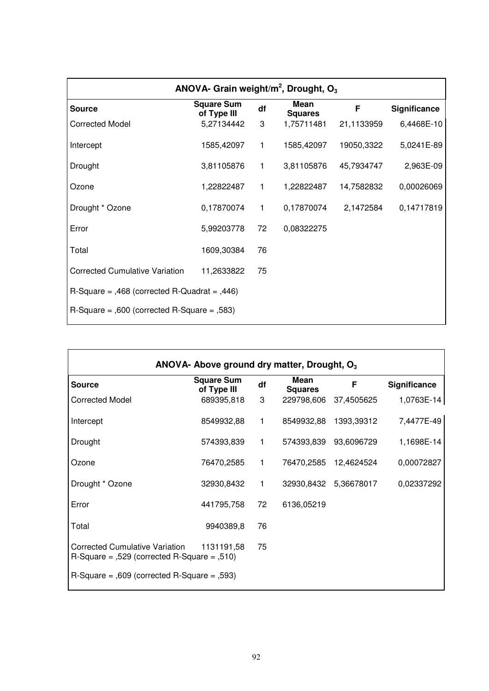| ANOVA- Grain weight/ $m^2$ , Drought, O <sub>3</sub> |                                  |              |                        |            |              |  |  |
|------------------------------------------------------|----------------------------------|--------------|------------------------|------------|--------------|--|--|
| <b>Source</b>                                        | <b>Square Sum</b><br>of Type III | df           | Mean<br><b>Squares</b> | F          | Significance |  |  |
| <b>Corrected Model</b>                               | 5,27134442                       | 3            | 1,75711481             | 21,1133959 | 6,4468E-10   |  |  |
| Intercept                                            | 1585,42097                       | 1            | 1585,42097             | 19050,3322 | 5,0241E-89   |  |  |
| Drought                                              | 3,81105876                       | 1            | 3,81105876             | 45,7934747 | 2,963E-09    |  |  |
| Ozone                                                | 1,22822487                       | 1            | 1,22822487             | 14,7582832 | 0,00026069   |  |  |
| Drought * Ozone                                      | 0,17870074                       | $\mathbf{1}$ | 0,17870074             | 2,1472584  | 0,14717819   |  |  |
| Error                                                | 5,99203778                       | 72           | 0,08322275             |            |              |  |  |
| Total                                                | 1609,30384                       | 76           |                        |            |              |  |  |
| <b>Corrected Cumulative Variation</b>                | 11,2633822                       | 75           |                        |            |              |  |  |
| $R-Square = 0.468$ (corrected $R-Cuadrat = 0.446$ )  |                                  |              |                        |            |              |  |  |
| $R-Square = 0.600$ (corrected R-Square = 0.583)      |                                  |              |                        |            |              |  |  |

| ANOVA- Above ground dry matter, Drought, O <sub>3</sub>                                     |                                  |              |                        |                       |              |  |
|---------------------------------------------------------------------------------------------|----------------------------------|--------------|------------------------|-----------------------|--------------|--|
| <b>Source</b>                                                                               | <b>Square Sum</b><br>of Type III | df           | Mean<br><b>Squares</b> | F                     | Significance |  |
| <b>Corrected Model</b>                                                                      | 689395,818                       | 3            | 229798,606             | 37,4505625            | 1,0763E-14   |  |
| Intercept                                                                                   | 8549932,88                       | 1.           | 8549932,88             | 1393,39312            | 7,4477E-49   |  |
| Drought                                                                                     | 574393,839                       | $\mathbf{1}$ | 574393,839             | 93,6096729            | 1,1698E-14   |  |
| Ozone                                                                                       | 76470,2585                       | 1            |                        | 76470,2585 12,4624524 | 0,00072827   |  |
| Drought * Ozone                                                                             | 32930,8432                       | 1            |                        | 32930,8432 5,36678017 | 0,02337292   |  |
| Error                                                                                       | 441795,758                       | 72           | 6136,05219             |                       |              |  |
| Total                                                                                       | 9940389,8                        | 76           |                        |                       |              |  |
| <b>Corrected Cumulative Variation</b><br>$R-Square = 0.529$ (corrected R-Square = $0.510$ ) | 1131191,58                       | 75           |                        |                       |              |  |
| $R-Square = 0.609$ (corrected R-Square = 0.593)                                             |                                  |              |                        |                       |              |  |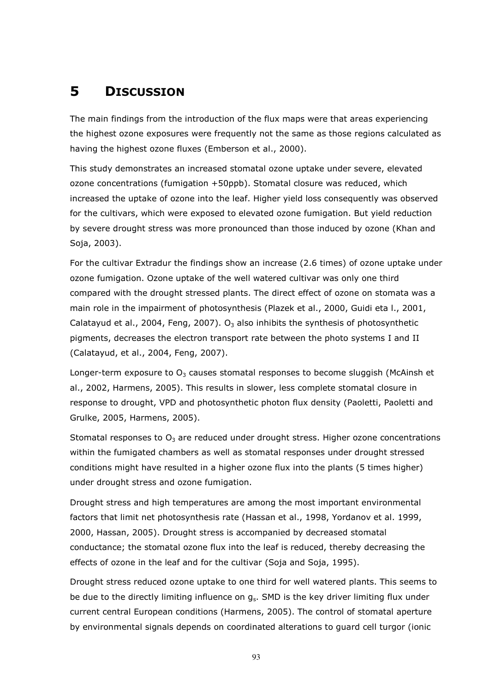## 5 DISCUSSION

The main findings from the introduction of the flux maps were that areas experiencing the highest ozone exposures were frequently not the same as those regions calculated as having the highest ozone fluxes (Emberson et al., 2000).

This study demonstrates an increased stomatal ozone uptake under severe, elevated ozone concentrations (fumigation +50ppb). Stomatal closure was reduced, which increased the uptake of ozone into the leaf. Higher yield loss consequently was observed for the cultivars, which were exposed to elevated ozone fumigation. But yield reduction by severe drought stress was more pronounced than those induced by ozone (Khan and Soja, 2003).

For the cultivar Extradur the findings show an increase (2.6 times) of ozone uptake under ozone fumigation. Ozone uptake of the well watered cultivar was only one third compared with the drought stressed plants. The direct effect of ozone on stomata was a main role in the impairment of photosynthesis (Plazek et al., 2000, Guidi eta l., 2001, Calatayud et al., 2004, Feng, 2007).  $O_3$  also inhibits the synthesis of photosynthetic pigments, decreases the electron transport rate between the photo systems I and II (Calatayud, et al., 2004, Feng, 2007).

Longer-term exposure to  $O_3$  causes stomatal responses to become sluggish (McAinsh et al., 2002, Harmens, 2005). This results in slower, less complete stomatal closure in response to drought, VPD and photosynthetic photon flux density (Paoletti, Paoletti and Grulke, 2005, Harmens, 2005).

Stomatal responses to  $O_3$  are reduced under drought stress. Higher ozone concentrations within the fumigated chambers as well as stomatal responses under drought stressed conditions might have resulted in a higher ozone flux into the plants (5 times higher) under drought stress and ozone fumigation.

Drought stress and high temperatures are among the most important environmental factors that limit net photosynthesis rate (Hassan et al., 1998, Yordanov et al. 1999, 2000, Hassan, 2005). Drought stress is accompanied by decreased stomatal conductance; the stomatal ozone flux into the leaf is reduced, thereby decreasing the effects of ozone in the leaf and for the cultivar (Soja and Soja, 1995).

Drought stress reduced ozone uptake to one third for well watered plants. This seems to be due to the directly limiting influence on  $g_s$ . SMD is the key driver limiting flux under current central European conditions (Harmens, 2005). The control of stomatal aperture by environmental signals depends on coordinated alterations to guard cell turgor (ionic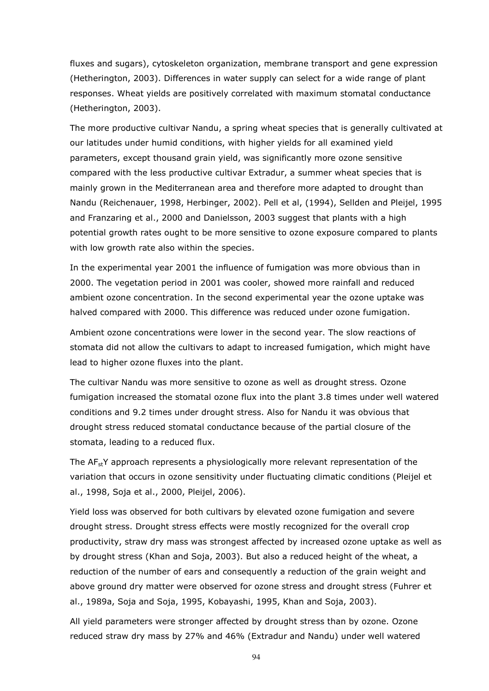fluxes and sugars), cytoskeleton organization, membrane transport and gene expression (Hetherington, 2003). Differences in water supply can select for a wide range of plant responses. Wheat yields are positively correlated with maximum stomatal conductance (Hetherington, 2003).

The more productive cultivar Nandu, a spring wheat species that is generally cultivated at our latitudes under humid conditions, with higher yields for all examined yield parameters, except thousand grain yield, was significantly more ozone sensitive compared with the less productive cultivar Extradur, a summer wheat species that is mainly grown in the Mediterranean area and therefore more adapted to drought than Nandu (Reichenauer, 1998, Herbinger, 2002). Pell et al, (1994), Sellden and Pleijel, 1995 and Franzaring et al., 2000 and Danielsson, 2003 suggest that plants with a high potential growth rates ought to be more sensitive to ozone exposure compared to plants with low growth rate also within the species.

In the experimental year 2001 the influence of fumigation was more obvious than in 2000. The vegetation period in 2001 was cooler, showed more rainfall and reduced ambient ozone concentration. In the second experimental year the ozone uptake was halved compared with 2000. This difference was reduced under ozone fumigation.

Ambient ozone concentrations were lower in the second year. The slow reactions of stomata did not allow the cultivars to adapt to increased fumigation, which might have lead to higher ozone fluxes into the plant.

The cultivar Nandu was more sensitive to ozone as well as drought stress. Ozone fumigation increased the stomatal ozone flux into the plant 3.8 times under well watered conditions and 9.2 times under drought stress. Also for Nandu it was obvious that drought stress reduced stomatal conductance because of the partial closure of the stomata, leading to a reduced flux.

The  $AF_{st}Y$  approach represents a physiologically more relevant representation of the variation that occurs in ozone sensitivity under fluctuating climatic conditions (Pleijel et al., 1998, Soja et al., 2000, Pleijel, 2006).

Yield loss was observed for both cultivars by elevated ozone fumigation and severe drought stress. Drought stress effects were mostly recognized for the overall crop productivity, straw dry mass was strongest affected by increased ozone uptake as well as by drought stress (Khan and Soja, 2003). But also a reduced height of the wheat, a reduction of the number of ears and consequently a reduction of the grain weight and above ground dry matter were observed for ozone stress and drought stress (Fuhrer et al., 1989a, Soja and Soja, 1995, Kobayashi, 1995, Khan and Soja, 2003).

All yield parameters were stronger affected by drought stress than by ozone. Ozone reduced straw dry mass by 27% and 46% (Extradur and Nandu) under well watered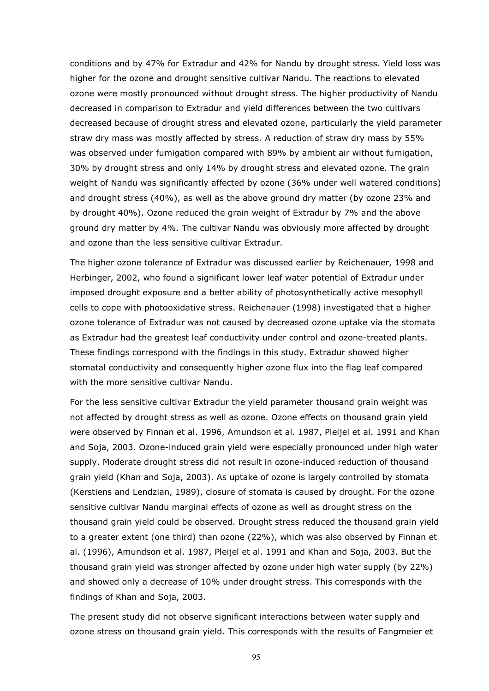conditions and by 47% for Extradur and 42% for Nandu by drought stress. Yield loss was higher for the ozone and drought sensitive cultivar Nandu. The reactions to elevated ozone were mostly pronounced without drought stress. The higher productivity of Nandu decreased in comparison to Extradur and yield differences between the two cultivars decreased because of drought stress and elevated ozone, particularly the yield parameter straw dry mass was mostly affected by stress. A reduction of straw dry mass by 55% was observed under fumigation compared with 89% by ambient air without fumigation, 30% by drought stress and only 14% by drought stress and elevated ozone. The grain weight of Nandu was significantly affected by ozone (36% under well watered conditions) and drought stress (40%), as well as the above ground dry matter (by ozone 23% and by drought 40%). Ozone reduced the grain weight of Extradur by 7% and the above ground dry matter by 4%. The cultivar Nandu was obviously more affected by drought and ozone than the less sensitive cultivar Extradur.

The higher ozone tolerance of Extradur was discussed earlier by Reichenauer, 1998 and Herbinger, 2002, who found a significant lower leaf water potential of Extradur under imposed drought exposure and a better ability of photosynthetically active mesophyll cells to cope with photooxidative stress. Reichenauer (1998) investigated that a higher ozone tolerance of Extradur was not caused by decreased ozone uptake via the stomata as Extradur had the greatest leaf conductivity under control and ozone-treated plants. These findings correspond with the findings in this study. Extradur showed higher stomatal conductivity and consequently higher ozone flux into the flag leaf compared with the more sensitive cultivar Nandu.

For the less sensitive cultivar Extradur the yield parameter thousand grain weight was not affected by drought stress as well as ozone. Ozone effects on thousand grain yield were observed by Finnan et al. 1996, Amundson et al. 1987, Pleijel et al. 1991 and Khan and Soja, 2003. Ozone-induced grain yield were especially pronounced under high water supply. Moderate drought stress did not result in ozone-induced reduction of thousand grain yield (Khan and Soja, 2003). As uptake of ozone is largely controlled by stomata (Kerstiens and Lendzian, 1989), closure of stomata is caused by drought. For the ozone sensitive cultivar Nandu marginal effects of ozone as well as drought stress on the thousand grain yield could be observed. Drought stress reduced the thousand grain yield to a greater extent (one third) than ozone (22%), which was also observed by Finnan et al. (1996), Amundson et al. 1987, Pleijel et al. 1991 and Khan and Soja, 2003. But the thousand grain yield was stronger affected by ozone under high water supply (by 22%) and showed only a decrease of 10% under drought stress. This corresponds with the findings of Khan and Soja, 2003.

The present study did not observe significant interactions between water supply and ozone stress on thousand grain yield. This corresponds with the results of Fangmeier et

95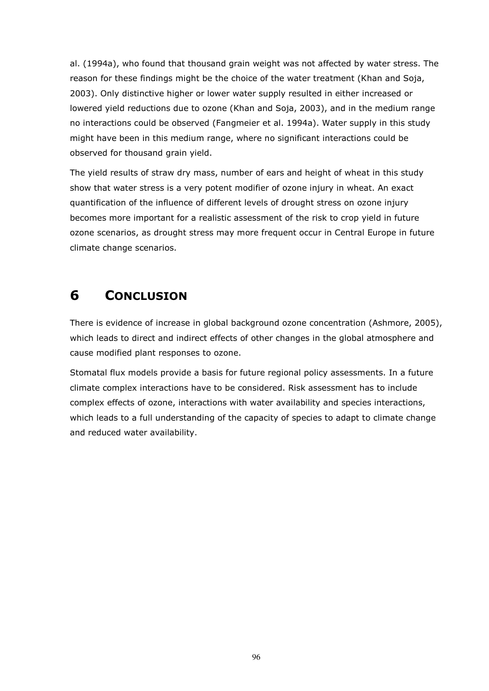al. (1994a), who found that thousand grain weight was not affected by water stress. The reason for these findings might be the choice of the water treatment (Khan and Soja, 2003). Only distinctive higher or lower water supply resulted in either increased or lowered yield reductions due to ozone (Khan and Soja, 2003), and in the medium range no interactions could be observed (Fangmeier et al. 1994a). Water supply in this study might have been in this medium range, where no significant interactions could be observed for thousand grain yield.

The yield results of straw dry mass, number of ears and height of wheat in this study show that water stress is a very potent modifier of ozone injury in wheat. An exact quantification of the influence of different levels of drought stress on ozone injury becomes more important for a realistic assessment of the risk to crop yield in future ozone scenarios, as drought stress may more frequent occur in Central Europe in future climate change scenarios.

## 6 CONCLUSION

There is evidence of increase in global background ozone concentration (Ashmore, 2005), which leads to direct and indirect effects of other changes in the global atmosphere and cause modified plant responses to ozone.

Stomatal flux models provide a basis for future regional policy assessments. In a future climate complex interactions have to be considered. Risk assessment has to include complex effects of ozone, interactions with water availability and species interactions, which leads to a full understanding of the capacity of species to adapt to climate change and reduced water availability.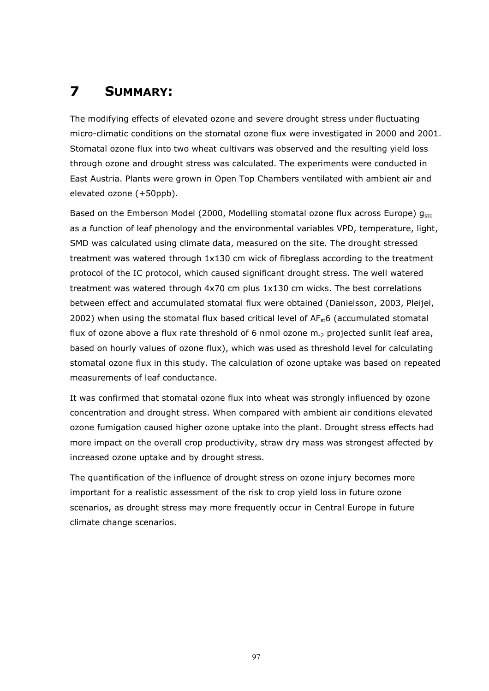# 7 SUMMARY:

The modifying effects of elevated ozone and severe drought stress under fluctuating micro-climatic conditions on the stomatal ozone flux were investigated in 2000 and 2001. Stomatal ozone flux into two wheat cultivars was observed and the resulting yield loss through ozone and drought stress was calculated. The experiments were conducted in East Austria. Plants were grown in Open Top Chambers ventilated with ambient air and elevated ozone (+50ppb).

Based on the Emberson Model (2000, Modelling stomatal ozone flux across Europe)  $q_{sto}$ as a function of leaf phenology and the environmental variables VPD, temperature, light, SMD was calculated using climate data, measured on the site. The drought stressed treatment was watered through 1x130 cm wick of fibreglass according to the treatment protocol of the IC protocol, which caused significant drought stress. The well watered treatment was watered through 4x70 cm plus 1x130 cm wicks. The best correlations between effect and accumulated stomatal flux were obtained (Danielsson, 2003, Pleijel, 2002) when using the stomatal flux based critical level of  $AF<sub>st</sub>6$  (accumulated stomatal flux of ozone above a flux rate threshold of 6 nmol ozone  $m_{2}$  projected sunlit leaf area, based on hourly values of ozone flux), which was used as threshold level for calculating stomatal ozone flux in this study. The calculation of ozone uptake was based on repeated measurements of leaf conductance.

It was confirmed that stomatal ozone flux into wheat was strongly influenced by ozone concentration and drought stress. When compared with ambient air conditions elevated ozone fumigation caused higher ozone uptake into the plant. Drought stress effects had more impact on the overall crop productivity, straw dry mass was strongest affected by increased ozone uptake and by drought stress.

The quantification of the influence of drought stress on ozone injury becomes more important for a realistic assessment of the risk to crop yield loss in future ozone scenarios, as drought stress may more frequently occur in Central Europe in future climate change scenarios.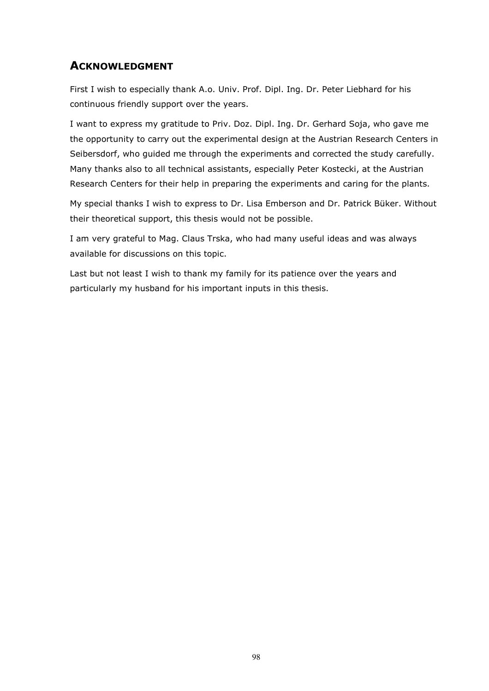### ACKNOWLEDGMENT

First I wish to especially thank A.o. Univ. Prof. Dipl. Ing. Dr. Peter Liebhard for his continuous friendly support over the years.

I want to express my gratitude to Priv. Doz. Dipl. Ing. Dr. Gerhard Soja, who gave me the opportunity to carry out the experimental design at the Austrian Research Centers in Seibersdorf, who guided me through the experiments and corrected the study carefully. Many thanks also to all technical assistants, especially Peter Kostecki, at the Austrian Research Centers for their help in preparing the experiments and caring for the plants.

My special thanks I wish to express to Dr. Lisa Emberson and Dr. Patrick Büker. Without their theoretical support, this thesis would not be possible.

I am very grateful to Mag. Claus Trska, who had many useful ideas and was always available for discussions on this topic.

Last but not least I wish to thank my family for its patience over the years and particularly my husband for his important inputs in this thesis.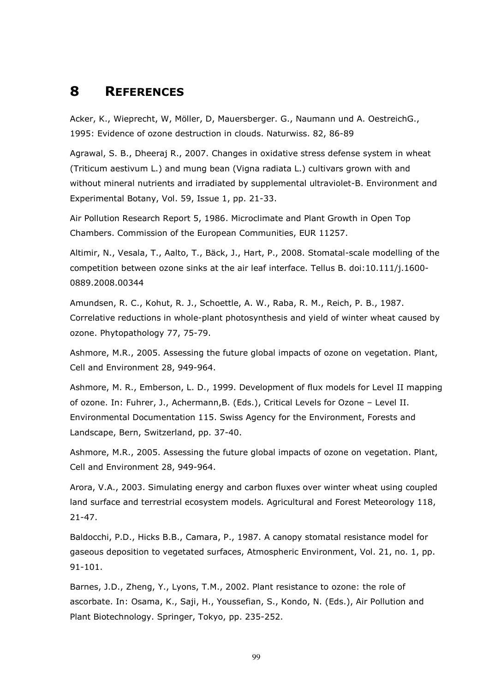### 8 REFERENCES

Acker, K., Wieprecht, W, Möller, D, Mauersberger. G., Naumann und A. OestreichG., 1995: Evidence of ozone destruction in clouds. Naturwiss. 82, 86-89

Agrawal, S. B., Dheeraj R., 2007. Changes in oxidative stress defense system in wheat (Triticum aestivum L.) and mung bean (Vigna radiata L.) cultivars grown with and without mineral nutrients and irradiated by supplemental ultraviolet-B. Environment and Experimental Botany, Vol. 59, Issue 1, pp. 21-33.

Air Pollution Research Report 5, 1986. Microclimate and Plant Growth in Open Top Chambers. Commission of the European Communities, EUR 11257.

Altimir, N., Vesala, T., Aalto, T., Bäck, J., Hart, P., 2008. Stomatal-scale modelling of the competition between ozone sinks at the air leaf interface. Tellus B. doi:10.111/j.1600- 0889.2008.00344

Amundsen, R. C., Kohut, R. J., Schoettle, A. W., Raba, R. M., Reich, P. B., 1987. Correlative reductions in whole-plant photosynthesis and yield of winter wheat caused by ozone. Phytopathology 77, 75-79.

Ashmore, M.R., 2005. Assessing the future global impacts of ozone on vegetation. Plant, Cell and Environment 28, 949-964.

Ashmore, M. R., Emberson, L. D., 1999. Development of flux models for Level II mapping of ozone. In: Fuhrer, J., Achermann,B. (Eds.), Critical Levels for Ozone – Level II. Environmental Documentation 115. Swiss Agency for the Environment, Forests and Landscape, Bern, Switzerland, pp. 37-40.

Ashmore, M.R., 2005. Assessing the future global impacts of ozone on vegetation. Plant, Cell and Environment 28, 949-964.

Arora, V.A., 2003. Simulating energy and carbon fluxes over winter wheat using coupled land surface and terrestrial ecosystem models. Agricultural and Forest Meteorology 118, 21-47.

Baldocchi, P.D., Hicks B.B., Camara, P., 1987. A canopy stomatal resistance model for gaseous deposition to vegetated surfaces, Atmospheric Environment, Vol. 21, no. 1, pp. 91-101.

Barnes, J.D., Zheng, Y., Lyons, T.M., 2002. Plant resistance to ozone: the role of ascorbate. In: Osama, K., Saji, H., Youssefian, S., Kondo, N. (Eds.), Air Pollution and Plant Biotechnology. Springer, Tokyo, pp. 235-252.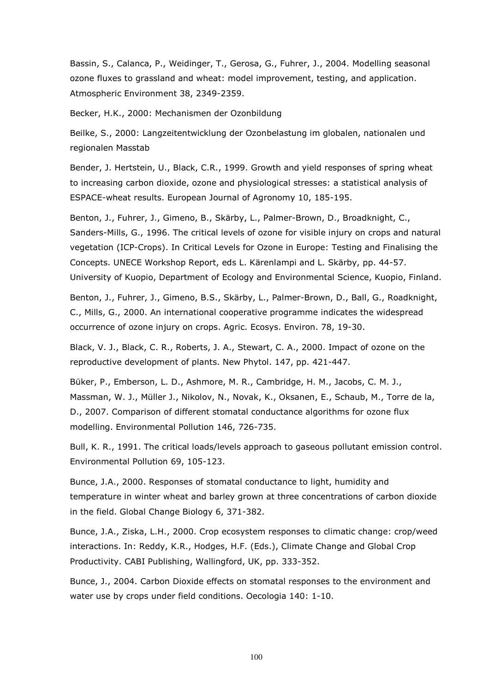Bassin, S., Calanca, P., Weidinger, T., Gerosa, G., Fuhrer, J., 2004. Modelling seasonal ozone fluxes to grassland and wheat: model improvement, testing, and application. Atmospheric Environment 38, 2349-2359.

Becker, H.K., 2000: Mechanismen der Ozonbildung

Beilke, S., 2000: Langzeitentwicklung der Ozonbelastung im globalen, nationalen und regionalen Masstab

Bender, J. Hertstein, U., Black, C.R., 1999. Growth and yield responses of spring wheat to increasing carbon dioxide, ozone and physiological stresses: a statistical analysis of ESPACE-wheat results. European Journal of Agronomy 10, 185-195.

Benton, J., Fuhrer, J., Gimeno, B., Skärby, L., Palmer-Brown, D., Broadknight, C., Sanders-Mills, G., 1996. The critical levels of ozone for visible injury on crops and natural vegetation (ICP-Crops). In Critical Levels for Ozone in Europe: Testing and Finalising the Concepts. UNECE Workshop Report, eds L. Kärenlampi and L. Skärby, pp. 44-57. University of Kuopio, Department of Ecology and Environmental Science, Kuopio, Finland.

Benton, J., Fuhrer, J., Gimeno, B.S., Skärby, L., Palmer-Brown, D., Ball, G., Roadknight, C., Mills, G., 2000. An international cooperative programme indicates the widespread occurrence of ozone injury on crops. Agric. Ecosys. Environ. 78, 19-30.

Black, V. J., Black, C. R., Roberts, J. A., Stewart, C. A., 2000. Impact of ozone on the reproductive development of plants. New Phytol. 147, pp. 421-447.

Büker, P., Emberson, L. D., Ashmore, M. R., Cambridge, H. M., Jacobs, C. M. J., Massman, W. J., Müller J., Nikolov, N., Novak, K., Oksanen, E., Schaub, M., Torre de la, D., 2007. Comparison of different stomatal conductance algorithms for ozone flux modelling. Environmental Pollution 146, 726-735.

Bull, K. R., 1991. The critical loads/levels approach to gaseous pollutant emission control. Environmental Pollution 69, 105-123.

Bunce, J.A., 2000. Responses of stomatal conductance to light, humidity and temperature in winter wheat and barley grown at three concentrations of carbon dioxide in the field. Global Change Biology 6, 371-382.

Bunce, J.A., Ziska, L.H., 2000. Crop ecosystem responses to climatic change: crop/weed interactions. In: Reddy, K.R., Hodges, H.F. (Eds.), Climate Change and Global Crop Productivity. CABI Publishing, Wallingford, UK, pp. 333-352.

Bunce, J., 2004. Carbon Dioxide effects on stomatal responses to the environment and water use by crops under field conditions. Oecologia 140: 1-10.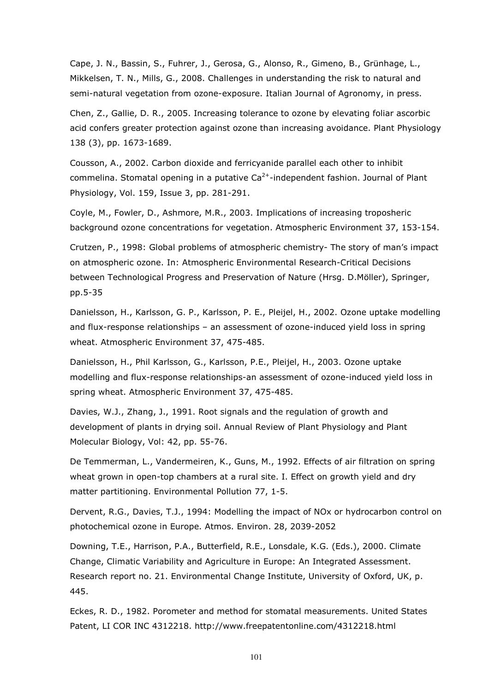Cape, J. N., Bassin, S., Fuhrer, J., Gerosa, G., Alonso, R., Gimeno, B., Grünhage, L., Mikkelsen, T. N., Mills, G., 2008. Challenges in understanding the risk to natural and semi-natural vegetation from ozone-exposure. Italian Journal of Agronomy, in press.

Chen, Z., Gallie, D. R., 2005. Increasing tolerance to ozone by elevating foliar ascorbic acid confers greater protection against ozone than increasing avoidance. Plant Physiology 138 (3), pp. 1673-1689.

Cousson, A., 2002. Carbon dioxide and ferricyanide parallel each other to inhibit commelina. Stomatal opening in a putative  $Ca^{2+}$ -independent fashion. Journal of Plant Physiology, Vol. 159, Issue 3, pp. 281-291.

Coyle, M., Fowler, D., Ashmore, M.R., 2003. Implications of increasing troposheric background ozone concentrations for vegetation. Atmospheric Environment 37, 153-154.

Crutzen, P., 1998: Global problems of atmospheric chemistry- The story of man's impact on atmospheric ozone. In: Atmospheric Environmental Research-Critical Decisions between Technological Progress and Preservation of Nature (Hrsg. D.Möller), Springer, pp.5-35

Danielsson, H., Karlsson, G. P., Karlsson, P. E., Pleijel, H., 2002. Ozone uptake modelling and flux-response relationships – an assessment of ozone-induced yield loss in spring wheat. Atmospheric Environment 37, 475-485.

Danielsson, H., Phil Karlsson, G., Karlsson, P.E., Pleijel, H., 2003. Ozone uptake modelling and flux-response relationships-an assessment of ozone-induced yield loss in spring wheat. Atmospheric Environment 37, 475-485.

Davies, W.J., Zhang, J., 1991. Root signals and the regulation of growth and development of plants in drying soil. Annual Review of Plant Physiology and Plant Molecular Biology, Vol: 42, pp. 55-76.

De Temmerman, L., Vandermeiren, K., Guns, M., 1992. Effects of air filtration on spring wheat grown in open-top chambers at a rural site. I. Effect on growth yield and dry matter partitioning. Environmental Pollution 77, 1-5.

Dervent, R.G., Davies, T.J., 1994: Modelling the impact of NOx or hydrocarbon control on photochemical ozone in Europe. Atmos. Environ. 28, 2039-2052

Downing, T.E., Harrison, P.A., Butterfield, R.E., Lonsdale, K.G. (Eds.), 2000. Climate Change, Climatic Variability and Agriculture in Europe: An Integrated Assessment. Research report no. 21. Environmental Change Institute, University of Oxford, UK, p. 445.

Eckes, R. D., 1982. Porometer and method for stomatal measurements. United States Patent, LI COR INC 4312218. http://www.freepatentonline.com/4312218.html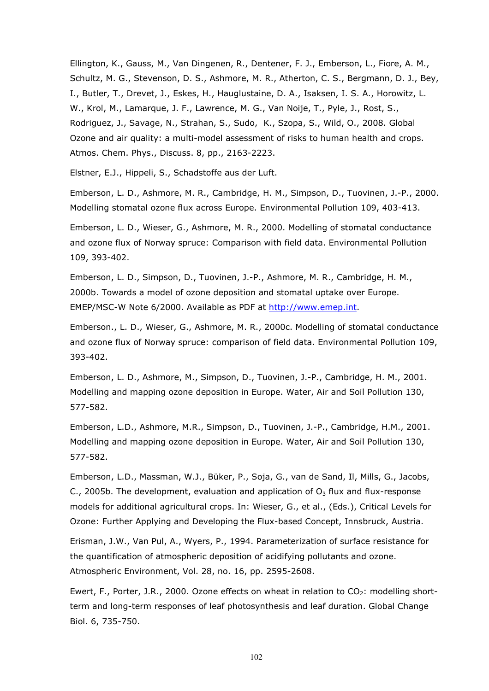Ellington, K., Gauss, M., Van Dingenen, R., Dentener, F. J., Emberson, L., Fiore, A. M., Schultz, M. G., Stevenson, D. S., Ashmore, M. R., Atherton, C. S., Bergmann, D. J., Bey, I., Butler, T., Drevet, J., Eskes, H., Hauglustaine, D. A., Isaksen, I. S. A., Horowitz, L. W., Krol, M., Lamarque, J. F., Lawrence, M. G., Van Noije, T., Pyle, J., Rost, S., Rodriguez, J., Savage, N., Strahan, S., Sudo, K., Szopa, S., Wild, O., 2008. Global Ozone and air quality: a multi-model assessment of risks to human health and crops. Atmos. Chem. Phys., Discuss. 8, pp., 2163-2223.

Elstner, E.J., Hippeli, S., Schadstoffe aus der Luft.

Emberson, L. D., Ashmore, M. R., Cambridge, H. M., Simpson, D., Tuovinen, J.-P., 2000. Modelling stomatal ozone flux across Europe. Environmental Pollution 109, 403-413.

Emberson, L. D., Wieser, G., Ashmore, M. R., 2000. Modelling of stomatal conductance and ozone flux of Norway spruce: Comparison with field data. Environmental Pollution 109, 393-402.

Emberson, L. D., Simpson, D., Tuovinen, J.-P., Ashmore, M. R., Cambridge, H. M., 2000b. Towards a model of ozone deposition and stomatal uptake over Europe. EMEP/MSC-W Note 6/2000. Available as PDF at http://www.emep.int.

Emberson., L. D., Wieser, G., Ashmore, M. R., 2000c. Modelling of stomatal conductance and ozone flux of Norway spruce: comparison of field data. Environmental Pollution 109, 393-402.

Emberson, L. D., Ashmore, M., Simpson, D., Tuovinen, J.-P., Cambridge, H. M., 2001. Modelling and mapping ozone deposition in Europe. Water, Air and Soil Pollution 130, 577-582.

Emberson, L.D., Ashmore, M.R., Simpson, D., Tuovinen, J.-P., Cambridge, H.M., 2001. Modelling and mapping ozone deposition in Europe. Water, Air and Soil Pollution 130, 577-582.

Emberson, L.D., Massman, W.J., Büker, P., Soja, G., van de Sand, Il, Mills, G., Jacobs, C., 2005b. The development, evaluation and application of  $O_3$  flux and flux-response models for additional agricultural crops. In: Wieser, G., et al., (Eds.), Critical Levels for Ozone: Further Applying and Developing the Flux-based Concept, Innsbruck, Austria.

Erisman, J.W., Van Pul, A., Wyers, P., 1994. Parameterization of surface resistance for the quantification of atmospheric deposition of acidifying pollutants and ozone. Atmospheric Environment, Vol. 28, no. 16, pp. 2595-2608.

Ewert, F., Porter, J.R., 2000. Ozone effects on wheat in relation to  $CO<sub>2</sub>$ : modelling shortterm and long-term responses of leaf photosynthesis and leaf duration. Global Change Biol. 6, 735-750.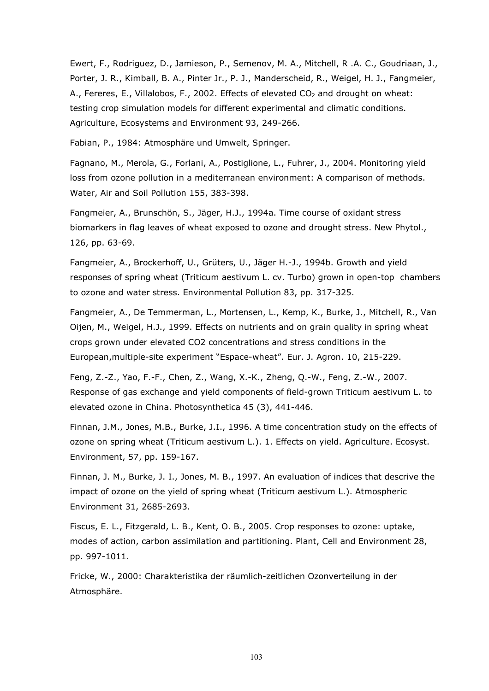Ewert, F., Rodriguez, D., Jamieson, P., Semenov, M. A., Mitchell, R .A. C., Goudriaan, J., Porter, J. R., Kimball, B. A., Pinter Jr., P. J., Manderscheid, R., Weigel, H. J., Fangmeier, A., Fereres, E., Villalobos, F., 2002. Effects of elevated  $CO<sub>2</sub>$  and drought on wheat: testing crop simulation models for different experimental and climatic conditions. Agriculture, Ecosystems and Environment 93, 249-266.

Fabian, P., 1984: Atmosphäre und Umwelt, Springer.

Fagnano, M., Merola, G., Forlani, A., Postiglione, L., Fuhrer, J., 2004. Monitoring yield loss from ozone pollution in a mediterranean environment: A comparison of methods. Water, Air and Soil Pollution 155, 383-398.

Fangmeier, A., Brunschön, S., Jäger, H.J., 1994a. Time course of oxidant stress biomarkers in flag leaves of wheat exposed to ozone and drought stress. New Phytol., 126, pp. 63-69.

Fangmeier, A., Brockerhoff, U., Grüters, U., Jäger H.-J., 1994b. Growth and yield responses of spring wheat (Triticum aestivum L. cv. Turbo) grown in open-top chambers to ozone and water stress. Environmental Pollution 83, pp. 317-325.

Fangmeier, A., De Temmerman, L., Mortensen, L., Kemp, K., Burke, J., Mitchell, R., Van Oijen, M., Weigel, H.J., 1999. Effects on nutrients and on grain quality in spring wheat crops grown under elevated CO2 concentrations and stress conditions in the European,multiple-site experiment "Espace-wheat". Eur. J. Agron. 10, 215-229.

Feng, Z.-Z., Yao, F.-F., Chen, Z., Wang, X.-K., Zheng, Q.-W., Feng, Z.-W., 2007. Response of gas exchange and yield components of field-grown Triticum aestivum L. to elevated ozone in China. Photosynthetica 45 (3), 441-446.

Finnan, J.M., Jones, M.B., Burke, J.I., 1996. A time concentration study on the effects of ozone on spring wheat (Triticum aestivum L.). 1. Effects on yield. Agriculture. Ecosyst. Environment, 57, pp. 159-167.

Finnan, J. M., Burke, J. I., Jones, M. B., 1997. An evaluation of indices that descrive the impact of ozone on the yield of spring wheat (Triticum aestivum L.). Atmospheric Environment 31, 2685-2693.

Fiscus, E. L., Fitzgerald, L. B., Kent, O. B., 2005. Crop responses to ozone: uptake, modes of action, carbon assimilation and partitioning. Plant, Cell and Environment 28, pp. 997-1011.

Fricke, W., 2000: Charakteristika der räumlich-zeitlichen Ozonverteilung in der Atmosphäre.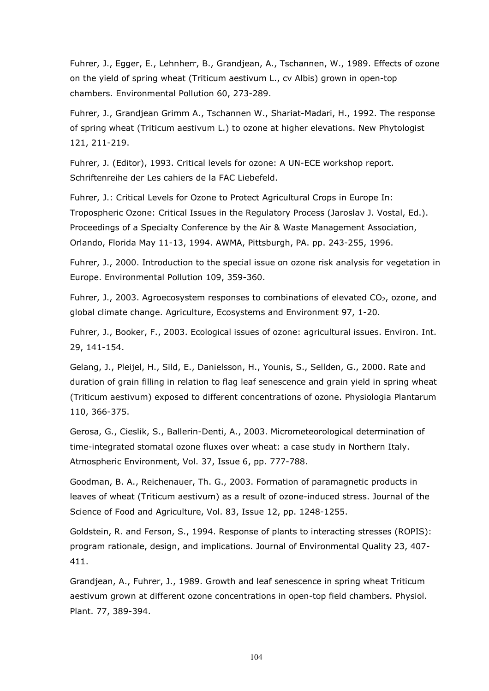Fuhrer, J., Egger, E., Lehnherr, B., Grandjean, A., Tschannen, W., 1989. Effects of ozone on the yield of spring wheat (Triticum aestivum L., cv Albis) grown in open-top chambers. Environmental Pollution 60, 273-289.

Fuhrer, J., Grandjean Grimm A., Tschannen W., Shariat-Madari, H., 1992. The response of spring wheat (Triticum aestivum L.) to ozone at higher elevations. New Phytologist 121, 211-219.

Fuhrer, J. (Editor), 1993. Critical levels for ozone: A UN-ECE workshop report. Schriftenreihe der Les cahiers de la FAC Liebefeld.

Fuhrer, J.: Critical Levels for Ozone to Protect Agricultural Crops in Europe In: Tropospheric Ozone: Critical Issues in the Regulatory Process (Jaroslav J. Vostal, Ed.). Proceedings of a Specialty Conference by the Air & Waste Management Association, Orlando, Florida May 11-13, 1994. AWMA, Pittsburgh, PA. pp. 243-255, 1996.

Fuhrer, J., 2000. Introduction to the special issue on ozone risk analysis for vegetation in Europe. Environmental Pollution 109, 359-360.

Fuhrer, J., 2003. Agroecosystem responses to combinations of elevated  $CO<sub>2</sub>$ , ozone, and global climate change. Agriculture, Ecosystems and Environment 97, 1-20.

Fuhrer, J., Booker, F., 2003. Ecological issues of ozone: agricultural issues. Environ. Int. 29, 141-154.

Gelang, J., Pleijel, H., Sild, E., Danielsson, H., Younis, S., Sellden, G., 2000. Rate and duration of grain filling in relation to flag leaf senescence and grain yield in spring wheat (Triticum aestivum) exposed to different concentrations of ozone. Physiologia Plantarum 110, 366-375.

Gerosa, G., Cieslik, S., Ballerin-Denti, A., 2003. Micrometeorological determination of time-integrated stomatal ozone fluxes over wheat: a case study in Northern Italy. Atmospheric Environment, Vol. 37, Issue 6, pp. 777-788.

Goodman, B. A., Reichenauer, Th. G., 2003. Formation of paramagnetic products in leaves of wheat (Triticum aestivum) as a result of ozone-induced stress. Journal of the Science of Food and Agriculture, Vol. 83, Issue 12, pp. 1248-1255.

Goldstein, R. and Ferson, S., 1994. Response of plants to interacting stresses (ROPIS): program rationale, design, and implications. Journal of Environmental Quality 23, 407- 411.

Grandjean, A., Fuhrer, J., 1989. Growth and leaf senescence in spring wheat Triticum aestivum grown at different ozone concentrations in open-top field chambers. Physiol. Plant. 77, 389-394.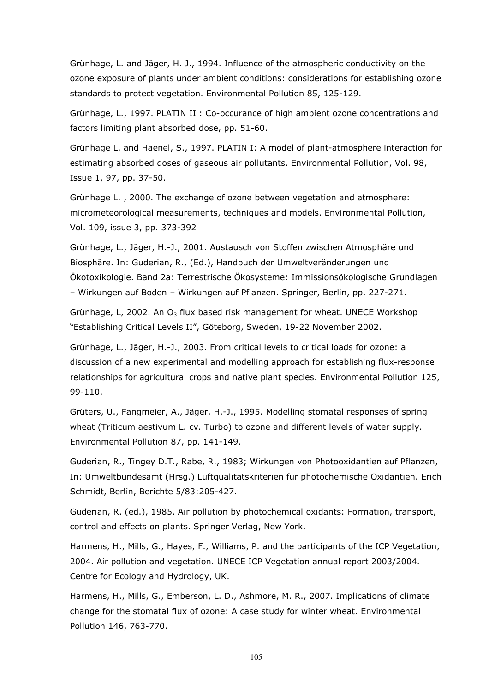Grünhage, L. and Jäger, H. J., 1994. Influence of the atmospheric conductivity on the ozone exposure of plants under ambient conditions: considerations for establishing ozone standards to protect vegetation. Environmental Pollution 85, 125-129.

Grünhage, L., 1997. PLATIN II : Co-occurance of high ambient ozone concentrations and factors limiting plant absorbed dose, pp. 51-60.

Grünhage L. and Haenel, S., 1997. PLATIN I: A model of plant-atmosphere interaction for estimating absorbed doses of gaseous air pollutants. Environmental Pollution, Vol. 98, Issue 1, 97, pp. 37-50.

Grünhage L. , 2000. The exchange of ozone between vegetation and atmosphere: micrometeorological measurements, techniques and models. Environmental Pollution, Vol. 109, issue 3, pp. 373-392

Grünhage, L., Jäger, H.-J., 2001. Austausch von Stoffen zwischen Atmosphäre und Biosphäre. In: Guderian, R., (Ed.), Handbuch der Umweltveränderungen und Ökotoxikologie. Band 2a: Terrestrische Ökosysteme: Immissionsökologische Grundlagen – Wirkungen auf Boden – Wirkungen auf Pflanzen. Springer, Berlin, pp. 227-271.

Grünhage, L, 2002. An  $O_3$  flux based risk management for wheat. UNECE Workshop "Establishing Critical Levels II", Göteborg, Sweden, 19-22 November 2002.

Grünhage, L., Jäger, H.-J., 2003. From critical levels to critical loads for ozone: a discussion of a new experimental and modelling approach for establishing flux-response relationships for agricultural crops and native plant species. Environmental Pollution 125, 99-110.

Grüters, U., Fangmeier, A., Jäger, H.-J., 1995. Modelling stomatal responses of spring wheat (Triticum aestivum L. cv. Turbo) to ozone and different levels of water supply. Environmental Pollution 87, pp. 141-149.

Guderian, R., Tingey D.T., Rabe, R., 1983; Wirkungen von Photooxidantien auf Pflanzen, In: Umweltbundesamt (Hrsg.) Luftqualitätskriterien für photochemische Oxidantien. Erich Schmidt, Berlin, Berichte 5/83:205-427.

Guderian, R. (ed.), 1985. Air pollution by photochemical oxidants: Formation, transport, control and effects on plants. Springer Verlag, New York.

Harmens, H., Mills, G., Hayes, F., Williams, P. and the participants of the ICP Vegetation, 2004. Air pollution and vegetation. UNECE ICP Vegetation annual report 2003/2004. Centre for Ecology and Hydrology, UK.

Harmens, H., Mills, G., Emberson, L. D., Ashmore, M. R., 2007. Implications of climate change for the stomatal flux of ozone: A case study for winter wheat. Environmental Pollution 146, 763-770.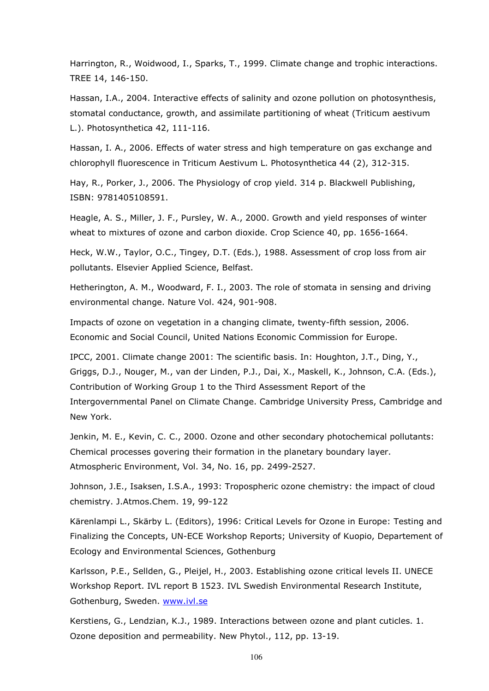Harrington, R., Woidwood, I., Sparks, T., 1999. Climate change and trophic interactions. TREE 14, 146-150.

Hassan, I.A., 2004. Interactive effects of salinity and ozone pollution on photosynthesis, stomatal conductance, growth, and assimilate partitioning of wheat (Triticum aestivum L.). Photosynthetica 42, 111-116.

Hassan, I. A., 2006. Effects of water stress and high temperature on gas exchange and chlorophyll fluorescence in Triticum Aestivum L. Photosynthetica 44 (2), 312-315.

Hay, R., Porker, J., 2006. The Physiology of crop yield. 314 p. Blackwell Publishing, ISBN: 9781405108591.

Heagle, A. S., Miller, J. F., Pursley, W. A., 2000. Growth and yield responses of winter wheat to mixtures of ozone and carbon dioxide. Crop Science 40, pp. 1656-1664.

Heck, W.W., Taylor, O.C., Tingey, D.T. (Eds.), 1988. Assessment of crop loss from air pollutants. Elsevier Applied Science, Belfast.

Hetherington, A. M., Woodward, F. I., 2003. The role of stomata in sensing and driving environmental change. Nature Vol. 424, 901-908.

Impacts of ozone on vegetation in a changing climate, twenty-fifth session, 2006. Economic and Social Council, United Nations Economic Commission for Europe.

IPCC, 2001. Climate change 2001: The scientific basis. In: Houghton, J.T., Ding, Y., Griggs, D.J., Nouger, M., van der Linden, P.J., Dai, X., Maskell, K., Johnson, C.A. (Eds.), Contribution of Working Group 1 to the Third Assessment Report of the Intergovernmental Panel on Climate Change. Cambridge University Press, Cambridge and New York.

Jenkin, M. E., Kevin, C. C., 2000. Ozone and other secondary photochemical pollutants: Chemical processes govering their formation in the planetary boundary layer. Atmospheric Environment, Vol. 34, No. 16, pp. 2499-2527.

Johnson, J.E., Isaksen, I.S.A., 1993: Tropospheric ozone chemistry: the impact of cloud chemistry. J.Atmos.Chem. 19, 99-122

Kärenlampi L., Skärby L. (Editors), 1996: Critical Levels for Ozone in Europe: Testing and Finalizing the Concepts, UN-ECE Workshop Reports; University of Kuopio, Departement of Ecology and Environmental Sciences, Gothenburg

Karlsson, P.E., Sellden, G., Pleijel, H., 2003. Establishing ozone critical levels II. UNECE Workshop Report. IVL report B 1523. IVL Swedish Environmental Research Institute, Gothenburg, Sweden. www.ivl.se

Kerstiens, G., Lendzian, K.J., 1989. Interactions between ozone and plant cuticles. 1. Ozone deposition and permeability. New Phytol., 112, pp. 13-19.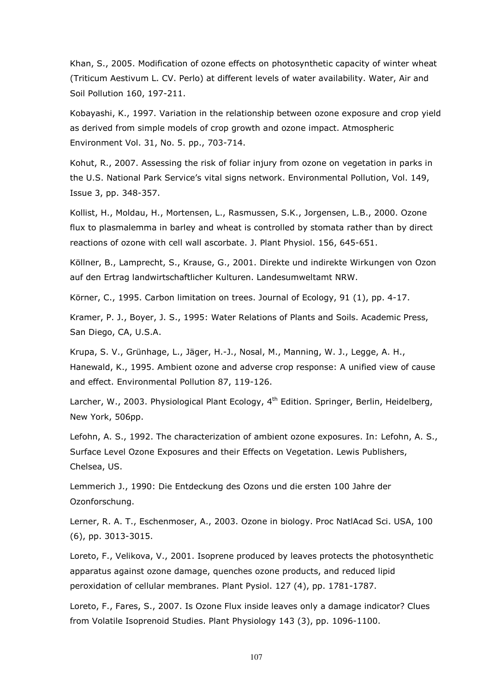Khan, S., 2005. Modification of ozone effects on photosynthetic capacity of winter wheat (Triticum Aestivum L. CV. Perlo) at different levels of water availability. Water, Air and Soil Pollution 160, 197-211.

Kobayashi, K., 1997. Variation in the relationship between ozone exposure and crop yield as derived from simple models of crop growth and ozone impact. Atmospheric Environment Vol. 31, No. 5. pp., 703-714.

Kohut, R., 2007. Assessing the risk of foliar injury from ozone on vegetation in parks in the U.S. National Park Service's vital signs network. Environmental Pollution, Vol. 149, Issue 3, pp. 348-357.

Kollist, H., Moldau, H., Mortensen, L., Rasmussen, S.K., Jorgensen, L.B., 2000. Ozone flux to plasmalemma in barley and wheat is controlled by stomata rather than by direct reactions of ozone with cell wall ascorbate. J. Plant Physiol. 156, 645-651.

Köllner, B., Lamprecht, S., Krause, G., 2001. Direkte und indirekte Wirkungen von Ozon auf den Ertrag landwirtschaftlicher Kulturen. Landesumweltamt NRW.

Körner, C., 1995. Carbon limitation on trees. Journal of Ecology, 91 (1), pp. 4-17.

Kramer, P. J., Boyer, J. S., 1995: Water Relations of Plants and Soils. Academic Press, San Diego, CA, U.S.A.

Krupa, S. V., Grünhage, L., Jäger, H.-J., Nosal, M., Manning, W. J., Legge, A. H., Hanewald, K., 1995. Ambient ozone and adverse crop response: A unified view of cause and effect. Environmental Pollution 87, 119-126.

Larcher, W., 2003. Physiological Plant Ecology, 4<sup>th</sup> Edition. Springer, Berlin, Heidelberg, New York, 506pp.

Lefohn, A. S., 1992. The characterization of ambient ozone exposures. In: Lefohn, A. S., Surface Level Ozone Exposures and their Effects on Vegetation. Lewis Publishers, Chelsea, US.

Lemmerich J., 1990: Die Entdeckung des Ozons und die ersten 100 Jahre der Ozonforschung.

Lerner, R. A. T., Eschenmoser, A., 2003. Ozone in biology. Proc NatlAcad Sci. USA, 100 (6), pp. 3013-3015.

Loreto, F., Velikova, V., 2001. Isoprene produced by leaves protects the photosynthetic apparatus against ozone damage, quenches ozone products, and reduced lipid peroxidation of cellular membranes. Plant Pysiol. 127 (4), pp. 1781-1787.

Loreto, F., Fares, S., 2007. Is Ozone Flux inside leaves only a damage indicator? Clues from Volatile Isoprenoid Studies. Plant Physiology 143 (3), pp. 1096-1100.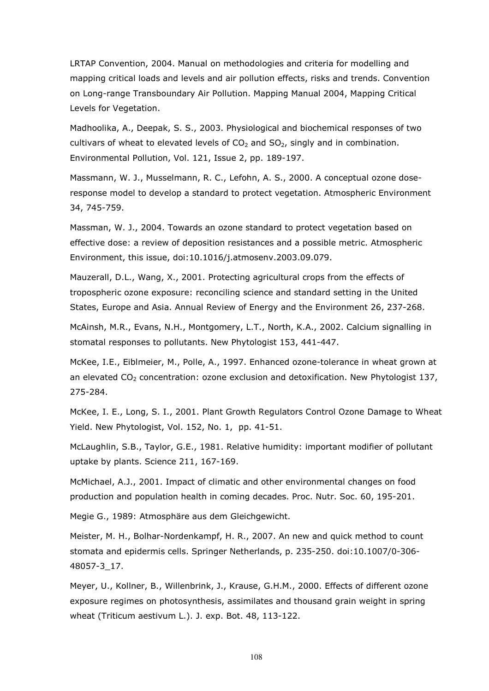LRTAP Convention, 2004. Manual on methodologies and criteria for modelling and mapping critical loads and levels and air pollution effects, risks and trends. Convention on Long-range Transboundary Air Pollution. Mapping Manual 2004, Mapping Critical Levels for Vegetation.

Madhoolika, A., Deepak, S. S., 2003. Physiological and biochemical responses of two cultivars of wheat to elevated levels of  $CO<sub>2</sub>$  and  $SO<sub>2</sub>$ , singly and in combination. Environmental Pollution, Vol. 121, Issue 2, pp. 189-197.

Massmann, W. J., Musselmann, R. C., Lefohn, A. S., 2000. A conceptual ozone doseresponse model to develop a standard to protect vegetation. Atmospheric Environment 34, 745-759.

Massman, W. J., 2004. Towards an ozone standard to protect vegetation based on effective dose: a review of deposition resistances and a possible metric. Atmospheric Environment, this issue, doi:10.1016/j.atmosenv.2003.09.079.

Mauzerall, D.L., Wang, X., 2001. Protecting agricultural crops from the effects of tropospheric ozone exposure: reconciling science and standard setting in the United States, Europe and Asia. Annual Review of Energy and the Environment 26, 237-268.

McAinsh, M.R., Evans, N.H., Montgomery, L.T., North, K.A., 2002. Calcium signalling in stomatal responses to pollutants. New Phytologist 153, 441-447.

McKee, I.E., Eiblmeier, M., Polle, A., 1997. Enhanced ozone-tolerance in wheat grown at an elevated  $CO<sub>2</sub>$  concentration: ozone exclusion and detoxification. New Phytologist 137, 275-284.

McKee, I. E., Long, S. I., 2001. Plant Growth Regulators Control Ozone Damage to Wheat Yield. New Phytologist, Vol. 152, No. 1, pp. 41-51.

McLaughlin, S.B., Taylor, G.E., 1981. Relative humidity: important modifier of pollutant uptake by plants. Science 211, 167-169.

McMichael, A.J., 2001. Impact of climatic and other environmental changes on food production and population health in coming decades. Proc. Nutr. Soc. 60, 195-201.

Megie G., 1989: Atmosphäre aus dem Gleichgewicht.

Meister, M. H., Bolhar-Nordenkampf, H. R., 2007. An new and quick method to count stomata and epidermis cells. Springer Netherlands, p. 235-250. doi:10.1007/0-306- 48057-3\_17.

Meyer, U., Kollner, B., Willenbrink, J., Krause, G.H.M., 2000. Effects of different ozone exposure regimes on photosynthesis, assimilates and thousand grain weight in spring wheat (Triticum aestivum L.). J. exp. Bot. 48, 113-122.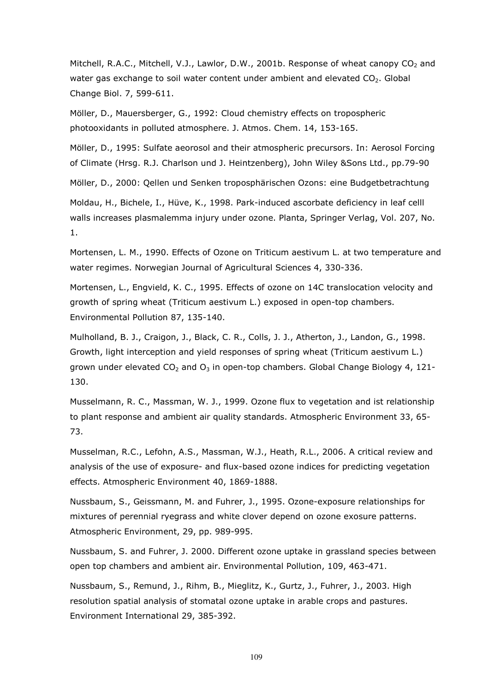Mitchell, R.A.C., Mitchell, V.J., Lawlor, D.W., 2001b. Response of wheat canopy  $CO<sub>2</sub>$  and water gas exchange to soil water content under ambient and elevated  $CO<sub>2</sub>$ . Global Change Biol. 7, 599-611.

Möller, D., Mauersberger, G., 1992: Cloud chemistry effects on tropospheric photooxidants in polluted atmosphere. J. Atmos. Chem. 14, 153-165.

Möller, D., 1995: Sulfate aeorosol and their atmospheric precursors. In: Aerosol Forcing of Climate (Hrsg. R.J. Charlson und J. Heintzenberg), John Wiley &Sons Ltd., pp.79-90

Möller, D., 2000: Qellen und Senken troposphärischen Ozons: eine Budgetbetrachtung

Moldau, H., Bichele, I., Hüve, K., 1998. Park-induced ascorbate deficiency in leaf celll walls increases plasmalemma injury under ozone. Planta, Springer Verlag, Vol. 207, No. 1.

Mortensen, L. M., 1990. Effects of Ozone on Triticum aestivum L. at two temperature and water regimes. Norwegian Journal of Agricultural Sciences 4, 330-336.

Mortensen, L., Engvield, K. C., 1995. Effects of ozone on 14C translocation velocity and growth of spring wheat (Triticum aestivum L.) exposed in open-top chambers. Environmental Pollution 87, 135-140.

Mulholland, B. J., Craigon, J., Black, C. R., Colls, J. J., Atherton, J., Landon, G., 1998. Growth, light interception and yield responses of spring wheat (Triticum aestivum L.) grown under elevated  $CO<sub>2</sub>$  and  $O<sub>3</sub>$  in open-top chambers. Global Change Biology 4, 121-130.

Musselmann, R. C., Massman, W. J., 1999. Ozone flux to vegetation and ist relationship to plant response and ambient air quality standards. Atmospheric Environment 33, 65- 73.

Musselman, R.C., Lefohn, A.S., Massman, W.J., Heath, R.L., 2006. A critical review and analysis of the use of exposure- and flux-based ozone indices for predicting vegetation effects. Atmospheric Environment 40, 1869-1888.

Nussbaum, S., Geissmann, M. and Fuhrer, J., 1995. Ozone-exposure relationships for mixtures of perennial ryegrass and white clover depend on ozone exosure patterns. Atmospheric Environment, 29, pp. 989-995.

Nussbaum, S. and Fuhrer, J. 2000. Different ozone uptake in grassland species between open top chambers and ambient air. Environmental Pollution, 109, 463-471.

Nussbaum, S., Remund, J., Rihm, B., Mieglitz, K., Gurtz, J., Fuhrer, J., 2003. High resolution spatial analysis of stomatal ozone uptake in arable crops and pastures. Environment International 29, 385-392.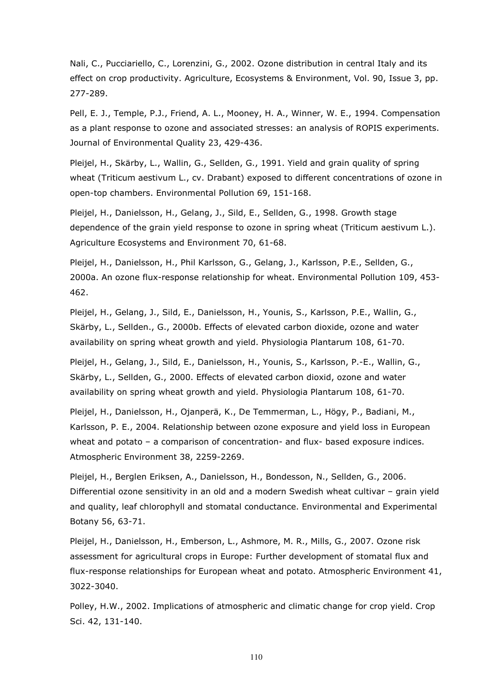Nali, C., Pucciariello, C., Lorenzini, G., 2002. Ozone distribution in central Italy and its effect on crop productivity. Agriculture, Ecosystems & Environment, Vol. 90, Issue 3, pp. 277-289.

Pell, E. J., Temple, P.J., Friend, A. L., Mooney, H. A., Winner, W. E., 1994. Compensation as a plant response to ozone and associated stresses: an analysis of ROPIS experiments. Journal of Environmental Quality 23, 429-436.

Pleijel, H., Skärby, L., Wallin, G., Sellden, G., 1991. Yield and grain quality of spring wheat (Triticum aestivum L., cv. Drabant) exposed to different concentrations of ozone in open-top chambers. Environmental Pollution 69, 151-168.

Pleijel, H., Danielsson, H., Gelang, J., Sild, E., Sellden, G., 1998. Growth stage dependence of the grain yield response to ozone in spring wheat (Triticum aestivum L.). Agriculture Ecosystems and Environment 70, 61-68.

Pleijel, H., Danielsson, H., Phil Karlsson, G., Gelang, J., Karlsson, P.E., Sellden, G., 2000a. An ozone flux-response relationship for wheat. Environmental Pollution 109, 453- 462.

Pleijel, H., Gelang, J., Sild, E., Danielsson, H., Younis, S., Karlsson, P.E., Wallin, G., Skärby, L., Sellden., G., 2000b. Effects of elevated carbon dioxide, ozone and water availability on spring wheat growth and yield. Physiologia Plantarum 108, 61-70.

Pleijel, H., Gelang, J., Sild, E., Danielsson, H., Younis, S., Karlsson, P.-E., Wallin, G., Skärby, L., Sellden, G., 2000. Effects of elevated carbon dioxid, ozone and water availability on spring wheat growth and yield. Physiologia Plantarum 108, 61-70.

Pleijel, H., Danielsson, H., Ojanperä, K., De Temmerman, L., Högy, P., Badiani, M., Karlsson, P. E., 2004. Relationship between ozone exposure and yield loss in European wheat and potato – a comparison of concentration- and flux- based exposure indices. Atmospheric Environment 38, 2259-2269.

Pleijel, H., Berglen Eriksen, A., Danielsson, H., Bondesson, N., Sellden, G., 2006. Differential ozone sensitivity in an old and a modern Swedish wheat cultivar – grain yield and quality, leaf chlorophyll and stomatal conductance. Environmental and Experimental Botany 56, 63-71.

Pleijel, H., Danielsson, H., Emberson, L., Ashmore, M. R., Mills, G., 2007. Ozone risk assessment for agricultural crops in Europe: Further development of stomatal flux and flux-response relationships for European wheat and potato. Atmospheric Environment 41, 3022-3040.

Polley, H.W., 2002. Implications of atmospheric and climatic change for crop yield. Crop Sci. 42, 131-140.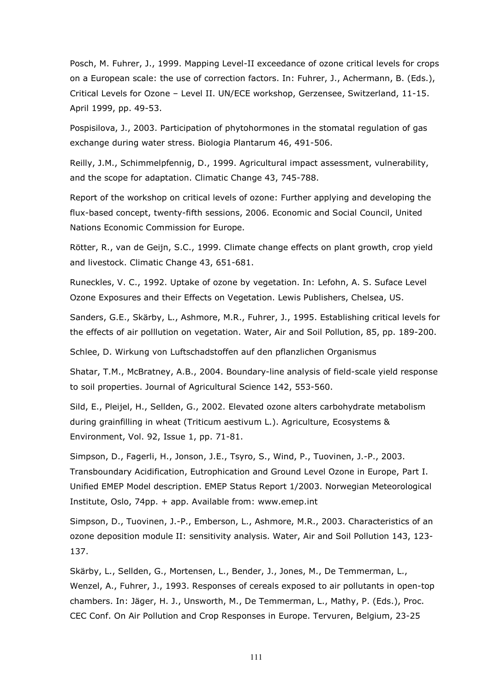Posch, M. Fuhrer, J., 1999. Mapping Level-II exceedance of ozone critical levels for crops on a European scale: the use of correction factors. In: Fuhrer, J., Achermann, B. (Eds.), Critical Levels for Ozone – Level II. UN/ECE workshop, Gerzensee, Switzerland, 11-15. April 1999, pp. 49-53.

Pospisilova, J., 2003. Participation of phytohormones in the stomatal regulation of gas exchange during water stress. Biologia Plantarum 46, 491-506.

Reilly, J.M., Schimmelpfennig, D., 1999. Agricultural impact assessment, vulnerability, and the scope for adaptation. Climatic Change 43, 745-788.

Report of the workshop on critical levels of ozone: Further applying and developing the flux-based concept, twenty-fifth sessions, 2006. Economic and Social Council, United Nations Economic Commission for Europe.

Rötter, R., van de Geijn, S.C., 1999. Climate change effects on plant growth, crop yield and livestock. Climatic Change 43, 651-681.

Runeckles, V. C., 1992. Uptake of ozone by vegetation. In: Lefohn, A. S. Suface Level Ozone Exposures and their Effects on Vegetation. Lewis Publishers, Chelsea, US.

Sanders, G.E., Skärby, L., Ashmore, M.R., Fuhrer, J., 1995. Establishing critical levels for the effects of air polllution on vegetation. Water, Air and Soil Pollution, 85, pp. 189-200.

Schlee, D. Wirkung von Luftschadstoffen auf den pflanzlichen Organismus

Shatar, T.M., McBratney, A.B., 2004. Boundary-line analysis of field-scale yield response to soil properties. Journal of Agricultural Science 142, 553-560.

Sild, E., Pleijel, H., Sellden, G., 2002. Elevated ozone alters carbohydrate metabolism during grainfilling in wheat (Triticum aestivum L.). Agriculture, Ecosystems & Environment, Vol. 92, Issue 1, pp. 71-81.

Simpson, D., Fagerli, H., Jonson, J.E., Tsyro, S., Wind, P., Tuovinen, J.-P., 2003. Transboundary Acidification, Eutrophication and Ground Level Ozone in Europe, Part I. Unified EMEP Model description. EMEP Status Report 1/2003. Norwegian Meteorological Institute, Oslo, 74pp. + app. Available from: www.emep.int

Simpson, D., Tuovinen, J.-P., Emberson, L., Ashmore, M.R., 2003. Characteristics of an ozone deposition module II: sensitivity analysis. Water, Air and Soil Pollution 143, 123- 137.

Skärby, L., Sellden, G., Mortensen, L., Bender, J., Jones, M., De Temmerman, L., Wenzel, A., Fuhrer, J., 1993. Responses of cereals exposed to air pollutants in open-top chambers. In: Jäger, H. J., Unsworth, M., De Temmerman, L., Mathy, P. (Eds.), Proc. CEC Conf. On Air Pollution and Crop Responses in Europe. Tervuren, Belgium, 23-25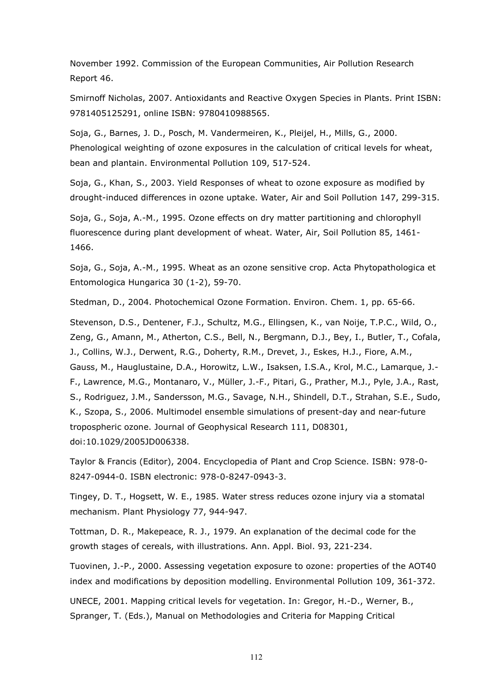November 1992. Commission of the European Communities, Air Pollution Research Report 46.

Smirnoff Nicholas, 2007. Antioxidants and Reactive Oxygen Species in Plants. Print ISBN: 9781405125291, online ISBN: 9780410988565.

Soja, G., Barnes, J. D., Posch, M. Vandermeiren, K., Pleijel, H., Mills, G., 2000. Phenological weighting of ozone exposures in the calculation of critical levels for wheat, bean and plantain. Environmental Pollution 109, 517-524.

Soja, G., Khan, S., 2003. Yield Responses of wheat to ozone exposure as modified by drought-induced differences in ozone uptake. Water, Air and Soil Pollution 147, 299-315.

Soja, G., Soja, A.-M., 1995. Ozone effects on dry matter partitioning and chlorophyll fluorescence during plant development of wheat. Water, Air, Soil Pollution 85, 1461- 1466.

Soja, G., Soja, A.-M., 1995. Wheat as an ozone sensitive crop. Acta Phytopathologica et Entomologica Hungarica 30 (1-2), 59-70.

Stedman, D., 2004. Photochemical Ozone Formation. Environ. Chem. 1, pp. 65-66.

Stevenson, D.S., Dentener, F.J., Schultz, M.G., Ellingsen, K., van Noije, T.P.C., Wild, O., Zeng, G., Amann, M., Atherton, C.S., Bell, N., Bergmann, D.J., Bey, I., Butler, T., Cofala, J., Collins, W.J., Derwent, R.G., Doherty, R.M., Drevet, J., Eskes, H.J., Fiore, A.M., Gauss, M., Hauglustaine, D.A., Horowitz, L.W., Isaksen, I.S.A., Krol, M.C., Lamarque, J.- F., Lawrence, M.G., Montanaro, V., Müller, J.-F., Pitari, G., Prather, M.J., Pyle, J.A., Rast, S., Rodriguez, J.M., Sandersson, M.G., Savage, N.H., Shindell, D.T., Strahan, S.E., Sudo, K., Szopa, S., 2006. Multimodel ensemble simulations of present-day and near-future tropospheric ozone. Journal of Geophysical Research 111, D08301, doi:10.1029/2005JD006338.

Taylor & Francis (Editor), 2004. Encyclopedia of Plant and Crop Science. ISBN: 978-0- 8247-0944-0. ISBN electronic: 978-0-8247-0943-3.

Tingey, D. T., Hogsett, W. E., 1985. Water stress reduces ozone injury via a stomatal mechanism. Plant Physiology 77, 944-947.

Tottman, D. R., Makepeace, R. J., 1979. An explanation of the decimal code for the growth stages of cereals, with illustrations. Ann. Appl. Biol. 93, 221-234.

Tuovinen, J.-P., 2000. Assessing vegetation exposure to ozone: properties of the AOT40 index and modifications by deposition modelling. Environmental Pollution 109, 361-372.

UNECE, 2001. Mapping critical levels for vegetation. In: Gregor, H.-D., Werner, B., Spranger, T. (Eds.), Manual on Methodologies and Criteria for Mapping Critical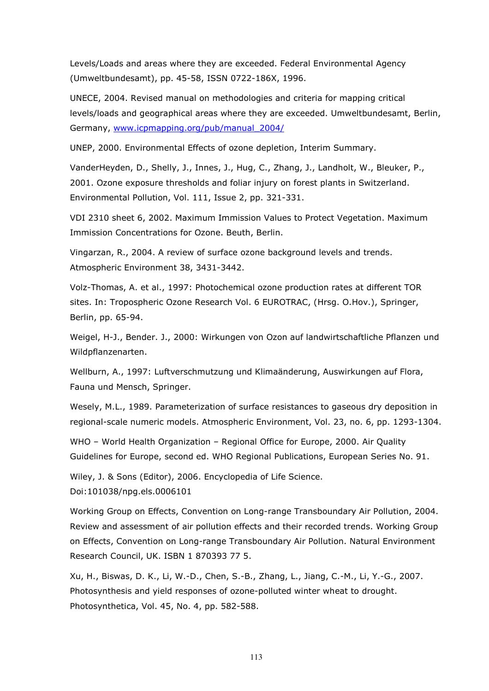Levels/Loads and areas where they are exceeded. Federal Environmental Agency (Umweltbundesamt), pp. 45-58, ISSN 0722-186X, 1996.

UNECE, 2004. Revised manual on methodologies and criteria for mapping critical levels/loads and geographical areas where they are exceeded. Umweltbundesamt, Berlin, Germany, www.icpmapping.org/pub/manual\_2004/

UNEP, 2000. Environmental Effects of ozone depletion, Interim Summary.

VanderHeyden, D., Shelly, J., Innes, J., Hug, C., Zhang, J., Landholt, W., Bleuker, P., 2001. Ozone exposure thresholds and foliar injury on forest plants in Switzerland. Environmental Pollution, Vol. 111, Issue 2, pp. 321-331.

VDI 2310 sheet 6, 2002. Maximum Immission Values to Protect Vegetation. Maximum Immission Concentrations for Ozone. Beuth, Berlin.

Vingarzan, R., 2004. A review of surface ozone background levels and trends. Atmospheric Environment 38, 3431-3442.

Volz-Thomas, A. et al., 1997: Photochemical ozone production rates at different TOR sites. In: Tropospheric Ozone Research Vol. 6 EUROTRAC, (Hrsg. O.Hov.), Springer, Berlin, pp. 65-94.

Weigel, H-J., Bender. J., 2000: Wirkungen von Ozon auf landwirtschaftliche Pflanzen und Wildpflanzenarten.

Wellburn, A., 1997: Luftverschmutzung und Klimaänderung, Auswirkungen auf Flora, Fauna und Mensch, Springer.

Wesely, M.L., 1989. Parameterization of surface resistances to gaseous dry deposition in regional-scale numeric models. Atmospheric Environment, Vol. 23, no. 6, pp. 1293-1304.

WHO – World Health Organization – Regional Office for Europe, 2000. Air Quality Guidelines for Europe, second ed. WHO Regional Publications, European Series No. 91.

Wiley, J. & Sons (Editor), 2006. Encyclopedia of Life Science.

Doi:101038/npg.els.0006101

Working Group on Effects, Convention on Long-range Transboundary Air Pollution, 2004. Review and assessment of air pollution effects and their recorded trends. Working Group on Effects, Convention on Long-range Transboundary Air Pollution. Natural Environment Research Council, UK. ISBN 1 870393 77 5.

Xu, H., Biswas, D. K., Li, W.-D., Chen, S.-B., Zhang, L., Jiang, C.-M., Li, Y.-G., 2007. Photosynthesis and yield responses of ozone-polluted winter wheat to drought. Photosynthetica, Vol. 45, No. 4, pp. 582-588.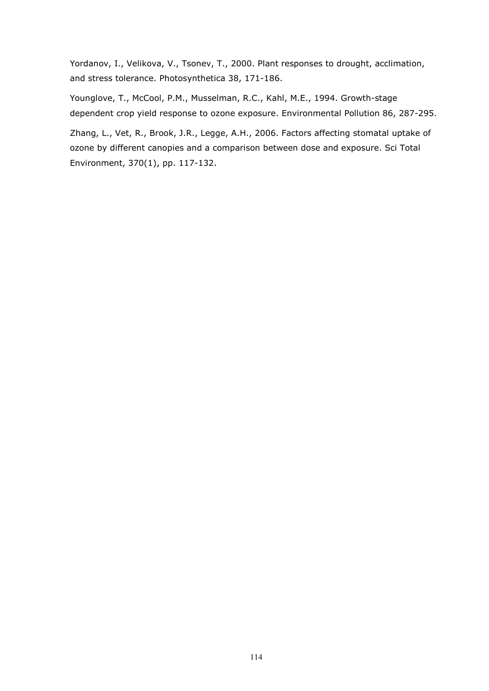Yordanov, I., Velikova, V., Tsonev, T., 2000. Plant responses to drought, acclimation, and stress tolerance. Photosynthetica 38, 171-186.

Younglove, T., McCool, P.M., Musselman, R.C., Kahl, M.E., 1994. Growth-stage dependent crop yield response to ozone exposure. Environmental Pollution 86, 287-295.

Zhang, L., Vet, R., Brook, J.R., Legge, A.H., 2006. Factors affecting stomatal uptake of ozone by different canopies and a comparison between dose and exposure. Sci Total Environment, 370(1), pp. 117-132.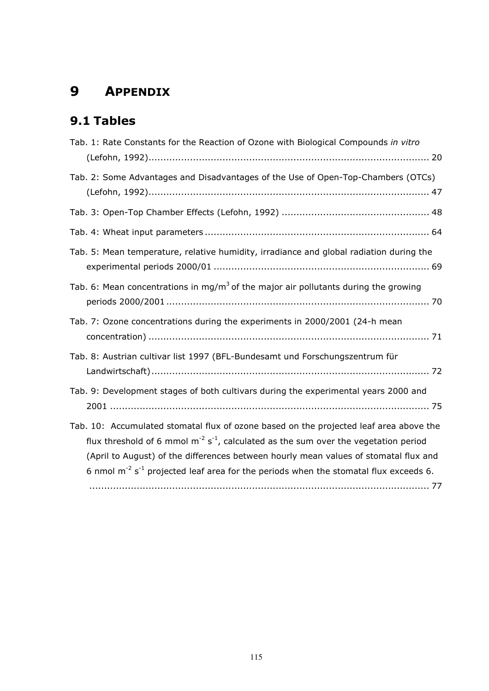## 9 APPENDIX

## 9.1 Tables

| Tab. 1: Rate Constants for the Reaction of Ozone with Biological Compounds in vitro                                                                                                                                                                                                                                                                                                             |
|-------------------------------------------------------------------------------------------------------------------------------------------------------------------------------------------------------------------------------------------------------------------------------------------------------------------------------------------------------------------------------------------------|
| Tab. 2: Some Advantages and Disadvantages of the Use of Open-Top-Chambers (OTCs)                                                                                                                                                                                                                                                                                                                |
|                                                                                                                                                                                                                                                                                                                                                                                                 |
|                                                                                                                                                                                                                                                                                                                                                                                                 |
| Tab. 5: Mean temperature, relative humidity, irradiance and global radiation during the                                                                                                                                                                                                                                                                                                         |
| Tab. 6: Mean concentrations in mg/m <sup>3</sup> of the major air pollutants during the growing                                                                                                                                                                                                                                                                                                 |
| Tab. 7: Ozone concentrations during the experiments in 2000/2001 (24-h mean                                                                                                                                                                                                                                                                                                                     |
| Tab. 8: Austrian cultivar list 1997 (BFL-Bundesamt und Forschungszentrum für                                                                                                                                                                                                                                                                                                                    |
| Tab. 9: Development stages of both cultivars during the experimental years 2000 and                                                                                                                                                                                                                                                                                                             |
| Tab. 10: Accumulated stomatal flux of ozone based on the projected leaf area above the<br>flux threshold of 6 mmol $m^{-2}$ s <sup>-1</sup> , calculated as the sum over the vegetation period<br>(April to August) of the differences between hourly mean values of stomatal flux and<br>6 nmol $m^{-2}$ s <sup>-1</sup> projected leaf area for the periods when the stomatal flux exceeds 6. |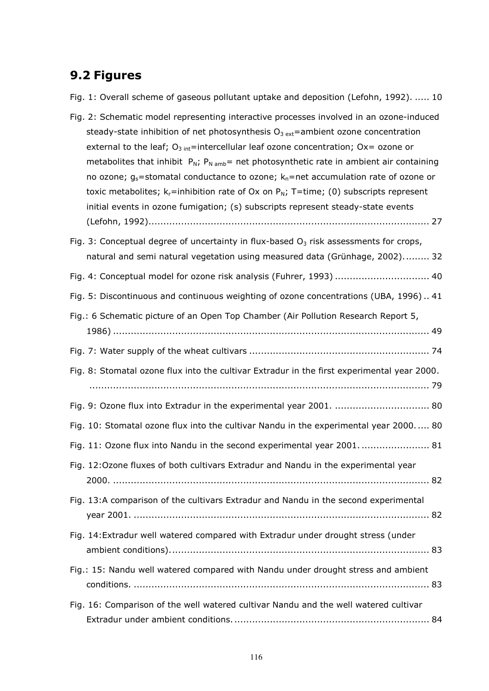## 9.2 Figures

Fig. 1: Overall scheme of gaseous pollutant uptake and deposition (Lefohn, 1992). ..... 10

| Fig. 2: Schematic model representing interactive processes involved in an ozone-induced<br>steady-state inhibition of net photosynthesis $O_{3 ext}$ =ambient ozone concentration |
|-----------------------------------------------------------------------------------------------------------------------------------------------------------------------------------|
| external to the leaf; $O_{3 \text{ int}}$ =intercellular leaf ozone concentration; Ox= ozone or                                                                                   |
| metabolites that inhibit $P_N$ ; $P_N$ <sub>amb</sub> = net photosynthetic rate in ambient air containing                                                                         |
| no ozone; $g_s$ =stomatal conductance to ozone; $k_n$ =net accumulation rate of ozone or                                                                                          |
| toxic metabolites; $k_r$ =inhibition rate of Ox on $P_N$ ; T=time; (0) subscripts represent                                                                                       |
| initial events in ozone fumigation; (s) subscripts represent steady-state events                                                                                                  |
|                                                                                                                                                                                   |
| Fig. 3: Conceptual degree of uncertainty in flux-based $O3$ risk assessments for crops,                                                                                           |
| natural and semi natural vegetation using measured data (Grünhage, 2002) 32                                                                                                       |
| Fig. 4: Conceptual model for ozone risk analysis (Fuhrer, 1993)  40                                                                                                               |
| Fig. 5: Discontinuous and continuous weighting of ozone concentrations (UBA, 1996) 41                                                                                             |
| Fig.: 6 Schematic picture of an Open Top Chamber (Air Pollution Research Report 5,                                                                                                |
|                                                                                                                                                                                   |
|                                                                                                                                                                                   |
| Fig. 8: Stomatal ozone flux into the cultivar Extradur in the first experimental year 2000.                                                                                       |
|                                                                                                                                                                                   |
| Fig. 9: Ozone flux into Extradur in the experimental year 2001.  80                                                                                                               |
| Fig. 10: Stomatal ozone flux into the cultivar Nandu in the experimental year 2000 80                                                                                             |
| Fig. 11: Ozone flux into Nandu in the second experimental year 2001.  81                                                                                                          |
| Fig. 12:Ozone fluxes of both cultivars Extradur and Nandu in the experimental year                                                                                                |
|                                                                                                                                                                                   |
| Fig. 13:A comparison of the cultivars Extradur and Nandu in the second experimental                                                                                               |
|                                                                                                                                                                                   |
| Fig. 14: Extradur well watered compared with Extradur under drought stress (under                                                                                                 |
|                                                                                                                                                                                   |
| Fig.: 15: Nandu well watered compared with Nandu under drought stress and ambient                                                                                                 |
|                                                                                                                                                                                   |
| Fig. 16: Comparison of the well watered cultivar Nandu and the well watered cultivar                                                                                              |
|                                                                                                                                                                                   |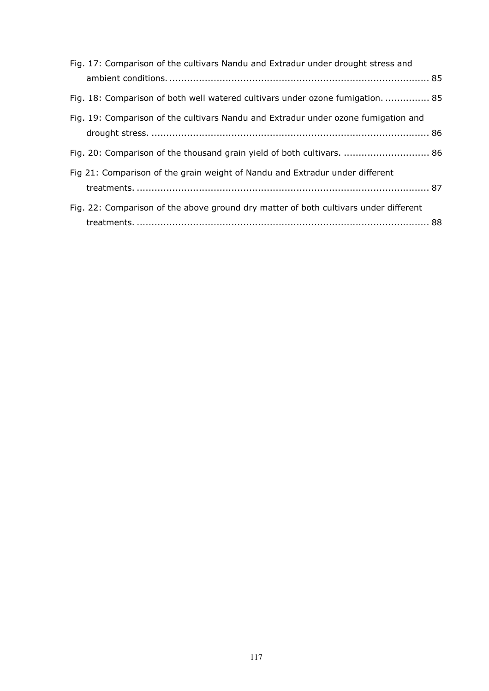| Fig. 17: Comparison of the cultivars Nandu and Extradur under drought stress and     |  |
|--------------------------------------------------------------------------------------|--|
|                                                                                      |  |
| Fig. 18: Comparison of both well watered cultivars under ozone fumigation.  85       |  |
| Fig. 19: Comparison of the cultivars Nandu and Extradur under ozone fumigation and   |  |
|                                                                                      |  |
| Fig. 20: Comparison of the thousand grain yield of both cultivars.  86               |  |
| Fig 21: Comparison of the grain weight of Nandu and Extradur under different         |  |
|                                                                                      |  |
| Fig. 22: Comparison of the above ground dry matter of both cultivars under different |  |
|                                                                                      |  |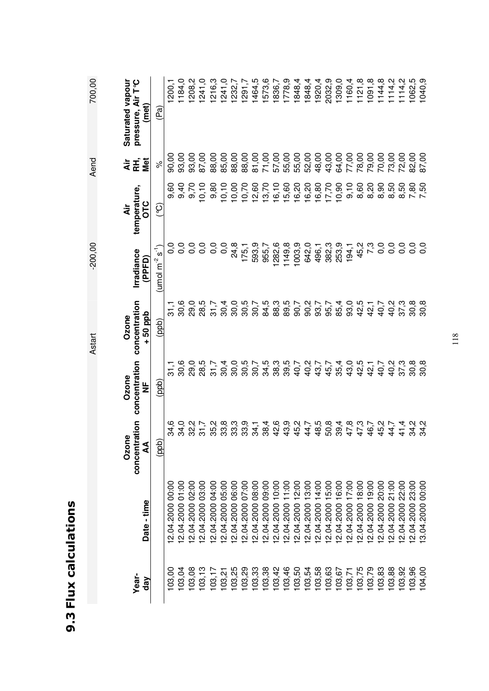| U)     |
|--------|
| с      |
| Ξ      |
|        |
| į      |
|        |
|        |
|        |
|        |
|        |
| Ū      |
| Ì      |
|        |
|        |
|        |
|        |
|        |
|        |
| ľ<br>ŗ |
|        |
| п<br>I |

700.00

Aend

 $-200.00$ 

Astart

1184,0  $1241,0$ **Saturated vapour pressure, Air T°C**  208,2 241,0 216,3  $1121,8$ 1091,8 1144,8  $1114,2$ 1200,1 1291,7 1464,5 573,6 1778,9 1848,4 1848,4 1920,4 2032,9 1309,0 1160,4  $1114,2$ 1062,5 1040,9 Astart -200,00 -200,00 Aend 700,00 Saturated vapour pressure, Air T°C 103,04 12.04.2000 01:00 34,0 30,6 30,6 0,0 9,40 93,00 1184,0 103,08 12.04.2000 02:00 32,2 29,0 29,0 0,0 9,70 93,00 1208,2 103,13 12.04.2000 03:00 31,7 28,5 28,5 0,0 10,10 87,00 1241,0 103,17 12.04.2000 04:00 35,2 31,7 31,7 0,0 9,80 88,00 1216,3 103,21 12.04.2000 05:00 33,8 30,4 30,4 0,0 10,10 85,00 1241,0 1232,7 103,25 12.04.2000 06:00 33,3 30,0 30,0 24,8 10,00 88,00 1232,7 103,29 12.04.2000 07:00 33,9 30,5 30,5 175,1 10,70 88,00 1291,7 103,33 12.04.2000 08:00 34,1 30,7 30,7 593,9 12,60 81,00 1464,5 103,38 12.04.2000 09:00 38,4 34,5 84,5 955,7 13,70 71,00 1573,6 1836,7 103,42 12.04.2000 10:00 42,6 38,3 88,3 1282,6 16,10 57,00 1836,7 103,46 12.04.2000 11:00 43,9 39,5 89,5 1149,8 15,60 55,00 1778,9 103,50 12.04.2000 12:00 45,2 40,7 90,7 1003,9 16,20 55,00 1848,4 103,54 12.04.2000 13:00 44,7 40,2 90,2 642,0 16,20 52,00 1848,4 103,58 12.04.2000 14:00 48,5 43,7 93,7 496,1 16,80 48,00 1920,4 103,63 12.04.2000 15:00 50,8 45,7 95,7 382,3 17,70 43,00 2032,9 103,67 12.04.2000 16:00 39,4 35,4 85,4 253,9 10,90 64,00 1309,0 103,71 12.04.2000 17:00 47,8 43,0 93,0 194,1 9,10 77,00 1160,4 103,75 12.04.2000 18:00 47,3 42,5 42,5 45,2 8,60 78,00 1121,8 103,79 12.04.2000 19:00 46,7 42,1 42,1 7,3 8,20 79,00 1091,8 103,83 12.04.2000 20:00 45,2 40,7 40,7 0,0 8,90 70,00 1144,8 103,88 12.04.2000 21:00 44,7 40,2 40,2 0,0 8,50 73,00 1114,2 103,92 12.04.2000 22:00 41,4 37,3 37,3 0,0 8,50 72,00 1114,2 103,96 12.04.2000 23:00 34,2 30,8 30,8 0,0 7,80 82,00 1062,5 104,00 13.04.2000 00:00 34,2 30,8 30,8 0,0 7,50 87,00 1040,9103,00 12.04.2000 00:00 34,6 31,1 31,1 0,0 9,60 90,00 1200,1 **(met)**  (ppb) (ppb) (ppb) (umol m<sup>-2</sup> s<sup>-1</sup>) (°C)  $\%$  (Pa) (Pa) 87,00 88,00 85,00 88,00<br>88,00 81,00 71,00 57,00 55,00 55,00 52,00 48,00 43,00 64,00 77,00 78,00 79,00 70,00 90,00 93,00 93,00 73,00 72,00 32,00 37,00 **Air RH, Met**   $\delta$  $16,10$ 13,70 15,60  $9,10$ 8,90 **temperature,**  9,60<br>9,40 9.70  $0,10$  $9,80$  $10, 10$ 10,00  $10,70$ 12,60  $16,20$ 16,20  $16,80$ 17,70 10,90 8,60 8,20 8,50 8,50  $7,80$ 7,50 temperature, **OTC Air**   $\widetilde{Q}$  $0,0$  $0,0$  $0,0$ 24,8 593,9 955,7 282,6 1149,8 003,9 642,0 496,1 382,3 253,9 45,2 7,3  $0,0$  $0,0$  $0,0$  $0,0$  $0,0$  $\frac{0}{0}$  $\overline{0}$ 75,1  $194,1$ (umol m $^2$  s<sup>-1</sup>) **Irradiance (PPFD)**  Ozone Ozone Ozone<br>concentration concentration concentration 84,5 **concentration**  30,6 28,5  $30.4$ 30,0 30,5 30,7 88,3 89,5<br>90,7  $90,2$ 93,7 95,7 85,4 93,0 42,5 40,7 40,2 37,3  $30,8$ 30,8 29,0  $31,7$ 42,1  $31,1$ **+ 50 ppb Ozone**   $(qdp)$ 30,6 29,0 28,5 0.<br>0.007<br>0.00 34,5<br>38,3  $39,5$ <br>40,7 40,2 40,7 **concentration**   $31,1$  $30,4$ 43,7 45,7 35,4 43,0 42,5 42,1 40,2 **Ozone**  (ddd)  $\frac{u}{Z}$ **concentration**  34,6  $34,0$ 32,2  $31,7$ 35,2 33,8 33,9<br>33,9 34,1 38,4 42,6 43,2<br>45,2 44,7 48,5 50,8  $39,4$ 47,3<br>47,3 46,7 45,2 44,7 41,4 34,2  $34,2$  $(qdp)$ **AA**  12.04.2000 10:00 12.04.2000 11:00 12.04.2000 13:00 12.04.2000 14:00 12.04.2000 15:00 12.04.2000 18:00 12.04.2000 19:00 2.04.2000 00:00 2.04.2000 01:00 2.04.2000 02:00 2.04.2000 03:00 2.04.2000 04:00 12.04.2000 05:00 12.04.2000 06:00 2.04.2000 07:00 12.04.2000 08:00 12.04.2000 09:00 2.04.2000 12:00 12.04.2000 16:00 2.04.2000 17:00 12.04.2000 20:00 2.04.2000 21:00 2.04.2000 22:00 2.04.2000 23:00 3.04.2000 00:00 **day Date - time**  Date - time 03,08 03,13 103,25 03,29  $03,33$ 03,38 103,42 03,46 03,50 03,54 03,58 103,63 03,79 103,00 03,04  $03,17$ 103.21 03,67 103,71 103,75 03,83 03,88 03,92 03,96 04,00 **Year**dav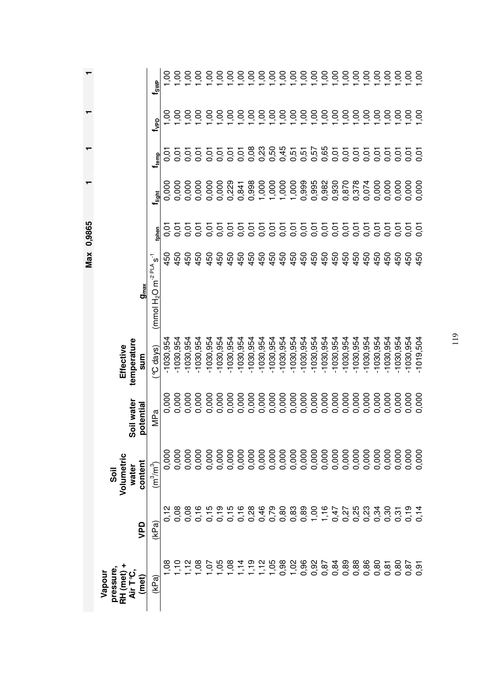|                                                     |                |                                        |                         |                                 |                         | $Max$ 0,9865 |             |                 |                |                 |                 |
|-----------------------------------------------------|----------------|----------------------------------------|-------------------------|---------------------------------|-------------------------|--------------|-------------|-----------------|----------------|-----------------|-----------------|
| pressure<br>Vapour<br>RH (met)<br>(met)<br>.<br>⊲וֹ | VPD            | Volumetric<br>content<br>water<br>Soil | Soil water<br>potential | temperature<br>Effective<br>sum | $g_{max}$               |              |             |                 |                |                 |                 |
| (kPa)                                               | (kPa)          | $(m^3/m^3)$                            | MPa                     | °C days)                        | $(mmol H2O m-2 PLA s-1$ |              | tphen       | $t_{\rm light}$ | $f_{\rm temp}$ | $t_{\rm vep}$   | $t_{SMP}$       |
| 8Ò                                                  |                | 0,000                                  | 0,000                   | $-1030,954$                     |                         | 450          | 0,01        | 0,000           | 5<br>0.0       | Š               | OO.             |
| $\tilde{\mathcal{L}}$                               | 0,08           | 0,000                                  | 0,000                   | $-1030,954$                     |                         | 450          | 0,01        | 0,000           | 0,01           | Š               | Š,              |
| $\tilde{c}$                                         | 0,08           | 0,000                                  | 0,000                   | $-1030,954$                     |                         | 450          | 0,01        | 0,000           | 0,01           | OC.             | S.              |
| $50^{\circ}$                                        | 0,16           | 0,000                                  | 0,000                   | $-1030,954$                     |                         | 450          | 0,01        | 0,000           | 5.0            | 50              | 00 <sub>1</sub> |
| Š                                                   | 능              | 0,000                                  | 0,000                   | $-1030,954$                     |                         | 450          | 0,01        | 0,000           | 5.0            | 00,1            | 00              |
| 9.                                                  | $\overline{c}$ | 0,000                                  | 0,000                   | $-1030,954$                     |                         | 450          | 0,01        | 0,000           | 0,01           | 00, 1           | 00 <sub>1</sub> |
| 8                                                   | 0,15           | 0,000                                  | 0,000                   | $-1030,954$                     |                         | 450          | 0,01        | 0,229           | 5.0            | 00,1            | 00 <sub>1</sub> |
| $\frac{4}{1}$                                       | 0,16           | 0,000                                  | 0,000                   | $-1030,954$                     |                         | 450          | 0,01        | 0,841           | 0,01           | 00 <sub>1</sub> | 00 <sub>1</sub> |
| င္                                                  | 0,28           | 0,000                                  | 0,000                   | $-1030,954$                     |                         | 450          | 0,01        | 0,998           | 0,08           | 00,1            | 00 <sub>1</sub> |
| $\frac{1}{2}$                                       | 0,46           | 0,000<br>0,000                         | 0,000                   | $-1030,954$                     |                         | 450          | 0,01        | 1,000           | 0,23           | 00,1            | 00 <sub>1</sub> |
| 1,05                                                | 0,79           |                                        | 0,000                   | $-1030,954$                     |                         | 450          | 0,01        | 1,000           | 0,50           | 00 <sub>1</sub> | 00 <sub>1</sub> |
|                                                     |                |                                        | 0,000                   | $-1030,954$                     |                         | 450          | 0,01        | 1,000           | 0,45           | 00 <sub>1</sub> | OC'             |
|                                                     |                |                                        | 0,000                   | $-1030,954$                     |                         | 450          | 0,01        | 1,000           | 0,51           | 00,1            | 00              |
|                                                     |                |                                        | 0,000                   | $-1030,954$                     |                         | 450          | 0,01        | 0,999           | 0,51           | 00,1            | 50 <sub>1</sub> |
|                                                     |                |                                        | 0,000                   | $-1030,954$                     |                         | 450          | 0,01        | 0,995           | 0,57           | 00 <sub>1</sub> | 00              |
|                                                     | 7,16           | 0,000<br>0,000<br>0,000                | 0,000                   | $-1030,954$                     |                         | 450          | 0,01        | 0,982           | 0,65           | 00,1            | 00 <sub>1</sub> |
|                                                     | 00000<br>00000 |                                        | 0,000                   | $-1030,954$                     |                         | 450          | 0,01        | 0,930           | 0,01           | 00,1            | 50 <sub>1</sub> |
|                                                     |                |                                        | 0,000                   | $-1030,954$                     |                         | 450          | 0,01        | 0,870           | 0,01           | 00,1            | 00              |
|                                                     |                | 0,000                                  | 0,000                   | $-1030,954$                     |                         | 450          | 0,01        | 0,378           | 0,01           | 00 <sub>1</sub> | 00,1            |
|                                                     |                | 0,000                                  | 0,000                   | $-1030,954$                     |                         | 450          | 0,01        | 0,074           | 0,01           | 00 <sub>1</sub> | 00              |
| 0,80                                                | 0,34           | 0,000                                  | 0,000                   | $-1030,954$                     |                         | 450          | 0,01        | 0,000           | 0,01           | 00,1            | 00,1            |
| 0,81                                                | 0,30           | 0,000                                  | 0,000                   | $-1030,954$                     |                         | 450          | 0,01        | 0,000           | 0,01           | 00.1            | 00 <sub>1</sub> |
| 0,80                                                | 0,31           | 0,000                                  | 0,000                   | $-1030,954$                     |                         | 450          | 0,01        | 0,000           | 0,01           | 00,1            | 00 <sub>1</sub> |
| 0,87                                                |                | 0,000                                  | 0,000                   | $-1030,954$                     |                         | 450          | <b>0,01</b> | 0,000           | 5.01           | 00              | 50 <sub>1</sub> |
| 5<br>0,91                                           |                | 0,000                                  | 0,000                   | $-1019,504$                     |                         | 450          | 0,01        | 0,000           | 0,01           | Š               | Š               |

 $\overline{r}$ Max 0.9865

 $\overline{a}$ 

ł.

 $\cdot$ 

119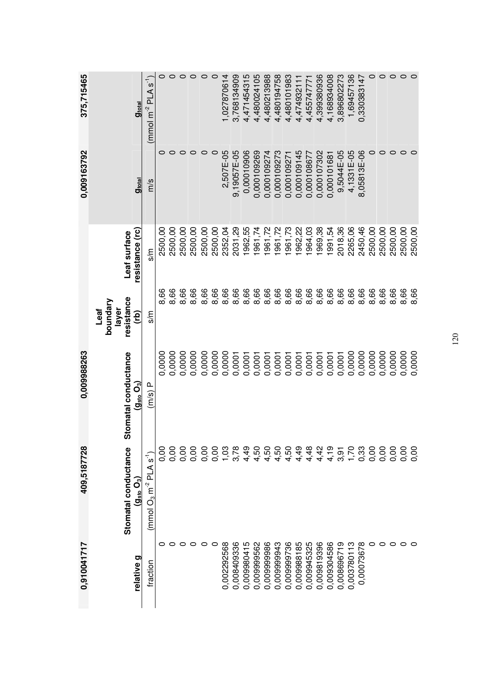| 0,910041717 | 409,5187728                                                      | 0,009988263                                                   |                                                 |                                 | 0,009163792               | 375,715465                               |
|-------------|------------------------------------------------------------------|---------------------------------------------------------------|-------------------------------------------------|---------------------------------|---------------------------|------------------------------------------|
| relative g  | Stomatal conductance<br>$(\mathbf{g}_\text{sto}\, \mathbf{O}_3)$ | Stomatal conductance<br>$(\mathbf{g}_\text{sto}\mathbf{O}_3)$ | resistance<br>boundary<br>layer<br>Leaf<br>(rb) | resistance (rc)<br>Leaf surface | <b>g</b> <sub>total</sub> | <b>g</b> <sub>total</sub>                |
| fraction    | ົາ $\tilde{\epsilon}$<br>$(mmol O3 m-2 PLA$                      | $\Omega$<br>(m/s)                                             | m<br>s                                          | m/s                             | m/s                       | $\tilde{t}$<br>$(mmol \, m^{-2} \, PLA)$ |
| 0           | 0.00                                                             | 0,0000                                                        | 8,66                                            | 2500,00                         | 0                         | $\circ$                                  |
|             | 0,00                                                             | 0,0000                                                        | 8,66                                            | 2500,00                         | 0                         | $\circ$                                  |
| c           | 0,00                                                             | 0,0000                                                        | 8,66                                            | 2500,00                         | o                         | $\circ$                                  |
| 0           | 0,00                                                             | 0,0000                                                        | 8,66                                            | 2500,00                         | 0                         | $\circ$                                  |
| 0           | 0,00                                                             | 0,0000                                                        | 8,66                                            | 2500,00                         | 0                         | 0                                        |
| 0           | 0,00                                                             | 0,0000                                                        | 8,66                                            | 2500,00                         | $\circ$                   | 0                                        |
| 0,002292568 | 0.03                                                             | 0,0000                                                        | 8,66                                            | 2352,04                         | 2,507E-05                 | ,027870614                               |
| 0,008409336 | 3,78                                                             | 0,0001                                                        | 8,66                                            | 2031,29                         | 9,19057E-05               | 3,768134909                              |
| 0,009980415 | 4,49                                                             | 0,0001                                                        | 8,66                                            | 1962,55                         | 0,00010906                | 4,471454315                              |
| 0,009999562 | 4,50                                                             | 0,0001                                                        | 8,66                                            | 1961,74                         | 0,000109269               | 4,480024105                              |
| 0,009999986 | 4,50                                                             | 0,0001                                                        | 8,66                                            | 961,72                          | 0,000109274               | 4,480213988                              |
| 0,009999943 | 4,50                                                             | 0,0001                                                        | 8,66                                            | 961,72                          | 0,000109273               | 4,480194758                              |
| 0,009999736 | 4,50                                                             | 0,0001                                                        | 8,66                                            | 1961,73                         | 0,000109271               | 4,480101983                              |
| 0,009988185 | 4,49                                                             | 0,0001                                                        | 8,66                                            | 1962,22                         | 0,000109145               | 4,47493211                               |
| 0,009945325 | 1,48                                                             | 0,0001                                                        | 8,66                                            | 964,03                          | 0,000108677               | 4,45574777                               |
| 0,009819396 | 4,42                                                             | 0,0001                                                        | 8,66                                            | 1969,38                         | 0,000107302               | 4,399380936                              |
| 0,009304586 | 4,19                                                             | 0,0001                                                        | 8,66                                            | 1991,54                         | 0,000101681               | 4,168934008                              |
| 0,008696719 | თ<br>თ<br>                                                       | 0,0001                                                        | 8,66                                            | 2018,36                         | 9,5044E-05                | 3,896802273                              |
| 0,003780113 | 1,70                                                             | 0,0000                                                        | 8,66                                            | 2265,06                         | 4,1331E-05                | 1,69457136                               |
| 0,00073678  | 0,33                                                             | 0,0000                                                        | 8,66                                            | 2450,46                         | 8,05813E-06               | 0,330383147                              |
| 0           | 0,00                                                             | 0,0000                                                        | 8,66                                            | 2500,00                         | 0                         | 0                                        |
| $\circ$     | 0,00                                                             | 0,0000                                                        | 8,66                                            | 2500,00                         | 0                         | $\circ$                                  |
| 0           | 0,00                                                             | 0,0000                                                        | 8,66                                            | 2500,00                         | 0                         | $\circ$                                  |
| $\circ$     | <b>O.O.</b>                                                      | 0,0000                                                        | 8,66                                            | 2500,00                         | $\circ$                   | $\circ$                                  |
|             | 0,00                                                             | 0,0000                                                        | 8,66                                            | 2500,00                         | 0                         | $\circ$                                  |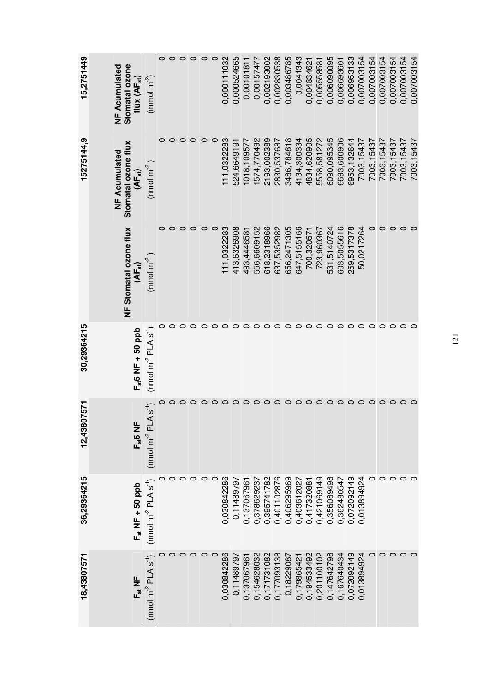| 15,2751449  | Stomatal ozone<br><b>NF Acumulated</b><br>flux $(\mathsf{AF}_{\mathsf{st}})$ | $\frac{(mmol m-2)}{m-2}$                       | $\circ$ | $\circ$ | $\circ$ | $\circ$ | $\circ$ | $\circ$ | 0,000111032 | 0.000524665 | 0,0010181    | 0,00157477  | 0,002193002 | 0,002830538  | 0,003486785 | 0.0041343   | 0,00483462  | 0,005558581 | 0,006090095 | 0,006693601 | 0,006953133  | 0,007003154 | 0,007003154 | 0,007003154 | 0,007003154 | 0,007003154 | 0,007003154 |
|-------------|------------------------------------------------------------------------------|------------------------------------------------|---------|---------|---------|---------|---------|---------|-------------|-------------|--------------|-------------|-------------|--------------|-------------|-------------|-------------|-------------|-------------|-------------|--------------|-------------|-------------|-------------|-------------|-------------|-------------|
| 15275144.9  | Stomatal ozone flux<br>NF Acumulated<br>$(\mathsf{AF}_\mathsf{st})$          | (mol <sub>m</sub> <sup>2</sup> )               |         |         | 0       | 0       | 0       | 0       | 111,0322283 | 524,6649191 | 1018, 109577 | 1574,770492 | 2193,002389 | 2830, 537687 | 3486,784818 | 4134,300334 | 4834,620905 | 5558,581272 | 6090,095345 | 6693,600906 | 6953, 132644 | 7003, 15437 | 7003, 15437 | 7003, 15437 | 7003,15437  | 7003, 15437 | 7003,15437  |
|             | NF Stomatal ozone flux<br>$(AF_{st})$                                        | $(mol\ m^2)$                                   |         | 0       | 0       | 0       | $\circ$ | $\circ$ | 111,0322283 | 413,6326908 | 493,4446581  | 556,6609152 | 618,2318966 | 637,5352982  | 656,2471305 | 647,5155166 | 700,320571  | 723,960367  | 531,5140724 | 603,5055616 | 259,5317378  | 50,0217264  | 0           | $\circ$     | $\circ$     | $\circ$     | 0           |
| 30,29364215 | $\mathsf{F}_{\mathsf{st}}$ 6 NF + 50 ppb                                     | $\tilde{\mathfrak{c}}^{-1}$<br>$(mol m-2 PLA)$ |         |         | 0       |         |         | 0       | 0           | $\circ$     | 0            | $\circ$     | $\circ$     | $\circ$      | 0           | 0           | $\circ$     | $\circ$     | $\circ$     | $\circ$     | $\circ$      | O           | $\circ$     | $\circ$     | $\circ$     | $\circ$     | 0           |
| 12,43807571 | $F_{st}$ 6 NF                                                                | $A S-1$<br>(mol m <sup>2</sup> Pl)             |         |         |         |         |         | $\circ$ | $\circ$     | $\circ$     | $\circ$      | $\circ$     | $\circ$     | $\circ$      | 0           | O           | $\circ$     | $\circ$     | $\circ$     | $\circ$     | $\circ$      | $\circ$     | $\circ$     | $\circ$     | $\circ$     | $\circ$     |             |
| 36,29364215 | $F_{st}$ NF + 50 ppb                                                         | (nmol m <sup>-2</sup> PLA s <sup>-1</sup> )    |         |         | 0       |         |         |         | 0.030842286 | 0.11489797  | 0,137067961  | 0,378629237 | 0,395741782 | 0,401102876  | 0,406295969 | 0,403612027 | 0,417320881 | 0,421069149 | 0,356089498 | 0,362480547 | 0,072092149  | 0,013894924 | 0           | $\circ$     | 0           | $\circ$     |             |
| 18,43807571 | $F_{st}$ NF                                                                  | $(mol m2 PLAS-1)$                              |         |         | 0       | O       | O       | 0       | 0.030842286 | 0.11489797  | 0,137067961  | 0,154628032 | 0,171731082 | 0,177093138  | 0,18229087  | 0,17986542  | 0,194533492 | 0,201100102 | 0,147642798 | 0,167640434 | 0,072092149  | 0,013894924 |             | $\circ$     | $\circ$     | $\circ$     | O           |

121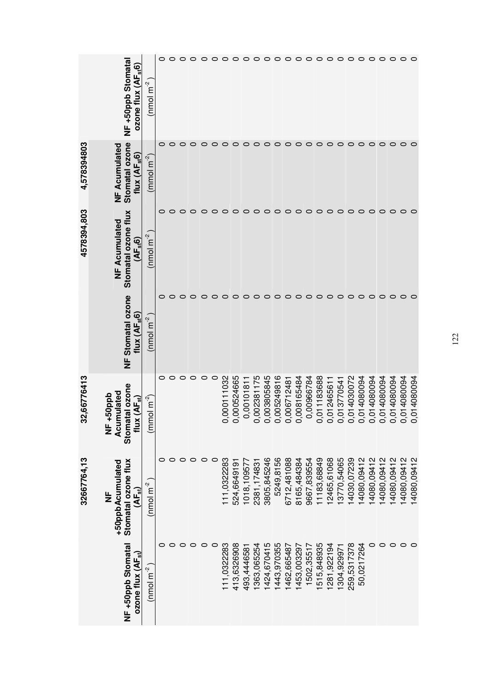|             | NF +50ppb Stomata<br>ozone flux (AF <sub>st</sub> 6                                                                       | $\frac{(nm)}{m}$              | 0 | $\circ$ | $\circ$ | $\circ$ | $\circ$ $\circ$ |         | $\circ$     | $\circ$     | $\circ$      | $\circ$      | $\circ$     | $\circ$ $\circ$ |             | $\circ$     | $\circ$     | $\circ$     | $\circ$     | $\circ \circ \circ$ |             |             | $\circ$     | $\circ$     | $\circ$ $\circ$ |             | $\circ$     |
|-------------|---------------------------------------------------------------------------------------------------------------------------|-------------------------------|---|---------|---------|---------|-----------------|---------|-------------|-------------|--------------|--------------|-------------|-----------------|-------------|-------------|-------------|-------------|-------------|---------------------|-------------|-------------|-------------|-------------|-----------------|-------------|-------------|
| 4,578394803 | Stomatal ozone<br><b>NF Acumulated</b><br>flux $(AF_{st}6)$                                                               | $\frac{(mmo1 m^{-2})}{(m^2)}$ |   |         |         |         |                 | o       | ○           | O           |              | o            | O           | $\circ$         | O           | O           | O           | $\circ$     | O           | O                   | $\circ$     | 0           | $\circ$     | $\circ$     | O               | $\circ$     |             |
| 4578394,803 | Stomatal ozone flux<br><b>NF Acumulated</b><br>(AF <sub>st</sub> 6)                                                       | (nmol m $^{2}$                |   |         | 0       | $\circ$ | $\circ$         | $\circ$ | $\circ$     | $\circ$     | $\circ$      | O            | $\circ$     | $\circ$         | $\circ$     | $\circ$     | $\circ$     | $\circ$     | O           | $\circ$             | $\circ$     | 0           | $\circ$     | $\circ$     | $\circ$         | $\circ$     | ○           |
|             | <b>NF Stomatal ozone</b><br>flux $(AFst6)$                                                                                | (nmol m $^{-2}$               |   |         | 0       | 0       | $\circ$         | 0       | 0           | 0           | $\circ$      | O            | 0           | $\circ$         | 0           | 0           | $\circ$     | $\circ$     | 0           | 0                   | $\circ$     | 0           | $\circ$     | $\circ$     | $\circ$         | $\circ$     | o           |
| 32,66776413 | atal ozone<br>Acumulated<br>dddgg+<br>flux $(\mathsf{AF}_{\text{st}})$<br>$\frac{\mathsf{L}}{\mathsf{L}}$<br><b>Stoma</b> | $(m \text{mol m}^{-2})$       |   | 0       | 0       | $\circ$ | $\circ$         | $\circ$ | 0.000111032 | 0.000524665 | 0,00101811   | 0,002381175  | 0,003805845 | 0.005249816     | 0,006712481 | 0,008165484 | 0,00966784  | 0,011183688 | 0,012465611 | 0.013770541         | 0.014030072 | 0,014080094 | 0,014080094 | 0.014080094 | 0,014080094     | 0,014080094 | 0,014080094 |
| 32667764,13 | Stomatal ozone flux<br>+50ppbAcumulated<br>$(AF_{st})$<br>$\frac{\mu}{\mathbf{z}}$                                        | $(mol\ m^2)$                  |   | 0       | 0       | 0       | 0               | 0       | 111,0322283 | 524,6649191 | 1018, 109577 | 2381, 174831 | 3805,845246 | 5249,8156       | 6712,481088 | 8165,484384 | 9667,839554 | 11183,68849 | 12465,61068 | 13770,54065         | 14030,07239 | 14080,09412 | 14080,09412 | 14080,09412 | 14080,09412     | 14080,09412 | 14080,09412 |
|             | NF +50ppb Stomatal<br>ozone flux $(\mathsf{AF}_{\mathsf{st}})$                                                            | $\frac{(nm_0)}{m^2}$          |   |         |         | 0       |                 |         | 111,0322283 | 413,6326908 | 493,4446581  | 1363,065254  | 1424,670415 | 1443, 970355    | 1462,665487 | 1453,003297 | 1502,35517  | 515,848935  | 1281,922194 | 1304,929971         | 259,5317378 | 50,0217264  | 0           | 0           | 0               | 0           | 0           |